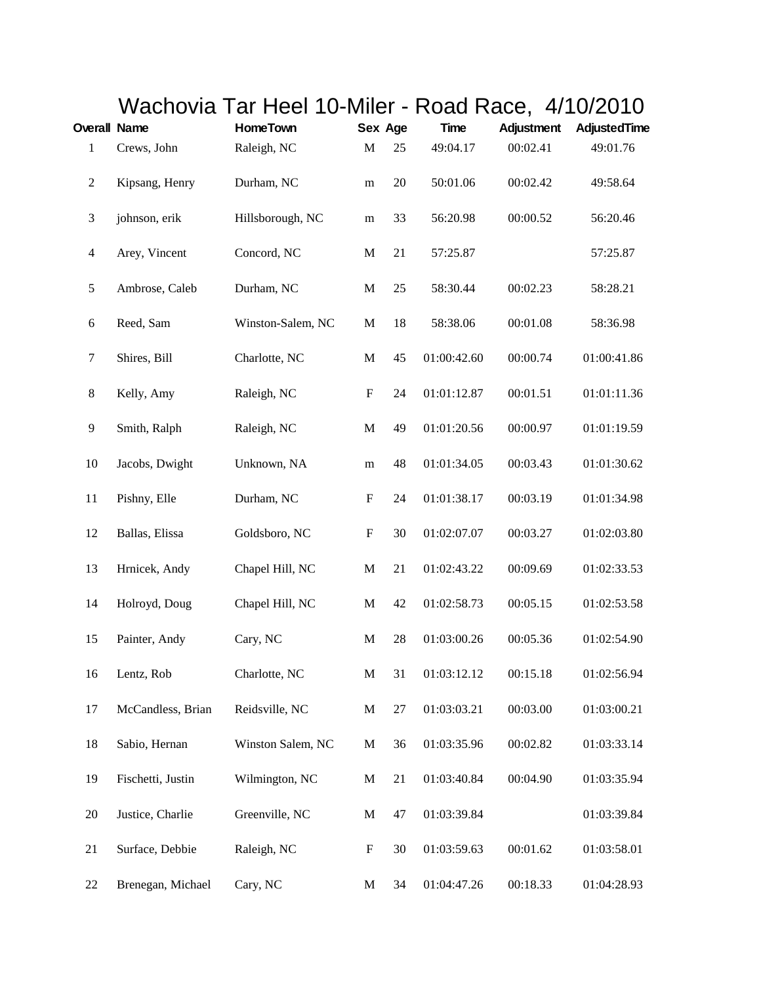|                          |                   | Wachovia Tar Heel 10-Miler - Road Race, 4/10/2010 |                           |    |             |                   |              |
|--------------------------|-------------------|---------------------------------------------------|---------------------------|----|-------------|-------------------|--------------|
| <b>Overall Name</b>      |                   | <b>HomeTown</b>                                   | Sex Age                   |    | <b>Time</b> | <b>Adjustment</b> | AdjustedTime |
| $\mathbf{1}$             | Crews, John       | Raleigh, NC                                       | $\mathbf M$               | 25 | 49:04.17    | 00:02.41          | 49:01.76     |
| $\sqrt{2}$               | Kipsang, Henry    | Durham, NC                                        | m                         | 20 | 50:01.06    | 00:02.42          | 49:58.64     |
| $\mathfrak{Z}$           | johnson, erik     | Hillsborough, NC                                  | ${\bf m}$                 | 33 | 56:20.98    | 00:00.52          | 56:20.46     |
| $\overline{\mathcal{L}}$ | Arey, Vincent     | Concord, NC                                       | $\mathbf M$               | 21 | 57:25.87    |                   | 57:25.87     |
| 5                        | Ambrose, Caleb    | Durham, NC                                        | $\mathbf M$               | 25 | 58:30.44    | 00:02.23          | 58:28.21     |
| $\sqrt{6}$               | Reed, Sam         | Winston-Salem, NC                                 | $\mathbf M$               | 18 | 58:38.06    | 00:01.08          | 58:36.98     |
| $\boldsymbol{7}$         | Shires, Bill      | Charlotte, NC                                     | $\mathbf M$               | 45 | 01:00:42.60 | 00:00.74          | 01:00:41.86  |
| 8                        | Kelly, Amy        | Raleigh, NC                                       | ${\bf F}$                 | 24 | 01:01:12.87 | 00:01.51          | 01:01:11.36  |
| $\overline{9}$           | Smith, Ralph      | Raleigh, NC                                       | $\mathbf M$               | 49 | 01:01:20.56 | 00:00.97          | 01:01:19.59  |
| 10                       | Jacobs, Dwight    | Unknown, NA                                       | m                         | 48 | 01:01:34.05 | 00:03.43          | 01:01:30.62  |
| 11                       | Pishny, Elle      | Durham, NC                                        | $\boldsymbol{\mathrm{F}}$ | 24 | 01:01:38.17 | 00:03.19          | 01:01:34.98  |
| 12                       | Ballas, Elissa    | Goldsboro, NC                                     | $\boldsymbol{\mathrm{F}}$ | 30 | 01:02:07.07 | 00:03.27          | 01:02:03.80  |
| 13                       | Hrnicek, Andy     | Chapel Hill, NC                                   | $\mathbf M$               | 21 | 01:02:43.22 | 00:09.69          | 01:02:33.53  |
| 14                       | Holroyd, Doug     | Chapel Hill, NC                                   | $\mathbf M$               | 42 | 01:02:58.73 | 00:05.15          | 01:02:53.58  |
| 15                       | Painter, Andy     | Cary, NC                                          | $\mathbf M$               | 28 | 01:03:00.26 | 00:05.36          | 01:02:54.90  |
| 16                       | Lentz, Rob        | Charlotte, NC                                     | $\mathbf M$               | 31 | 01:03:12.12 | 00:15.18          | 01:02:56.94  |
| 17                       | McCandless, Brian | Reidsville, NC                                    | $\mathbf M$               | 27 | 01:03:03.21 | 00:03.00          | 01:03:00.21  |
| 18                       | Sabio, Hernan     | Winston Salem, NC                                 | M                         | 36 | 01:03:35.96 | 00:02.82          | 01:03:33.14  |
| 19                       | Fischetti, Justin | Wilmington, NC                                    | $\mathbf M$               | 21 | 01:03:40.84 | 00:04.90          | 01:03:35.94  |
| 20                       | Justice, Charlie  | Greenville, NC                                    | M                         | 47 | 01:03:39.84 |                   | 01:03:39.84  |
| 21                       | Surface, Debbie   | Raleigh, NC                                       | F                         | 30 | 01:03:59.63 | 00:01.62          | 01:03:58.01  |
| 22                       | Brenegan, Michael | Cary, NC                                          | M                         | 34 | 01:04:47.26 | 00:18.33          | 01:04:28.93  |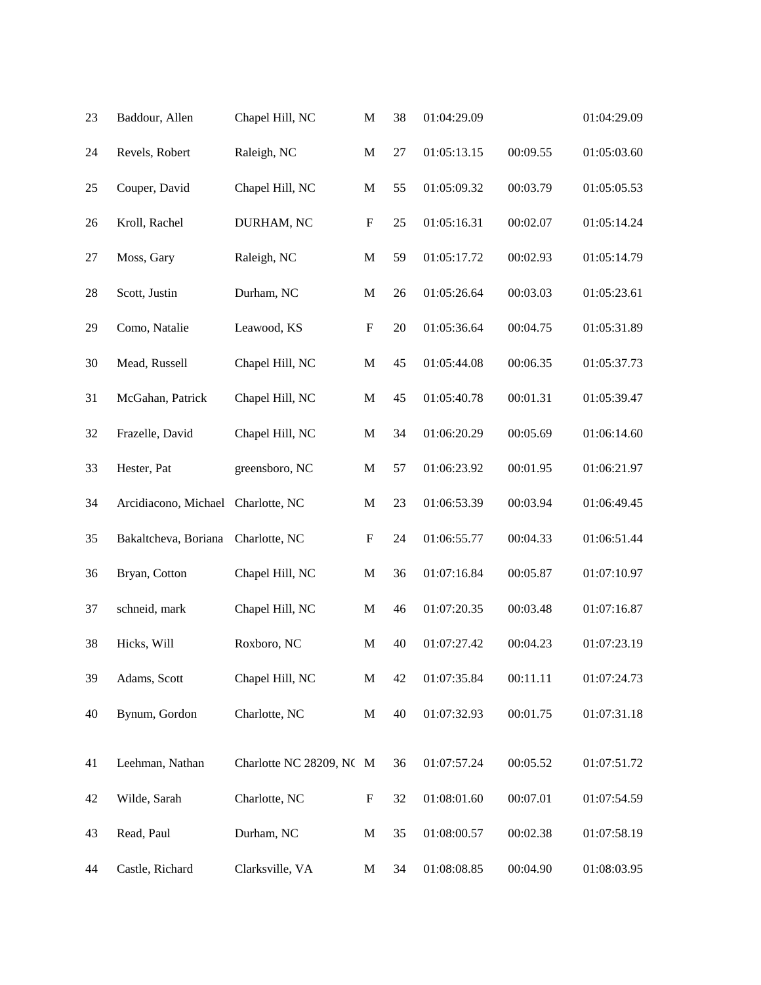| 23 | Baddour, Allen                     | Chapel Hill, NC          | $\mathbf M$               | 38 | 01:04:29.09 |          | 01:04:29.09 |
|----|------------------------------------|--------------------------|---------------------------|----|-------------|----------|-------------|
| 24 | Revels, Robert                     | Raleigh, NC              | $\mathbf M$               | 27 | 01:05:13.15 | 00:09.55 | 01:05:03.60 |
| 25 | Couper, David                      | Chapel Hill, NC          | $\mathbf M$               | 55 | 01:05:09.32 | 00:03.79 | 01:05:05.53 |
| 26 | Kroll, Rachel                      | DURHAM, NC               | $\boldsymbol{\mathrm{F}}$ | 25 | 01:05:16.31 | 00:02.07 | 01:05:14.24 |
| 27 | Moss, Gary                         | Raleigh, NC              | $\mathbf M$               | 59 | 01:05:17.72 | 00:02.93 | 01:05:14.79 |
| 28 | Scott, Justin                      | Durham, NC               | M                         | 26 | 01:05:26.64 | 00:03.03 | 01:05:23.61 |
| 29 | Como, Natalie                      | Leawood, KS              | $\boldsymbol{\mathrm{F}}$ | 20 | 01:05:36.64 | 00:04.75 | 01:05:31.89 |
| 30 | Mead, Russell                      | Chapel Hill, NC          | $\mathbf M$               | 45 | 01:05:44.08 | 00:06.35 | 01:05:37.73 |
| 31 | McGahan, Patrick                   | Chapel Hill, NC          | M                         | 45 | 01:05:40.78 | 00:01.31 | 01:05:39.47 |
| 32 | Frazelle, David                    | Chapel Hill, NC          | M                         | 34 | 01:06:20.29 | 00:05.69 | 01:06:14.60 |
| 33 | Hester, Pat                        | greensboro, NC           | $\mathbf M$               | 57 | 01:06:23.92 | 00:01.95 | 01:06:21.97 |
| 34 | Arcidiacono, Michael Charlotte, NC |                          | M                         | 23 | 01:06:53.39 | 00:03.94 | 01:06:49.45 |
| 35 | Bakaltcheva, Boriana               | Charlotte, NC            | $\boldsymbol{\mathrm{F}}$ | 24 | 01:06:55.77 | 00:04.33 | 01:06:51.44 |
| 36 | Bryan, Cotton                      | Chapel Hill, NC          | $\mathbf M$               | 36 | 01:07:16.84 | 00:05.87 | 01:07:10.97 |
| 37 | schneid, mark                      | Chapel Hill, NC          | M                         | 46 | 01:07:20.35 | 00:03.48 | 01:07:16.87 |
| 38 | Hicks, Will                        | Roxboro, NC              | $\mathbf M$               | 40 | 01:07:27.42 | 00:04.23 | 01:07:23.19 |
| 39 | Adams, Scott                       | Chapel Hill, NC          | $\mathbf M$               | 42 | 01:07:35.84 | 00:11.11 | 01:07:24.73 |
| 40 | Bynum, Gordon                      | Charlotte, NC            | $\mathbf M$               | 40 | 01:07:32.93 | 00:01.75 | 01:07:31.18 |
| 41 | Leehman, Nathan                    | Charlotte NC 28209, NC M |                           | 36 | 01:07:57.24 | 00:05.52 | 01:07:51.72 |
| 42 | Wilde, Sarah                       | Charlotte, NC            | F                         | 32 | 01:08:01.60 | 00:07.01 | 01:07:54.59 |
| 43 | Read, Paul                         | Durham, NC               | $\mathbf M$               | 35 | 01:08:00.57 | 00:02.38 | 01:07:58.19 |
| 44 | Castle, Richard                    | Clarksville, VA          | M                         | 34 | 01:08:08.85 | 00:04.90 | 01:08:03.95 |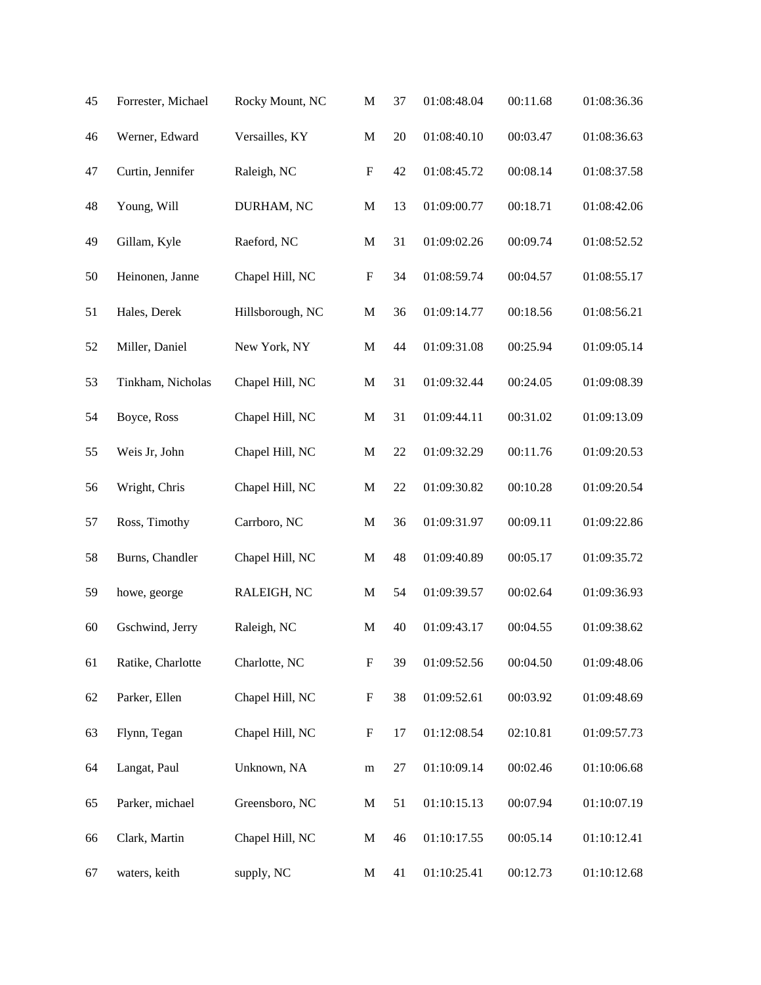| 45 | Forrester, Michael | Rocky Mount, NC  | $\mathbf M$               | 37 | 01:08:48.04 | 00:11.68 | 01:08:36.36 |
|----|--------------------|------------------|---------------------------|----|-------------|----------|-------------|
| 46 | Werner, Edward     | Versailles, KY   | $\mathbf M$               | 20 | 01:08:40.10 | 00:03.47 | 01:08:36.63 |
| 47 | Curtin, Jennifer   | Raleigh, NC      | $\boldsymbol{\mathrm{F}}$ | 42 | 01:08:45.72 | 00:08.14 | 01:08:37.58 |
| 48 | Young, Will        | DURHAM, NC       | $\mathbf M$               | 13 | 01:09:00.77 | 00:18.71 | 01:08:42.06 |
| 49 | Gillam, Kyle       | Raeford, NC      | $\mathbf M$               | 31 | 01:09:02.26 | 00:09.74 | 01:08:52.52 |
| 50 | Heinonen, Janne    | Chapel Hill, NC  | $\boldsymbol{\mathrm{F}}$ | 34 | 01:08:59.74 | 00:04.57 | 01:08:55.17 |
| 51 | Hales, Derek       | Hillsborough, NC | M                         | 36 | 01:09:14.77 | 00:18.56 | 01:08:56.21 |
| 52 | Miller, Daniel     | New York, NY     | $\mathbf M$               | 44 | 01:09:31.08 | 00:25.94 | 01:09:05.14 |
| 53 | Tinkham, Nicholas  | Chapel Hill, NC  | $\mathbf M$               | 31 | 01:09:32.44 | 00:24.05 | 01:09:08.39 |
| 54 | Boyce, Ross        | Chapel Hill, NC  | $\mathbf M$               | 31 | 01:09:44.11 | 00:31.02 | 01:09:13.09 |
| 55 | Weis Jr, John      | Chapel Hill, NC  | $\mathbf M$               | 22 | 01:09:32.29 | 00:11.76 | 01:09:20.53 |
| 56 | Wright, Chris      | Chapel Hill, NC  | $\mathbf{M}$              | 22 | 01:09:30.82 | 00:10.28 | 01:09:20.54 |
| 57 | Ross, Timothy      | Carrboro, NC     | $\mathbf M$               | 36 | 01:09:31.97 | 00:09.11 | 01:09:22.86 |
| 58 | Burns, Chandler    | Chapel Hill, NC  | $\mathbf M$               | 48 | 01:09:40.89 | 00:05.17 | 01:09:35.72 |
| 59 | howe, george       | RALEIGH, NC      | $\mathbf M$               | 54 | 01:09:39.57 | 00:02.64 | 01:09:36.93 |
| 60 | Gschwind, Jerry    | Raleigh, NC      | $\mathbf{M}$              | 40 | 01:09:43.17 | 00:04.55 | 01:09:38.62 |
| 61 | Ratike, Charlotte  | Charlotte, NC    | $\boldsymbol{\mathrm{F}}$ | 39 | 01:09:52.56 | 00:04.50 | 01:09:48.06 |
| 62 | Parker, Ellen      | Chapel Hill, NC  | $\boldsymbol{\mathrm{F}}$ | 38 | 01:09:52.61 | 00:03.92 | 01:09:48.69 |
| 63 | Flynn, Tegan       | Chapel Hill, NC  | $\boldsymbol{\mathrm{F}}$ | 17 | 01:12:08.54 | 02:10.81 | 01:09:57.73 |
| 64 | Langat, Paul       | Unknown, NA      | ${\bf m}$                 | 27 | 01:10:09.14 | 00:02.46 | 01:10:06.68 |
| 65 | Parker, michael    | Greensboro, NC   | $\mathbf M$               | 51 | 01:10:15.13 | 00:07.94 | 01:10:07.19 |
| 66 | Clark, Martin      | Chapel Hill, NC  | M                         | 46 | 01:10:17.55 | 00:05.14 | 01:10:12.41 |
| 67 | waters, keith      | supply, NC       | M                         | 41 | 01:10:25.41 | 00:12.73 | 01:10:12.68 |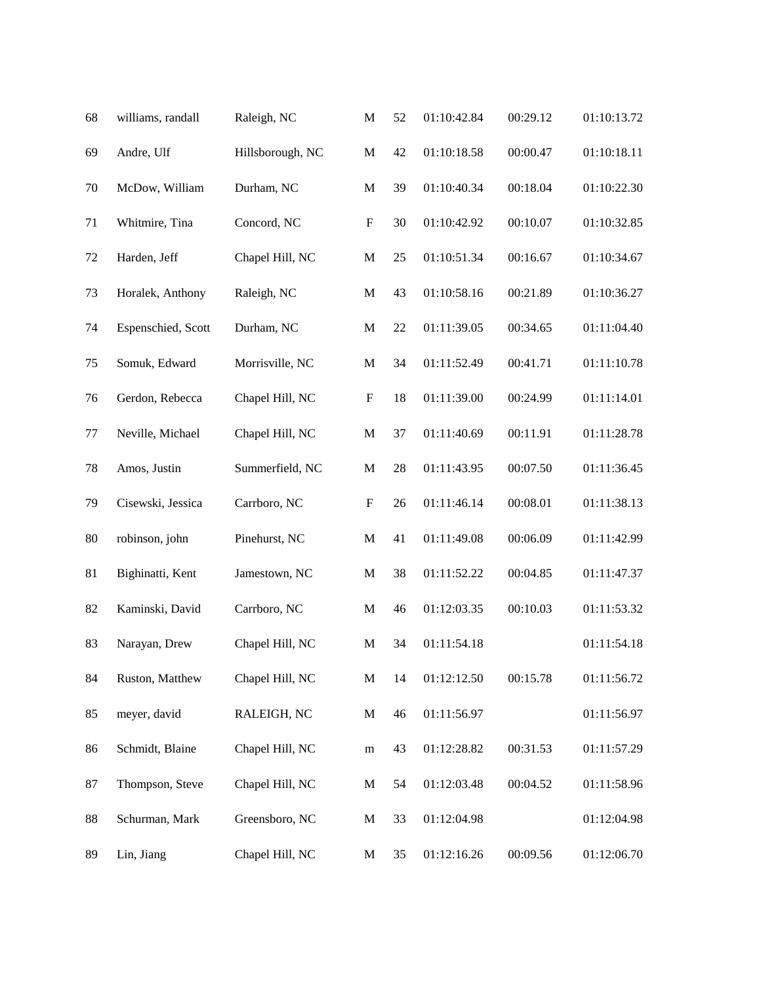| 68     | williams, randall  | Raleigh, NC      | $\mathbf M$               | 52 | 01:10:42.84 | 00:29.12 | 01:10:13.72 |
|--------|--------------------|------------------|---------------------------|----|-------------|----------|-------------|
| 69     | Andre, Ulf         | Hillsborough, NC | $\mathbf M$               | 42 | 01:10:18.58 | 00:00.47 | 01:10:18.11 |
| $70\,$ | McDow, William     | Durham, NC       | $\mathbf M$               | 39 | 01:10:40.34 | 00:18.04 | 01:10:22.30 |
| 71     | Whitmire, Tina     | Concord, NC      | $\mathbf F$               | 30 | 01:10:42.92 | 00:10.07 | 01:10:32.85 |
| 72     | Harden, Jeff       | Chapel Hill, NC  | $\mathbf M$               | 25 | 01:10:51.34 | 00:16.67 | 01:10:34.67 |
| 73     | Horalek, Anthony   | Raleigh, NC      | $\mathbf M$               | 43 | 01:10:58.16 | 00:21.89 | 01:10:36.27 |
| 74     | Espenschied, Scott | Durham, NC       | $\mathbf M$               | 22 | 01:11:39.05 | 00:34.65 | 01:11:04.40 |
| 75     | Somuk, Edward      | Morrisville, NC  | $\mathbf M$               | 34 | 01:11:52.49 | 00:41.71 | 01:11:10.78 |
| 76     | Gerdon, Rebecca    | Chapel Hill, NC  | $\boldsymbol{\mathrm{F}}$ | 18 | 01:11:39.00 | 00:24.99 | 01:11:14.01 |
| 77     | Neville, Michael   | Chapel Hill, NC  | $\mathbf M$               | 37 | 01:11:40.69 | 00:11.91 | 01:11:28.78 |
| 78     | Amos, Justin       | Summerfield, NC  | $\mathbf M$               | 28 | 01:11:43.95 | 00:07.50 | 01:11:36.45 |
| 79     | Cisewski, Jessica  | Carrboro, NC     | $\boldsymbol{\mathrm{F}}$ | 26 | 01:11:46.14 | 00:08.01 | 01:11:38.13 |
| 80     | robinson, john     | Pinehurst, NC    | $\mathbf M$               | 41 | 01:11:49.08 | 00:06.09 | 01:11:42.99 |
| 81     | Bighinatti, Kent   | Jamestown, NC    | $\mathbf M$               | 38 | 01:11:52.22 | 00:04.85 | 01:11:47.37 |
| 82     | Kaminski, David    | Carrboro, NC     | M                         | 46 | 01:12:03.35 | 00:10.03 | 01:11:53.32 |
| 83     | Narayan, Drew      | Chapel Hill, NC  | $\mathbf M$               | 34 | 01:11:54.18 |          | 01:11:54.18 |
| 84     | Ruston, Matthew    | Chapel Hill, NC  | M                         | 14 | 01:12:12.50 | 00:15.78 | 01:11:56.72 |
| 85     | meyer, david       | RALEIGH, NC      | $\mathbf M$               | 46 | 01:11:56.97 |          | 01:11:56.97 |
| 86     | Schmidt, Blaine    | Chapel Hill, NC  | ${\bf m}$                 | 43 | 01:12:28.82 | 00:31.53 | 01:11:57.29 |
| 87     | Thompson, Steve    | Chapel Hill, NC  | M                         | 54 | 01:12:03.48 | 00:04.52 | 01:11:58.96 |
| 88     | Schurman, Mark     | Greensboro, NC   | M                         | 33 | 01:12:04.98 |          | 01:12:04.98 |
| 89     | Lin, Jiang         | Chapel Hill, NC  | M                         | 35 | 01:12:16.26 | 00:09.56 | 01:12:06.70 |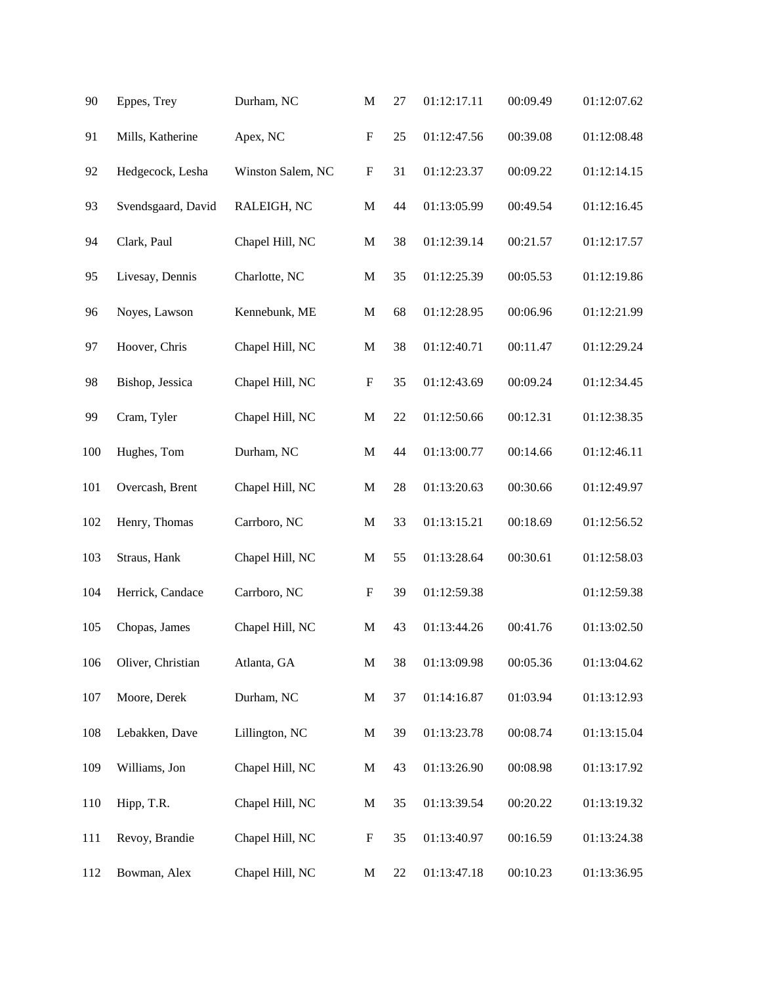| 90      | Eppes, Trey        | Durham, NC        | $\mathbf M$               | 27 | 01:12:17.11 | 00:09.49 | 01:12:07.62 |
|---------|--------------------|-------------------|---------------------------|----|-------------|----------|-------------|
| 91      | Mills, Katherine   | Apex, NC          | ${\bf F}$                 | 25 | 01:12:47.56 | 00:39.08 | 01:12:08.48 |
| 92      | Hedgecock, Lesha   | Winston Salem, NC | $\boldsymbol{\mathrm{F}}$ | 31 | 01:12:23.37 | 00:09.22 | 01:12:14.15 |
| 93      | Svendsgaard, David | RALEIGH, NC       | M                         | 44 | 01:13:05.99 | 00:49.54 | 01:12:16.45 |
| 94      | Clark, Paul        | Chapel Hill, NC   | $\mathbf M$               | 38 | 01:12:39.14 | 00:21.57 | 01:12:17.57 |
| 95      | Livesay, Dennis    | Charlotte, NC     | $\mathbf M$               | 35 | 01:12:25.39 | 00:05.53 | 01:12:19.86 |
| 96      | Noyes, Lawson      | Kennebunk, ME     | $\mathbf M$               | 68 | 01:12:28.95 | 00:06.96 | 01:12:21.99 |
| 97      | Hoover, Chris      | Chapel Hill, NC   | $\mathbf M$               | 38 | 01:12:40.71 | 00:11.47 | 01:12:29.24 |
| 98      | Bishop, Jessica    | Chapel Hill, NC   | $\boldsymbol{\mathrm{F}}$ | 35 | 01:12:43.69 | 00:09.24 | 01:12:34.45 |
| 99      | Cram, Tyler        | Chapel Hill, NC   | $\mathbf M$               | 22 | 01:12:50.66 | 00:12.31 | 01:12:38.35 |
| 100     | Hughes, Tom        | Durham, NC        | $\mathbf M$               | 44 | 01:13:00.77 | 00:14.66 | 01:12:46.11 |
| 101     | Overcash, Brent    | Chapel Hill, NC   | $\mathbf M$               | 28 | 01:13:20.63 | 00:30.66 | 01:12:49.97 |
| 102     | Henry, Thomas      | Carrboro, NC      | $\mathbf M$               | 33 | 01:13:15.21 | 00:18.69 | 01:12:56.52 |
| 103     | Straus, Hank       | Chapel Hill, NC   | $\mathbf M$               | 55 | 01:13:28.64 | 00:30.61 | 01:12:58.03 |
| 104     | Herrick, Candace   | Carrboro, NC      | $\boldsymbol{\mathrm{F}}$ | 39 | 01:12:59.38 |          | 01:12:59.38 |
| 105     | Chopas, James      | Chapel Hill, NC   | M                         | 43 | 01:13:44.26 | 00:41.76 | 01:13:02.50 |
| 106     | Oliver, Christian  | Atlanta, GA       | M                         | 38 | 01:13:09.98 | 00:05.36 | 01:13:04.62 |
| $107\,$ | Moore, Derek       | Durham, NC        | $\mathbf M$               | 37 | 01:14:16.87 | 01:03.94 | 01:13:12.93 |
| 108     | Lebakken, Dave     | Lillington, NC    | M                         | 39 | 01:13:23.78 | 00:08.74 | 01:13:15.04 |
| 109     | Williams, Jon      | Chapel Hill, NC   | M                         | 43 | 01:13:26.90 | 00:08.98 | 01:13:17.92 |
| 110     | Hipp, T.R.         | Chapel Hill, NC   | $\mathbf M$               | 35 | 01:13:39.54 | 00:20.22 | 01:13:19.32 |
| 111     | Revoy, Brandie     | Chapel Hill, NC   | ${\bf F}$                 | 35 | 01:13:40.97 | 00:16.59 | 01:13:24.38 |
| 112     | Bowman, Alex       | Chapel Hill, NC   | M                         | 22 | 01:13:47.18 | 00:10.23 | 01:13:36.95 |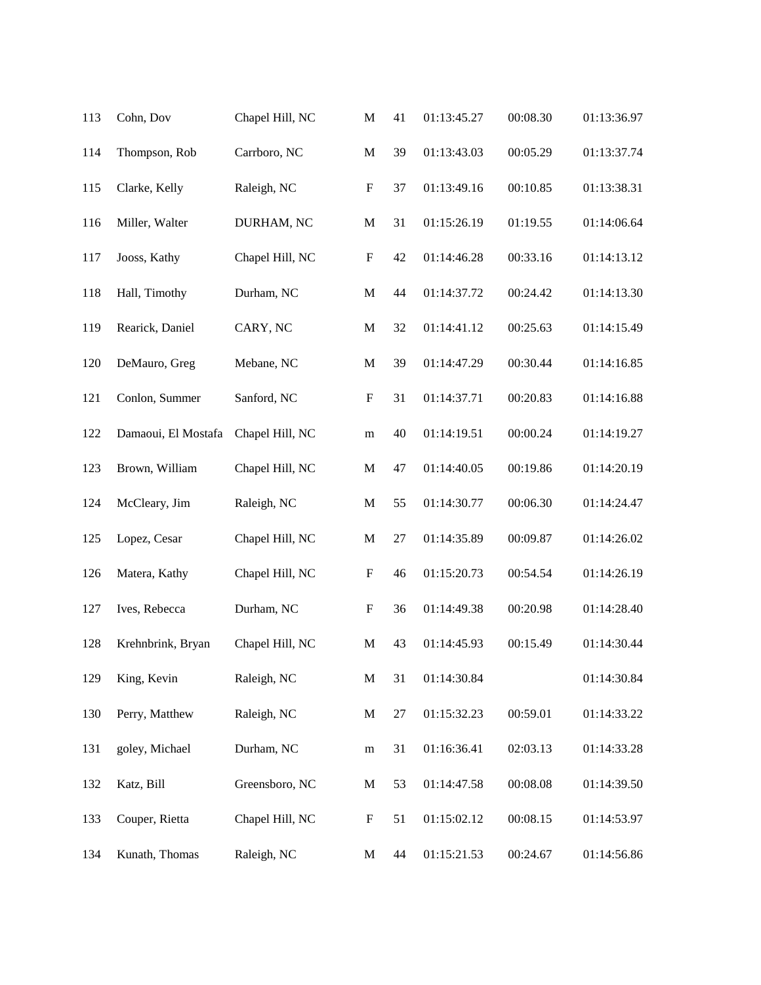| 113 | Cohn, Dov           | Chapel Hill, NC | $\mathbf M$               | 41 | 01:13:45.27 | 00:08.30 | 01:13:36.97 |
|-----|---------------------|-----------------|---------------------------|----|-------------|----------|-------------|
| 114 | Thompson, Rob       | Carrboro, NC    | $\mathbf M$               | 39 | 01:13:43.03 | 00:05.29 | 01:13:37.74 |
| 115 | Clarke, Kelly       | Raleigh, NC     | $\boldsymbol{\mathrm{F}}$ | 37 | 01:13:49.16 | 00:10.85 | 01:13:38.31 |
| 116 | Miller, Walter      | DURHAM, NC      | M                         | 31 | 01:15:26.19 | 01:19.55 | 01:14:06.64 |
| 117 | Jooss, Kathy        | Chapel Hill, NC | $\boldsymbol{\mathrm{F}}$ | 42 | 01:14:46.28 | 00:33.16 | 01:14:13.12 |
| 118 | Hall, Timothy       | Durham, NC      | $\mathbf M$               | 44 | 01:14:37.72 | 00:24.42 | 01:14:13.30 |
| 119 | Rearick, Daniel     | CARY, NC        | $\mathbf M$               | 32 | 01:14:41.12 | 00:25.63 | 01:14:15.49 |
| 120 | DeMauro, Greg       | Mebane, NC      | $\mathbf M$               | 39 | 01:14:47.29 | 00:30.44 | 01:14:16.85 |
| 121 | Conlon, Summer      | Sanford, NC     | $\boldsymbol{\mathrm{F}}$ | 31 | 01:14:37.71 | 00:20.83 | 01:14:16.88 |
| 122 | Damaoui, El Mostafa | Chapel Hill, NC | m                         | 40 | 01:14:19.51 | 00:00.24 | 01:14:19.27 |
| 123 | Brown, William      | Chapel Hill, NC | $\mathbf M$               | 47 | 01:14:40.05 | 00:19.86 | 01:14:20.19 |
| 124 | McCleary, Jim       | Raleigh, NC     | $\mathbf M$               | 55 | 01:14:30.77 | 00:06.30 | 01:14:24.47 |
| 125 | Lopez, Cesar        | Chapel Hill, NC | $\mathbf M$               | 27 | 01:14:35.89 | 00:09.87 | 01:14:26.02 |
| 126 | Matera, Kathy       | Chapel Hill, NC | $\boldsymbol{\mathrm{F}}$ | 46 | 01:15:20.73 | 00:54.54 | 01:14:26.19 |
| 127 | Ives, Rebecca       | Durham, NC      | $\boldsymbol{\mathrm{F}}$ | 36 | 01:14:49.38 | 00:20.98 | 01:14:28.40 |
| 128 | Krehnbrink, Bryan   | Chapel Hill, NC | $\mathbf{M}$              | 43 | 01:14:45.93 | 00:15.49 | 01:14:30.44 |
| 129 | King, Kevin         | Raleigh, NC     | $\mathbf M$               | 31 | 01:14:30.84 |          | 01:14:30.84 |
| 130 | Perry, Matthew      | Raleigh, NC     | M                         | 27 | 01:15:32.23 | 00:59.01 | 01:14:33.22 |
| 131 | goley, Michael      | Durham, NC      | ${\bf m}$                 | 31 | 01:16:36.41 | 02:03.13 | 01:14:33.28 |
| 132 | Katz, Bill          | Greensboro, NC  | M                         | 53 | 01:14:47.58 | 00:08.08 | 01:14:39.50 |
| 133 | Couper, Rietta      | Chapel Hill, NC | $\boldsymbol{F}$          | 51 | 01:15:02.12 | 00:08.15 | 01:14:53.97 |
| 134 | Kunath, Thomas      | Raleigh, NC     | $\mathbf{M}$              | 44 | 01:15:21.53 | 00:24.67 | 01:14:56.86 |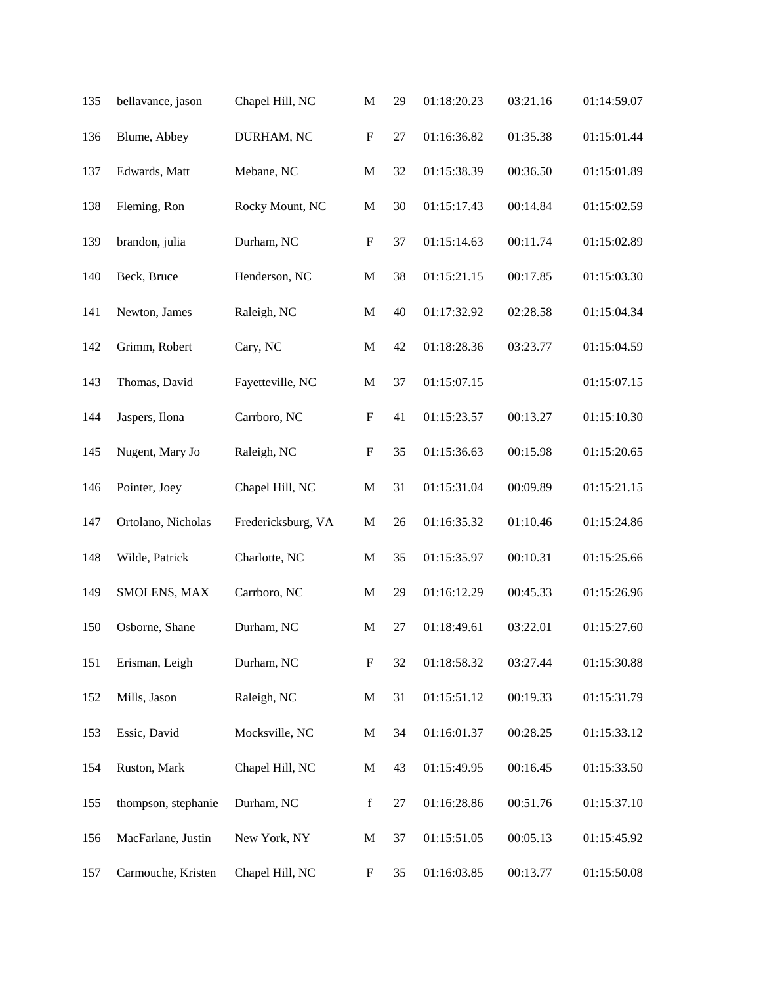| 135 | bellavance, jason   | Chapel Hill, NC    | $\mathbf M$               | 29 | 01:18:20.23 | 03:21.16 | 01:14:59.07 |
|-----|---------------------|--------------------|---------------------------|----|-------------|----------|-------------|
| 136 | Blume, Abbey        | DURHAM, NC         | ${\bf F}$                 | 27 | 01:16:36.82 | 01:35.38 | 01:15:01.44 |
| 137 | Edwards, Matt       | Mebane, NC         | $\mathbf M$               | 32 | 01:15:38.39 | 00:36.50 | 01:15:01.89 |
| 138 | Fleming, Ron        | Rocky Mount, NC    | $\mathbf M$               | 30 | 01:15:17.43 | 00:14.84 | 01:15:02.59 |
| 139 | brandon, julia      | Durham, NC         | $\mathbf F$               | 37 | 01:15:14.63 | 00:11.74 | 01:15:02.89 |
| 140 | Beck, Bruce         | Henderson, NC      | $\mathbf M$               | 38 | 01:15:21.15 | 00:17.85 | 01:15:03.30 |
| 141 | Newton, James       | Raleigh, NC        | $\mathbf M$               | 40 | 01:17:32.92 | 02:28.58 | 01:15:04.34 |
| 142 | Grimm, Robert       | Cary, NC           | $\mathbf M$               | 42 | 01:18:28.36 | 03:23.77 | 01:15:04.59 |
| 143 | Thomas, David       | Fayetteville, NC   | $\mathbf M$               | 37 | 01:15:07.15 |          | 01:15:07.15 |
| 144 | Jaspers, Ilona      | Carrboro, NC       | $\boldsymbol{\mathrm{F}}$ | 41 | 01:15:23.57 | 00:13.27 | 01:15:10.30 |
| 145 | Nugent, Mary Jo     | Raleigh, NC        | $\boldsymbol{\mathrm{F}}$ | 35 | 01:15:36.63 | 00:15.98 | 01:15:20.65 |
| 146 | Pointer, Joey       | Chapel Hill, NC    | $\mathbf M$               | 31 | 01:15:31.04 | 00:09.89 | 01:15:21.15 |
| 147 | Ortolano, Nicholas  | Fredericksburg, VA | $\mathbf M$               | 26 | 01:16:35.32 | 01:10.46 | 01:15:24.86 |
| 148 | Wilde, Patrick      | Charlotte, NC      | $\mathbf M$               | 35 | 01:15:35.97 | 00:10.31 | 01:15:25.66 |
| 149 | SMOLENS, MAX        | Carrboro, NC       | $\mathbf M$               | 29 | 01:16:12.29 | 00:45.33 | 01:15:26.96 |
| 150 | Osborne, Shane      | Durham, NC         | $\mathbf M$               | 27 | 01:18:49.61 | 03:22.01 | 01:15:27.60 |
| 151 | Erisman, Leigh      | Durham, NC         | $\boldsymbol{\mathrm{F}}$ | 32 | 01:18:58.32 | 03:27.44 | 01:15:30.88 |
| 152 | Mills, Jason        | Raleigh, NC        | $\mathbf M$               | 31 | 01:15:51.12 | 00:19.33 | 01:15:31.79 |
| 153 | Essic, David        | Mocksville, NC     | M                         | 34 | 01:16:01.37 | 00:28.25 | 01:15:33.12 |
| 154 | Ruston, Mark        | Chapel Hill, NC    | M                         | 43 | 01:15:49.95 | 00:16.45 | 01:15:33.50 |
| 155 | thompson, stephanie | Durham, NC         | $\mathbf f$               | 27 | 01:16:28.86 | 00:51.76 | 01:15:37.10 |
| 156 | MacFarlane, Justin  | New York, NY       | $\mathbf M$               | 37 | 01:15:51.05 | 00:05.13 | 01:15:45.92 |
| 157 | Carmouche, Kristen  | Chapel Hill, NC    | F                         | 35 | 01:16:03.85 | 00:13.77 | 01:15:50.08 |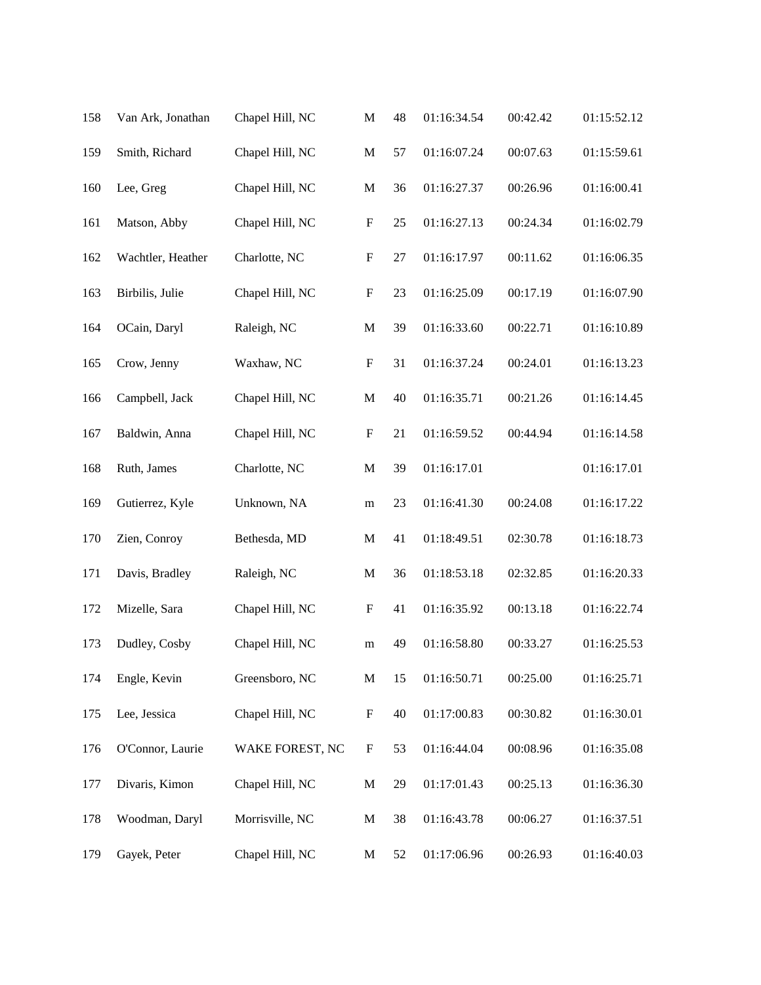| 158 | Van Ark, Jonathan | Chapel Hill, NC | $\mathbf M$               | 48 | 01:16:34.54 | 00:42.42 | 01:15:52.12 |
|-----|-------------------|-----------------|---------------------------|----|-------------|----------|-------------|
| 159 | Smith, Richard    | Chapel Hill, NC | $\mathbf M$               | 57 | 01:16:07.24 | 00:07.63 | 01:15:59.61 |
| 160 | Lee, Greg         | Chapel Hill, NC | $\mathbf M$               | 36 | 01:16:27.37 | 00:26.96 | 01:16:00.41 |
| 161 | Matson, Abby      | Chapel Hill, NC | $\boldsymbol{\mathrm{F}}$ | 25 | 01:16:27.13 | 00:24.34 | 01:16:02.79 |
| 162 | Wachtler, Heather | Charlotte, NC   | $\boldsymbol{\mathrm{F}}$ | 27 | 01:16:17.97 | 00:11.62 | 01:16:06.35 |
| 163 | Birbilis, Julie   | Chapel Hill, NC | $\boldsymbol{\mathrm{F}}$ | 23 | 01:16:25.09 | 00:17.19 | 01:16:07.90 |
| 164 | OCain, Daryl      | Raleigh, NC     | $\mathbf M$               | 39 | 01:16:33.60 | 00:22.71 | 01:16:10.89 |
| 165 | Crow, Jenny       | Waxhaw, NC      | $\boldsymbol{\mathrm{F}}$ | 31 | 01:16:37.24 | 00:24.01 | 01:16:13.23 |
| 166 | Campbell, Jack    | Chapel Hill, NC | $\mathbf M$               | 40 | 01:16:35.71 | 00:21.26 | 01:16:14.45 |
| 167 | Baldwin, Anna     | Chapel Hill, NC | $\boldsymbol{\mathrm{F}}$ | 21 | 01:16:59.52 | 00:44.94 | 01:16:14.58 |
| 168 | Ruth, James       | Charlotte, NC   | $\mathbf M$               | 39 | 01:16:17.01 |          | 01:16:17.01 |
| 169 | Gutierrez, Kyle   | Unknown, NA     | m                         | 23 | 01:16:41.30 | 00:24.08 | 01:16:17.22 |
| 170 | Zien, Conroy      | Bethesda, MD    | $\mathbf M$               | 41 | 01:18:49.51 | 02:30.78 | 01:16:18.73 |
| 171 | Davis, Bradley    | Raleigh, NC     | $\mathbf M$               | 36 | 01:18:53.18 | 02:32.85 | 01:16:20.33 |
| 172 | Mizelle, Sara     | Chapel Hill, NC | $\boldsymbol{F}$          | 41 | 01:16:35.92 | 00:13.18 | 01:16:22.74 |
| 173 | Dudley, Cosby     | Chapel Hill, NC | m                         | 49 | 01:16:58.80 | 00:33.27 | 01:16:25.53 |
| 174 | Engle, Kevin      | Greensboro, NC  | $\mathbf M$               | 15 | 01:16:50.71 | 00:25.00 | 01:16:25.71 |
| 175 | Lee, Jessica      | Chapel Hill, NC | $\boldsymbol{F}$          | 40 | 01:17:00.83 | 00:30.82 | 01:16:30.01 |
| 176 | O'Connor, Laurie  | WAKE FOREST, NC | $\mathbf{F}$              | 53 | 01:16:44.04 | 00:08.96 | 01:16:35.08 |
| 177 | Divaris, Kimon    | Chapel Hill, NC | M                         | 29 | 01:17:01.43 | 00:25.13 | 01:16:36.30 |
| 178 | Woodman, Daryl    | Morrisville, NC | M                         | 38 | 01:16:43.78 | 00:06.27 | 01:16:37.51 |
| 179 | Gayek, Peter      | Chapel Hill, NC | M                         | 52 | 01:17:06.96 | 00:26.93 | 01:16:40.03 |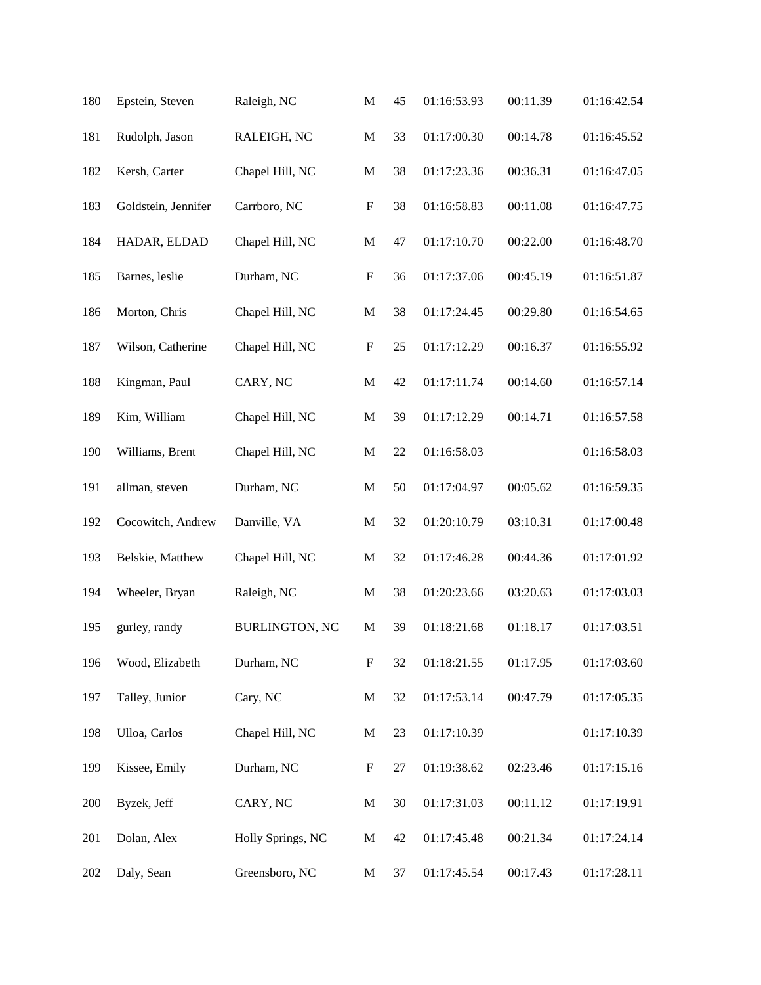| 180 | Epstein, Steven     | Raleigh, NC           | $\mathbf M$               | 45 | 01:16:53.93 | 00:11.39 | 01:16:42.54 |
|-----|---------------------|-----------------------|---------------------------|----|-------------|----------|-------------|
| 181 | Rudolph, Jason      | RALEIGH, NC           | $\mathbf M$               | 33 | 01:17:00.30 | 00:14.78 | 01:16:45.52 |
| 182 | Kersh, Carter       | Chapel Hill, NC       | $\mathbf M$               | 38 | 01:17:23.36 | 00:36.31 | 01:16:47.05 |
| 183 | Goldstein, Jennifer | Carrboro, NC          | $\boldsymbol{\mathrm{F}}$ | 38 | 01:16:58.83 | 00:11.08 | 01:16:47.75 |
| 184 | HADAR, ELDAD        | Chapel Hill, NC       | $\mathbf M$               | 47 | 01:17:10.70 | 00:22.00 | 01:16:48.70 |
| 185 | Barnes, leslie      | Durham, NC            | $\boldsymbol{\mathrm{F}}$ | 36 | 01:17:37.06 | 00:45.19 | 01:16:51.87 |
| 186 | Morton, Chris       | Chapel Hill, NC       | $\mathbf M$               | 38 | 01:17:24.45 | 00:29.80 | 01:16:54.65 |
| 187 | Wilson, Catherine   | Chapel Hill, NC       | $\boldsymbol{\mathrm{F}}$ | 25 | 01:17:12.29 | 00:16.37 | 01:16:55.92 |
| 188 | Kingman, Paul       | CARY, NC              | $\mathbf M$               | 42 | 01:17:11.74 | 00:14.60 | 01:16:57.14 |
| 189 | Kim, William        | Chapel Hill, NC       | $\mathbf M$               | 39 | 01:17:12.29 | 00:14.71 | 01:16:57.58 |
| 190 | Williams, Brent     | Chapel Hill, NC       | $\mathbf M$               | 22 | 01:16:58.03 |          | 01:16:58.03 |
| 191 | allman, steven      | Durham, NC            | $\mathbf M$               | 50 | 01:17:04.97 | 00:05.62 | 01:16:59.35 |
| 192 | Cocowitch, Andrew   | Danville, VA          | $\mathbf M$               | 32 | 01:20:10.79 | 03:10.31 | 01:17:00.48 |
| 193 | Belskie, Matthew    | Chapel Hill, NC       | $\mathbf M$               | 32 | 01:17:46.28 | 00:44.36 | 01:17:01.92 |
| 194 | Wheeler, Bryan      | Raleigh, NC           | $\mathbf{M}$              | 38 | 01:20:23.66 | 03:20.63 | 01:17:03.03 |
| 195 | gurley, randy       | <b>BURLINGTON, NC</b> | $\mathbf{M}$              | 39 | 01:18:21.68 | 01:18.17 | 01:17:03.51 |
| 196 | Wood, Elizabeth     | Durham, NC            | $\boldsymbol{\mathrm{F}}$ | 32 | 01:18:21.55 | 01:17.95 | 01:17:03.60 |
| 197 | Talley, Junior      | Cary, NC              | $\mathbf M$               | 32 | 01:17:53.14 | 00:47.79 | 01:17:05.35 |
| 198 | Ulloa, Carlos       | Chapel Hill, NC       | M                         | 23 | 01:17:10.39 |          | 01:17:10.39 |
| 199 | Kissee, Emily       | Durham, NC            | $\boldsymbol{F}$          | 27 | 01:19:38.62 | 02:23.46 | 01:17:15.16 |
| 200 | Byzek, Jeff         | CARY, NC              | $\mathbf{M}$              | 30 | 01:17:31.03 | 00:11.12 | 01:17:19.91 |
| 201 | Dolan, Alex         | Holly Springs, NC     | M                         | 42 | 01:17:45.48 | 00:21.34 | 01:17:24.14 |
| 202 | Daly, Sean          | Greensboro, NC        | M                         | 37 | 01:17:45.54 | 00:17.43 | 01:17:28.11 |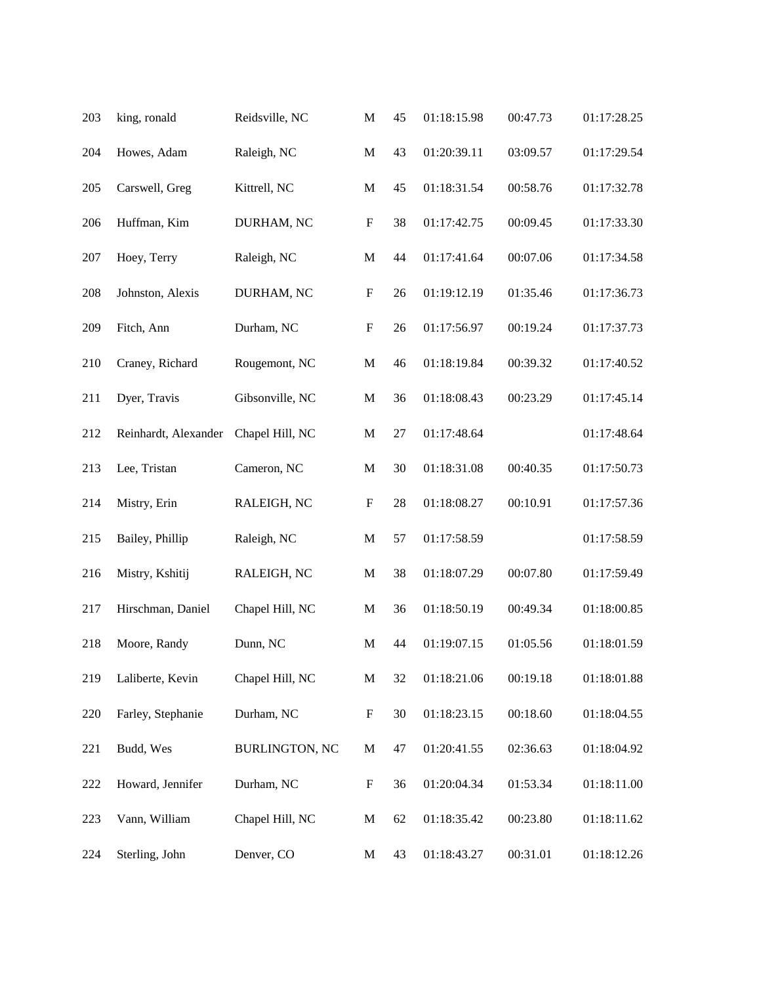| 203 | king, ronald         | Reidsville, NC        | $\mathbf M$               | 45     | 01:18:15.98 | 00:47.73 | 01:17:28.25 |
|-----|----------------------|-----------------------|---------------------------|--------|-------------|----------|-------------|
| 204 | Howes, Adam          | Raleigh, NC           | $\mathbf M$               | 43     | 01:20:39.11 | 03:09.57 | 01:17:29.54 |
| 205 | Carswell, Greg       | Kittrell, NC          | $\mathbf M$               | 45     | 01:18:31.54 | 00:58.76 | 01:17:32.78 |
| 206 | Huffman, Kim         | DURHAM, NC            | $\boldsymbol{\mathrm{F}}$ | 38     | 01:17:42.75 | 00:09.45 | 01:17:33.30 |
| 207 | Hoey, Terry          | Raleigh, NC           | $\mathbf M$               | 44     | 01:17:41.64 | 00:07.06 | 01:17:34.58 |
| 208 | Johnston, Alexis     | DURHAM, NC            | $\boldsymbol{\mathrm{F}}$ | 26     | 01:19:12.19 | 01:35.46 | 01:17:36.73 |
| 209 | Fitch, Ann           | Durham, NC            | $\boldsymbol{\mathrm{F}}$ | 26     | 01:17:56.97 | 00:19.24 | 01:17:37.73 |
| 210 | Craney, Richard      | Rougemont, NC         | $\mathbf M$               | 46     | 01:18:19.84 | 00:39.32 | 01:17:40.52 |
| 211 | Dyer, Travis         | Gibsonville, NC       | $\mathbf M$               | 36     | 01:18:08.43 | 00:23.29 | 01:17:45.14 |
| 212 | Reinhardt, Alexander | Chapel Hill, NC       | $\mathbf M$               | $27\,$ | 01:17:48.64 |          | 01:17:48.64 |
| 213 | Lee, Tristan         | Cameron, NC           | $\mathbf M$               | 30     | 01:18:31.08 | 00:40.35 | 01:17:50.73 |
| 214 | Mistry, Erin         | RALEIGH, NC           | $\boldsymbol{\mathrm{F}}$ | 28     | 01:18:08.27 | 00:10.91 | 01:17:57.36 |
| 215 | Bailey, Phillip      | Raleigh, NC           | $\mathbf M$               | 57     | 01:17:58.59 |          | 01:17:58.59 |
| 216 | Mistry, Kshitij      | RALEIGH, NC           | $\mathbf M$               | 38     | 01:18:07.29 | 00:07.80 | 01:17:59.49 |
| 217 | Hirschman, Daniel    | Chapel Hill, NC       | M                         | 36     | 01:18:50.19 | 00:49.34 | 01:18:00.85 |
| 218 | Moore, Randy         | Dunn, NC              | M                         | 44     | 01:19:07.15 | 01:05.56 | 01:18:01.59 |
| 219 | Laliberte, Kevin     | Chapel Hill, NC       | $\mathbf M$               | 32     | 01:18:21.06 | 00:19.18 | 01:18:01.88 |
| 220 | Farley, Stephanie    | Durham, NC            | $\boldsymbol{\mathrm{F}}$ | 30     | 01:18:23.15 | 00:18.60 | 01:18:04.55 |
| 221 | Budd, Wes            | <b>BURLINGTON, NC</b> | $\mathbf M$               | 47     | 01:20:41.55 | 02:36.63 | 01:18:04.92 |
| 222 | Howard, Jennifer     | Durham, NC            | $\boldsymbol{F}$          | 36     | 01:20:04.34 | 01:53.34 | 01:18:11.00 |
| 223 | Vann, William        | Chapel Hill, NC       | $\mathbf M$               | 62     | 01:18:35.42 | 00:23.80 | 01:18:11.62 |
| 224 | Sterling, John       | Denver, CO            | M                         | 43     | 01:18:43.27 | 00:31.01 | 01:18:12.26 |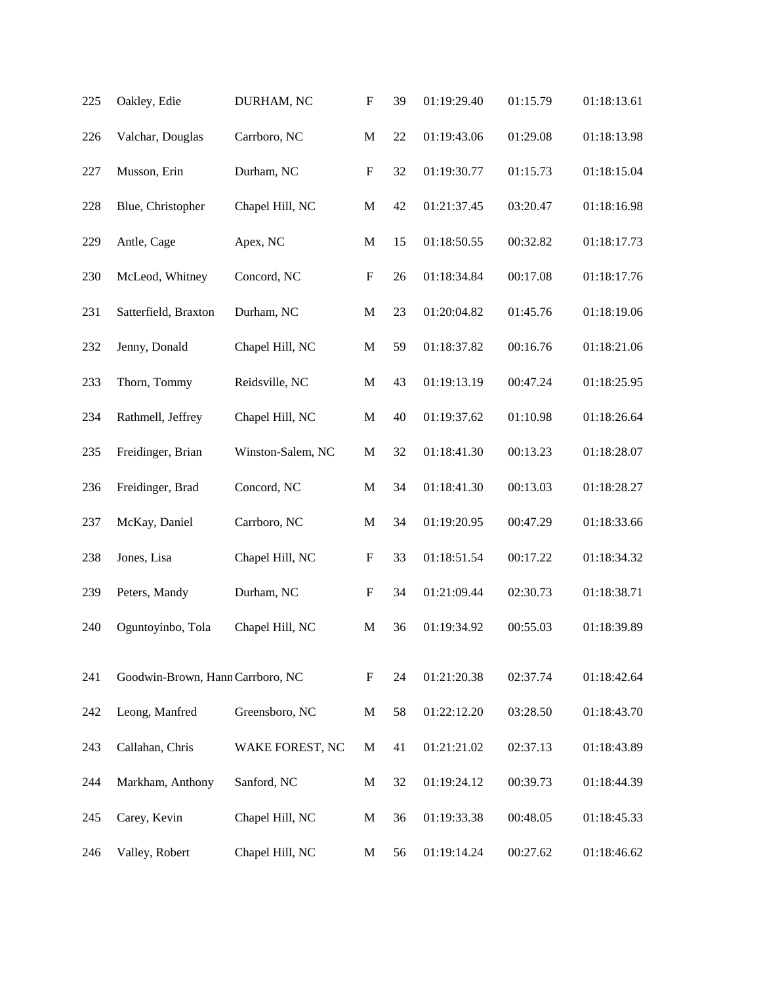| 225 | Oakley, Edie                     | DURHAM, NC        | $\boldsymbol{\mathrm{F}}$ | 39 | 01:19:29.40 | 01:15.79 | 01:18:13.61 |
|-----|----------------------------------|-------------------|---------------------------|----|-------------|----------|-------------|
| 226 | Valchar, Douglas                 | Carrboro, NC      | $\mathbf M$               | 22 | 01:19:43.06 | 01:29.08 | 01:18:13.98 |
| 227 | Musson, Erin                     | Durham, NC        | $\boldsymbol{\mathrm{F}}$ | 32 | 01:19:30.77 | 01:15.73 | 01:18:15.04 |
| 228 | Blue, Christopher                | Chapel Hill, NC   | $\mathbf M$               | 42 | 01:21:37.45 | 03:20.47 | 01:18:16.98 |
| 229 | Antle, Cage                      | Apex, NC          | $\mathbf M$               | 15 | 01:18:50.55 | 00:32.82 | 01:18:17.73 |
| 230 | McLeod, Whitney                  | Concord, NC       | $\boldsymbol{\mathrm{F}}$ | 26 | 01:18:34.84 | 00:17.08 | 01:18:17.76 |
| 231 | Satterfield, Braxton             | Durham, NC        | $\mathbf M$               | 23 | 01:20:04.82 | 01:45.76 | 01:18:19.06 |
| 232 | Jenny, Donald                    | Chapel Hill, NC   | $\mathbf M$               | 59 | 01:18:37.82 | 00:16.76 | 01:18:21.06 |
| 233 | Thorn, Tommy                     | Reidsville, NC    | $\mathbf M$               | 43 | 01:19:13.19 | 00:47.24 | 01:18:25.95 |
| 234 | Rathmell, Jeffrey                | Chapel Hill, NC   | $\mathbf M$               | 40 | 01:19:37.62 | 01:10.98 | 01:18:26.64 |
| 235 | Freidinger, Brian                | Winston-Salem, NC | $\mathbf M$               | 32 | 01:18:41.30 | 00:13.23 | 01:18:28.07 |
| 236 | Freidinger, Brad                 | Concord, NC       | $\mathbf M$               | 34 | 01:18:41.30 | 00:13.03 | 01:18:28.27 |
| 237 | McKay, Daniel                    | Carrboro, NC      | $\mathbf M$               | 34 | 01:19:20.95 | 00:47.29 | 01:18:33.66 |
| 238 | Jones, Lisa                      | Chapel Hill, NC   | $\boldsymbol{\mathrm{F}}$ | 33 | 01:18:51.54 | 00:17.22 | 01:18:34.32 |
| 239 | Peters, Mandy                    | Durham, NC        | $\boldsymbol{\mathrm{F}}$ | 34 | 01:21:09.44 | 02:30.73 | 01:18:38.71 |
| 240 | Oguntoyinbo, Tola                | Chapel Hill, NC   | M                         | 36 | 01:19:34.92 | 00:55.03 | 01:18:39.89 |
| 241 | Goodwin-Brown, Hann Carrboro, NC |                   | $\mathbf F$               | 24 | 01:21:20.38 | 02:37.74 | 01:18:42.64 |
| 242 | Leong, Manfred                   | Greensboro, NC    | $\mathbf M$               | 58 | 01:22:12.20 | 03:28.50 | 01:18:43.70 |
| 243 | Callahan, Chris                  | WAKE FOREST, NC   | M                         | 41 | 01:21:21.02 | 02:37.13 | 01:18:43.89 |
| 244 | Markham, Anthony                 | Sanford, NC       | M                         | 32 | 01:19:24.12 | 00:39.73 | 01:18:44.39 |
| 245 | Carey, Kevin                     | Chapel Hill, NC   | $\mathbf{M}$              | 36 | 01:19:33.38 | 00:48.05 | 01:18:45.33 |
| 246 | Valley, Robert                   | Chapel Hill, NC   | M                         | 56 | 01:19:14.24 | 00:27.62 | 01:18:46.62 |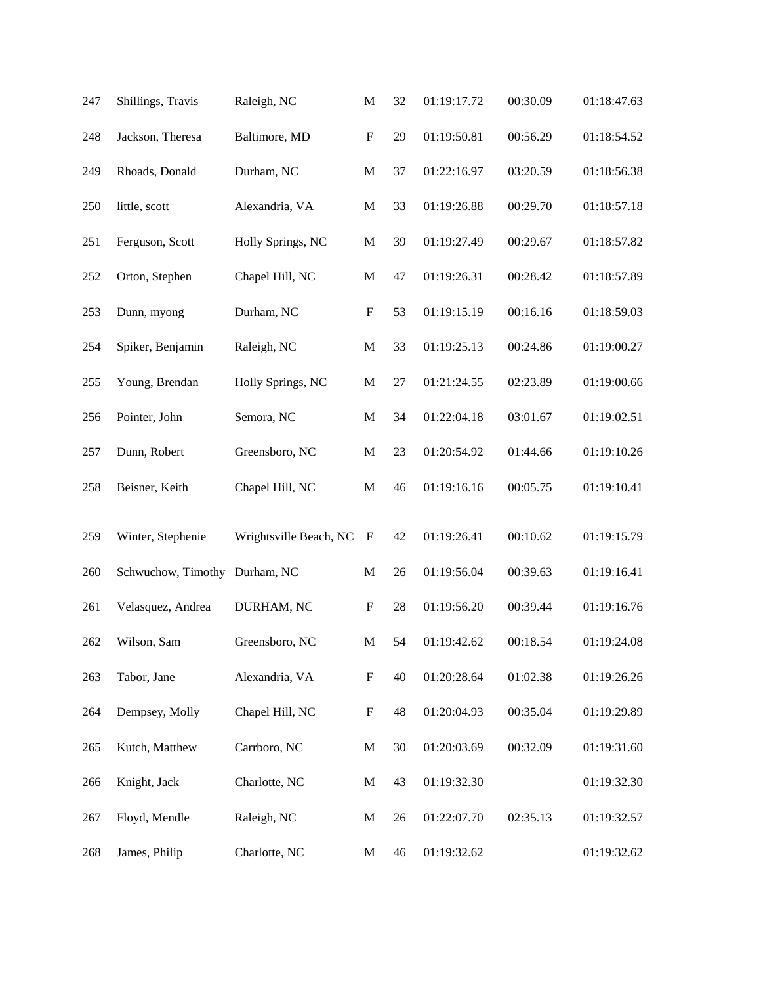| 247 | Shillings, Travis  | Raleigh, NC            | $\mathbf M$               | 32 | 01:19:17.72 | 00:30.09 | 01:18:47.63 |
|-----|--------------------|------------------------|---------------------------|----|-------------|----------|-------------|
| 248 | Jackson, Theresa   | Baltimore, MD          | ${\bf F}$                 | 29 | 01:19:50.81 | 00:56.29 | 01:18:54.52 |
| 249 | Rhoads, Donald     | Durham, NC             | $\mathbf M$               | 37 | 01:22:16.97 | 03:20.59 | 01:18:56.38 |
| 250 | little, scott      | Alexandria, VA         | $\mathbf M$               | 33 | 01:19:26.88 | 00:29.70 | 01:18:57.18 |
| 251 | Ferguson, Scott    | Holly Springs, NC      | $\mathbf M$               | 39 | 01:19:27.49 | 00:29.67 | 01:18:57.82 |
| 252 | Orton, Stephen     | Chapel Hill, NC        | $\mathbf M$               | 47 | 01:19:26.31 | 00:28.42 | 01:18:57.89 |
| 253 | Dunn, myong        | Durham, NC             | ${\bf F}$                 | 53 | 01:19:15.19 | 00:16.16 | 01:18:59.03 |
| 254 | Spiker, Benjamin   | Raleigh, NC            | $\mathbf M$               | 33 | 01:19:25.13 | 00:24.86 | 01:19:00.27 |
| 255 | Young, Brendan     | Holly Springs, NC      | $\mathbf M$               | 27 | 01:21:24.55 | 02:23.89 | 01:19:00.66 |
| 256 | Pointer, John      | Semora, NC             | M                         | 34 | 01:22:04.18 | 03:01.67 | 01:19:02.51 |
| 257 | Dunn, Robert       | Greensboro, NC         | $\mathbf M$               | 23 | 01:20:54.92 | 01:44.66 | 01:19:10.26 |
| 258 | Beisner, Keith     | Chapel Hill, NC        | $\mathbf M$               | 46 | 01:19:16.16 | 00:05.75 | 01:19:10.41 |
| 259 | Winter, Stephenie  | Wrightsville Beach, NC | $\boldsymbol{F}$          | 42 | 01:19:26.41 | 00:10.62 | 01:19:15.79 |
| 260 | Schwuchow, Timothy | Durham, NC             | $\mathbf M$               | 26 | 01:19:56.04 | 00:39.63 | 01:19:16.41 |
| 261 | Velasquez, Andrea  | DURHAM, NC             | ${\bf F}$                 | 28 | 01:19:56.20 | 00:39.44 | 01:19:16.76 |
| 262 | Wilson, Sam        | Greensboro, NC         | $\mathbf M$               | 54 | 01:19:42.62 | 00:18.54 | 01:19:24.08 |
| 263 | Tabor, Jane        | Alexandria, VA         | $\boldsymbol{\mathrm{F}}$ | 40 | 01:20:28.64 | 01:02.38 | 01:19:26.26 |
| 264 | Dempsey, Molly     | Chapel Hill, NC        | $\boldsymbol{\mathrm{F}}$ | 48 | 01:20:04.93 | 00:35.04 | 01:19:29.89 |
| 265 | Kutch, Matthew     | Carrboro, NC           | M                         | 30 | 01:20:03.69 | 00:32.09 | 01:19:31.60 |
| 266 | Knight, Jack       | Charlotte, NC          | M                         | 43 | 01:19:32.30 |          | 01:19:32.30 |
| 267 | Floyd, Mendle      | Raleigh, NC            | M                         | 26 | 01:22:07.70 | 02:35.13 | 01:19:32.57 |
| 268 | James, Philip      | Charlotte, NC          | M                         | 46 | 01:19:32.62 |          | 01:19:32.62 |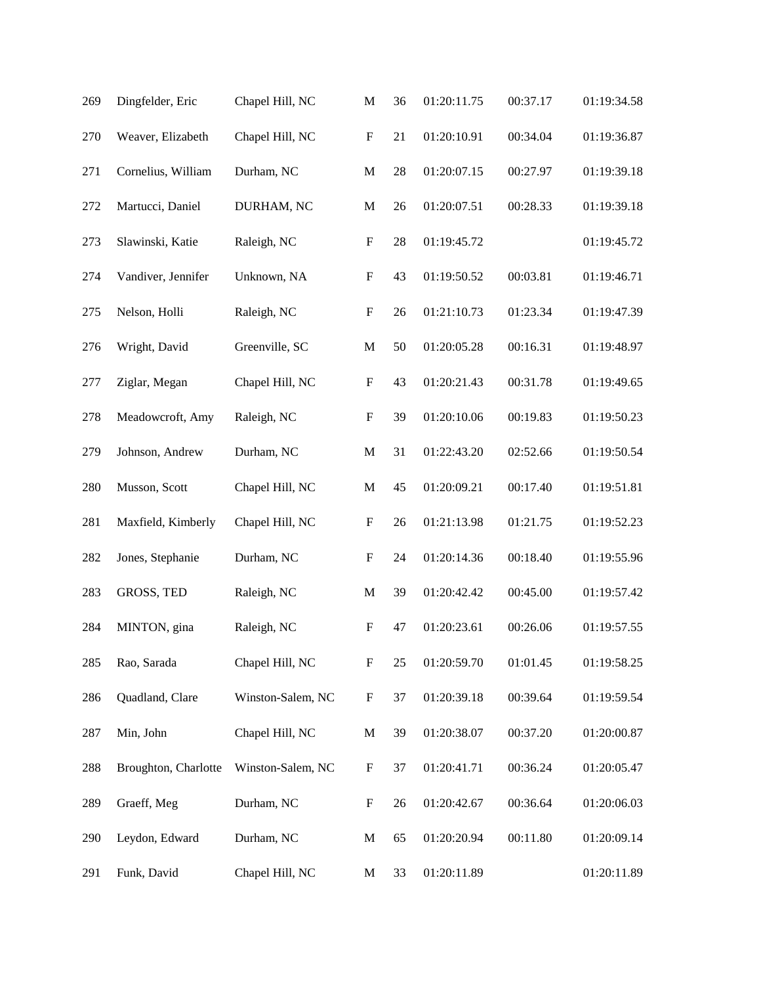| 269 | Dingfelder, Eric     | Chapel Hill, NC   | $\mathbf M$               | 36 | 01:20:11.75 | 00:37.17 | 01:19:34.58 |
|-----|----------------------|-------------------|---------------------------|----|-------------|----------|-------------|
| 270 | Weaver, Elizabeth    | Chapel Hill, NC   | ${\bf F}$                 | 21 | 01:20:10.91 | 00:34.04 | 01:19:36.87 |
| 271 | Cornelius, William   | Durham, NC        | $\mathbf M$               | 28 | 01:20:07.15 | 00:27.97 | 01:19:39.18 |
| 272 | Martucci, Daniel     | DURHAM, NC        | $\mathbf M$               | 26 | 01:20:07.51 | 00:28.33 | 01:19:39.18 |
| 273 | Slawinski, Katie     | Raleigh, NC       | ${\bf F}$                 | 28 | 01:19:45.72 |          | 01:19:45.72 |
| 274 | Vandiver, Jennifer   | Unknown, NA       | $\boldsymbol{\mathrm{F}}$ | 43 | 01:19:50.52 | 00:03.81 | 01:19:46.71 |
| 275 | Nelson, Holli        | Raleigh, NC       | $\boldsymbol{\mathrm{F}}$ | 26 | 01:21:10.73 | 01:23.34 | 01:19:47.39 |
| 276 | Wright, David        | Greenville, SC    | $\mathbf M$               | 50 | 01:20:05.28 | 00:16.31 | 01:19:48.97 |
| 277 | Ziglar, Megan        | Chapel Hill, NC   | ${\bf F}$                 | 43 | 01:20:21.43 | 00:31.78 | 01:19:49.65 |
| 278 | Meadowcroft, Amy     | Raleigh, NC       | $\boldsymbol{\mathrm{F}}$ | 39 | 01:20:10.06 | 00:19.83 | 01:19:50.23 |
| 279 | Johnson, Andrew      | Durham, NC        | $\mathbf M$               | 31 | 01:22:43.20 | 02:52.66 | 01:19:50.54 |
| 280 | Musson, Scott        | Chapel Hill, NC   | $\mathbf M$               | 45 | 01:20:09.21 | 00:17.40 | 01:19:51.81 |
| 281 | Maxfield, Kimberly   | Chapel Hill, NC   | $\boldsymbol{\mathrm{F}}$ | 26 | 01:21:13.98 | 01:21.75 | 01:19:52.23 |
| 282 | Jones, Stephanie     | Durham, NC        | $\boldsymbol{\mathrm{F}}$ | 24 | 01:20:14.36 | 00:18.40 | 01:19:55.96 |
| 283 | GROSS, TED           | Raleigh, NC       | $\mathbf M$               | 39 | 01:20:42.42 | 00:45.00 | 01:19:57.42 |
| 284 | MINTON, gina         | Raleigh, NC       | $\boldsymbol{\mathrm{F}}$ | 47 | 01:20:23.61 | 00:26.06 | 01:19:57.55 |
| 285 | Rao, Sarada          | Chapel Hill, NC   | $\boldsymbol{\mathrm{F}}$ | 25 | 01:20:59.70 | 01:01.45 | 01:19:58.25 |
| 286 | Quadland, Clare      | Winston-Salem, NC | $\boldsymbol{\mathrm{F}}$ | 37 | 01:20:39.18 | 00:39.64 | 01:19:59.54 |
| 287 | Min, John            | Chapel Hill, NC   | $\mathbf M$               | 39 | 01:20:38.07 | 00:37.20 | 01:20:00.87 |
| 288 | Broughton, Charlotte | Winston-Salem, NC | $\boldsymbol{F}$          | 37 | 01:20:41.71 | 00:36.24 | 01:20:05.47 |
| 289 | Graeff, Meg          | Durham, NC        | $\boldsymbol{\mathrm{F}}$ | 26 | 01:20:42.67 | 00:36.64 | 01:20:06.03 |
| 290 | Leydon, Edward       | Durham, NC        | $\mathbf M$               | 65 | 01:20:20.94 | 00:11.80 | 01:20:09.14 |
| 291 | Funk, David          | Chapel Hill, NC   | M                         | 33 | 01:20:11.89 |          | 01:20:11.89 |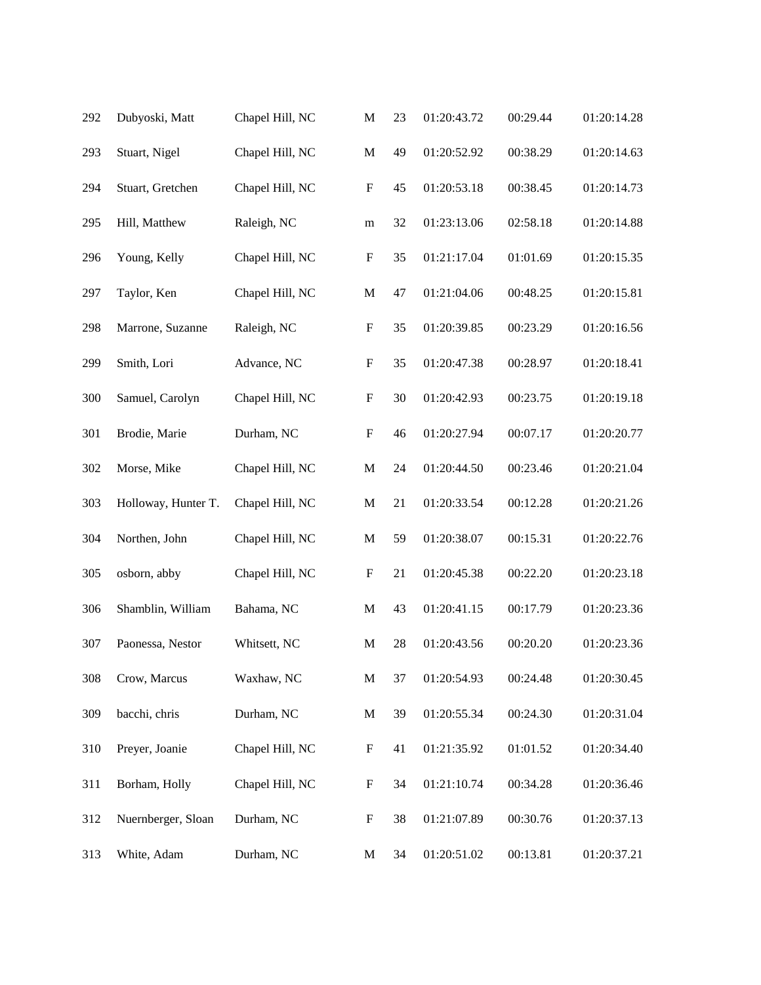| 292 | Dubyoski, Matt      | Chapel Hill, NC | $\mathbf M$               | 23 | 01:20:43.72 | 00:29.44 | 01:20:14.28 |
|-----|---------------------|-----------------|---------------------------|----|-------------|----------|-------------|
| 293 | Stuart, Nigel       | Chapel Hill, NC | $\mathbf M$               | 49 | 01:20:52.92 | 00:38.29 | 01:20:14.63 |
| 294 | Stuart, Gretchen    | Chapel Hill, NC | $\boldsymbol{\mathrm{F}}$ | 45 | 01:20:53.18 | 00:38.45 | 01:20:14.73 |
| 295 | Hill, Matthew       | Raleigh, NC     | ${\bf m}$                 | 32 | 01:23:13.06 | 02:58.18 | 01:20:14.88 |
| 296 | Young, Kelly        | Chapel Hill, NC | $\boldsymbol{\mathrm{F}}$ | 35 | 01:21:17.04 | 01:01.69 | 01:20:15.35 |
| 297 | Taylor, Ken         | Chapel Hill, NC | $\mathbf M$               | 47 | 01:21:04.06 | 00:48.25 | 01:20:15.81 |
| 298 | Marrone, Suzanne    | Raleigh, NC     | $\boldsymbol{\mathrm{F}}$ | 35 | 01:20:39.85 | 00:23.29 | 01:20:16.56 |
| 299 | Smith, Lori         | Advance, NC     | $\boldsymbol{\mathrm{F}}$ | 35 | 01:20:47.38 | 00:28.97 | 01:20:18.41 |
| 300 | Samuel, Carolyn     | Chapel Hill, NC | $\boldsymbol{\mathrm{F}}$ | 30 | 01:20:42.93 | 00:23.75 | 01:20:19.18 |
| 301 | Brodie, Marie       | Durham, NC      | $\boldsymbol{\mathrm{F}}$ | 46 | 01:20:27.94 | 00:07.17 | 01:20:20.77 |
| 302 | Morse, Mike         | Chapel Hill, NC | $\mathbf M$               | 24 | 01:20:44.50 | 00:23.46 | 01:20:21.04 |
| 303 | Holloway, Hunter T. | Chapel Hill, NC | $\mathbf M$               | 21 | 01:20:33.54 | 00:12.28 | 01:20:21.26 |
| 304 | Northen, John       | Chapel Hill, NC | $\mathbf M$               | 59 | 01:20:38.07 | 00:15.31 | 01:20:22.76 |
| 305 | osborn, abby        | Chapel Hill, NC | $\mathbf F$               | 21 | 01:20:45.38 | 00:22.20 | 01:20:23.18 |
| 306 | Shamblin, William   | Bahama, NC      | M                         | 43 | 01:20:41.15 | 00:17.79 | 01:20:23.36 |
| 307 | Paonessa, Nestor    | Whitsett, NC    | M                         | 28 | 01:20:43.56 | 00:20.20 | 01:20:23.36 |
| 308 | Crow, Marcus        | Waxhaw, NC      | $\mathbf M$               | 37 | 01:20:54.93 | 00:24.48 | 01:20:30.45 |
| 309 | bacchi, chris       | Durham, NC      | $\mathbf M$               | 39 | 01:20:55.34 | 00:24.30 | 01:20:31.04 |
| 310 | Preyer, Joanie      | Chapel Hill, NC | $\boldsymbol{\mathrm{F}}$ | 41 | 01:21:35.92 | 01:01.52 | 01:20:34.40 |
| 311 | Borham, Holly       | Chapel Hill, NC | $\boldsymbol{F}$          | 34 | 01:21:10.74 | 00:34.28 | 01:20:36.46 |
| 312 | Nuernberger, Sloan  | Durham, NC      | $\mathbf F$               | 38 | 01:21:07.89 | 00:30.76 | 01:20:37.13 |
| 313 | White, Adam         | Durham, NC      | $\mathbf{M}$              | 34 | 01:20:51.02 | 00:13.81 | 01:20:37.21 |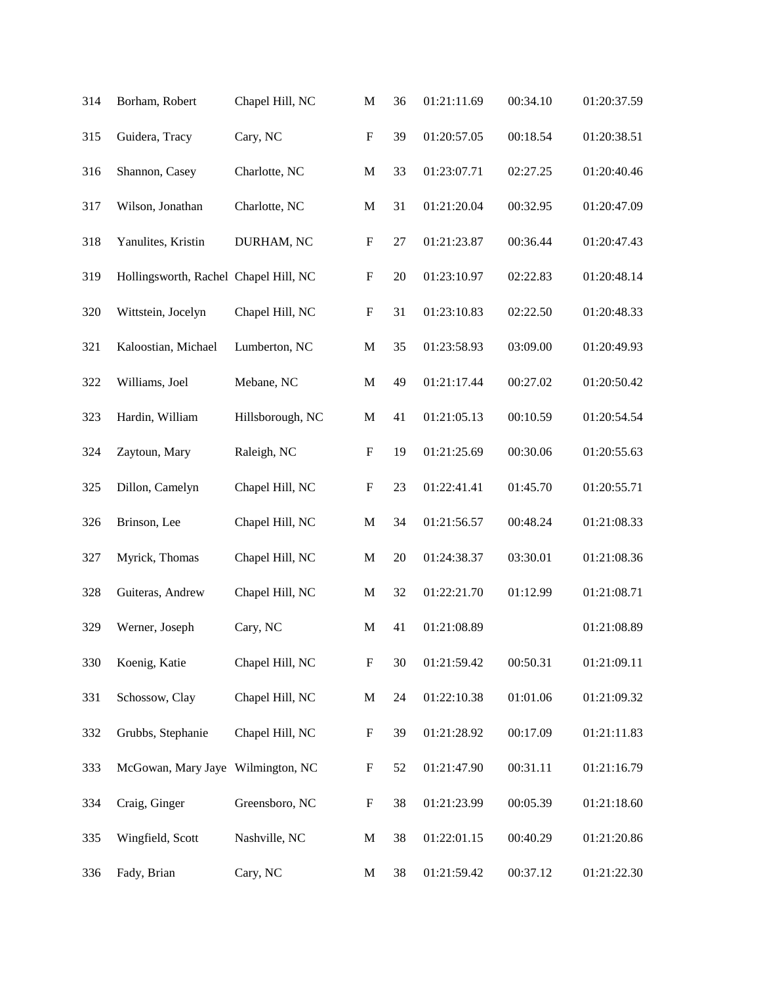| 314 | Borham, Robert                        | Chapel Hill, NC  | $\mathbf M$               | 36 | 01:21:11.69 | 00:34.10 | 01:20:37.59 |
|-----|---------------------------------------|------------------|---------------------------|----|-------------|----------|-------------|
| 315 | Guidera, Tracy                        | Cary, NC         | ${\bf F}$                 | 39 | 01:20:57.05 | 00:18.54 | 01:20:38.51 |
| 316 | Shannon, Casey                        | Charlotte, NC    | $\mathbf M$               | 33 | 01:23:07.71 | 02:27.25 | 01:20:40.46 |
| 317 | Wilson, Jonathan                      | Charlotte, NC    | $\mathbf M$               | 31 | 01:21:20.04 | 00:32.95 | 01:20:47.09 |
| 318 | Yanulites, Kristin                    | DURHAM, NC       | ${\bf F}$                 | 27 | 01:21:23.87 | 00:36.44 | 01:20:47.43 |
| 319 | Hollingsworth, Rachel Chapel Hill, NC |                  | $\boldsymbol{\mathrm{F}}$ | 20 | 01:23:10.97 | 02:22.83 | 01:20:48.14 |
| 320 | Wittstein, Jocelyn                    | Chapel Hill, NC  | ${\bf F}$                 | 31 | 01:23:10.83 | 02:22.50 | 01:20:48.33 |
| 321 | Kaloostian, Michael                   | Lumberton, NC    | $\mathbf M$               | 35 | 01:23:58.93 | 03:09.00 | 01:20:49.93 |
| 322 | Williams, Joel                        | Mebane, NC       | $\mathbf M$               | 49 | 01:21:17.44 | 00:27.02 | 01:20:50.42 |
| 323 | Hardin, William                       | Hillsborough, NC | $\mathbf M$               | 41 | 01:21:05.13 | 00:10.59 | 01:20:54.54 |
| 324 | Zaytoun, Mary                         | Raleigh, NC      | $\boldsymbol{\mathrm{F}}$ | 19 | 01:21:25.69 | 00:30.06 | 01:20:55.63 |
| 325 | Dillon, Camelyn                       | Chapel Hill, NC  | ${\bf F}$                 | 23 | 01:22:41.41 | 01:45.70 | 01:20:55.71 |
| 326 | Brinson, Lee                          | Chapel Hill, NC  | $\mathbf M$               | 34 | 01:21:56.57 | 00:48.24 | 01:21:08.33 |
| 327 | Myrick, Thomas                        | Chapel Hill, NC  | $\mathbf M$               | 20 | 01:24:38.37 | 03:30.01 | 01:21:08.36 |
| 328 | Guiteras, Andrew                      | Chapel Hill, NC  | M                         | 32 | 01:22:21.70 | 01:12.99 | 01:21:08.71 |
| 329 | Werner, Joseph                        | Cary, NC         | $\mathbf M$               | 41 | 01:21:08.89 |          | 01:21:08.89 |
| 330 | Koenig, Katie                         | Chapel Hill, NC  | ${\bf F}$                 | 30 | 01:21:59.42 | 00:50.31 | 01:21:09.11 |
| 331 | Schossow, Clay                        | Chapel Hill, NC  | $\mathbf M$               | 24 | 01:22:10.38 | 01:01.06 | 01:21:09.32 |
| 332 | Grubbs, Stephanie                     | Chapel Hill, NC  | $\boldsymbol{\mathrm{F}}$ | 39 | 01:21:28.92 | 00:17.09 | 01:21:11.83 |
| 333 | McGowan, Mary Jaye Wilmington, NC     |                  | $\boldsymbol{\mathrm{F}}$ | 52 | 01:21:47.90 | 00:31.11 | 01:21:16.79 |
| 334 | Craig, Ginger                         | Greensboro, NC   | ${\bf F}$                 | 38 | 01:21:23.99 | 00:05.39 | 01:21:18.60 |
| 335 | Wingfield, Scott                      | Nashville, NC    | $\mathbf M$               | 38 | 01:22:01.15 | 00:40.29 | 01:21:20.86 |
| 336 | Fady, Brian                           | Cary, NC         | M                         | 38 | 01:21:59.42 | 00:37.12 | 01:21:22.30 |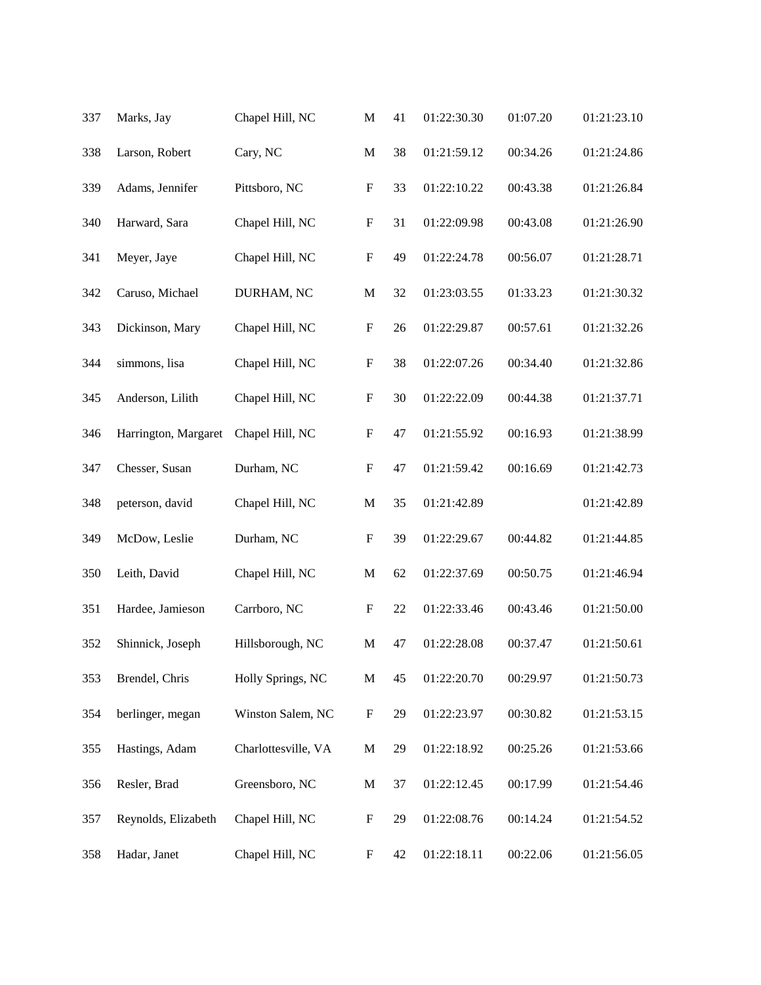| 337 | Marks, Jay           | Chapel Hill, NC     | M                         | 41 | 01:22:30.30 | 01:07.20 | 01:21:23.10 |
|-----|----------------------|---------------------|---------------------------|----|-------------|----------|-------------|
| 338 | Larson, Robert       | Cary, NC            | $\mathbf M$               | 38 | 01:21:59.12 | 00:34.26 | 01:21:24.86 |
| 339 | Adams, Jennifer      | Pittsboro, NC       | $\boldsymbol{\mathrm{F}}$ | 33 | 01:22:10.22 | 00:43.38 | 01:21:26.84 |
| 340 | Harward, Sara        | Chapel Hill, NC     | $\mathbf F$               | 31 | 01:22:09.98 | 00:43.08 | 01:21:26.90 |
| 341 | Meyer, Jaye          | Chapel Hill, NC     | $\mathbf F$               | 49 | 01:22:24.78 | 00:56.07 | 01:21:28.71 |
| 342 | Caruso, Michael      | DURHAM, NC          | $\mathbf M$               | 32 | 01:23:03.55 | 01:33.23 | 01:21:30.32 |
| 343 | Dickinson, Mary      | Chapel Hill, NC     | $\boldsymbol{\mathrm{F}}$ | 26 | 01:22:29.87 | 00:57.61 | 01:21:32.26 |
| 344 | simmons, lisa        | Chapel Hill, NC     | $\mathbf F$               | 38 | 01:22:07.26 | 00:34.40 | 01:21:32.86 |
| 345 | Anderson, Lilith     | Chapel Hill, NC     | $\boldsymbol{\mathrm{F}}$ | 30 | 01:22:22.09 | 00:44.38 | 01:21:37.71 |
| 346 | Harrington, Margaret | Chapel Hill, NC     | $\mathbf F$               | 47 | 01:21:55.92 | 00:16.93 | 01:21:38.99 |
| 347 | Chesser, Susan       | Durham, NC          | $\boldsymbol{\mathrm{F}}$ | 47 | 01:21:59.42 | 00:16.69 | 01:21:42.73 |
| 348 | peterson, david      | Chapel Hill, NC     | $\mathbf M$               | 35 | 01:21:42.89 |          | 01:21:42.89 |
| 349 | McDow, Leslie        | Durham, NC          | $\mathbf F$               | 39 | 01:22:29.67 | 00:44.82 | 01:21:44.85 |
| 350 | Leith, David         | Chapel Hill, NC     | $\mathbf M$               | 62 | 01:22:37.69 | 00:50.75 | 01:21:46.94 |
| 351 | Hardee, Jamieson     | Carrboro, NC        | F                         | 22 | 01:22:33.46 | 00:43.46 | 01:21:50.00 |
| 352 | Shinnick, Joseph     | Hillsborough, NC    | M                         | 47 | 01:22:28.08 | 00:37.47 | 01:21:50.61 |
| 353 | Brendel, Chris       | Holly Springs, NC   | $\mathbf M$               | 45 | 01:22:20.70 | 00:29.97 | 01:21:50.73 |
| 354 | berlinger, megan     | Winston Salem, NC   | $\boldsymbol{\mathrm{F}}$ | 29 | 01:22:23.97 | 00:30.82 | 01:21:53.15 |
| 355 | Hastings, Adam       | Charlottesville, VA | $\mathbf M$               | 29 | 01:22:18.92 | 00:25.26 | 01:21:53.66 |
| 356 | Resler, Brad         | Greensboro, NC      | $\mathbf M$               | 37 | 01:22:12.45 | 00:17.99 | 01:21:54.46 |
| 357 | Reynolds, Elizabeth  | Chapel Hill, NC     | $\mathbf F$               | 29 | 01:22:08.76 | 00:14.24 | 01:21:54.52 |
| 358 | Hadar, Janet         | Chapel Hill, NC     | $\boldsymbol{F}$          | 42 | 01:22:18.11 | 00:22.06 | 01:21:56.05 |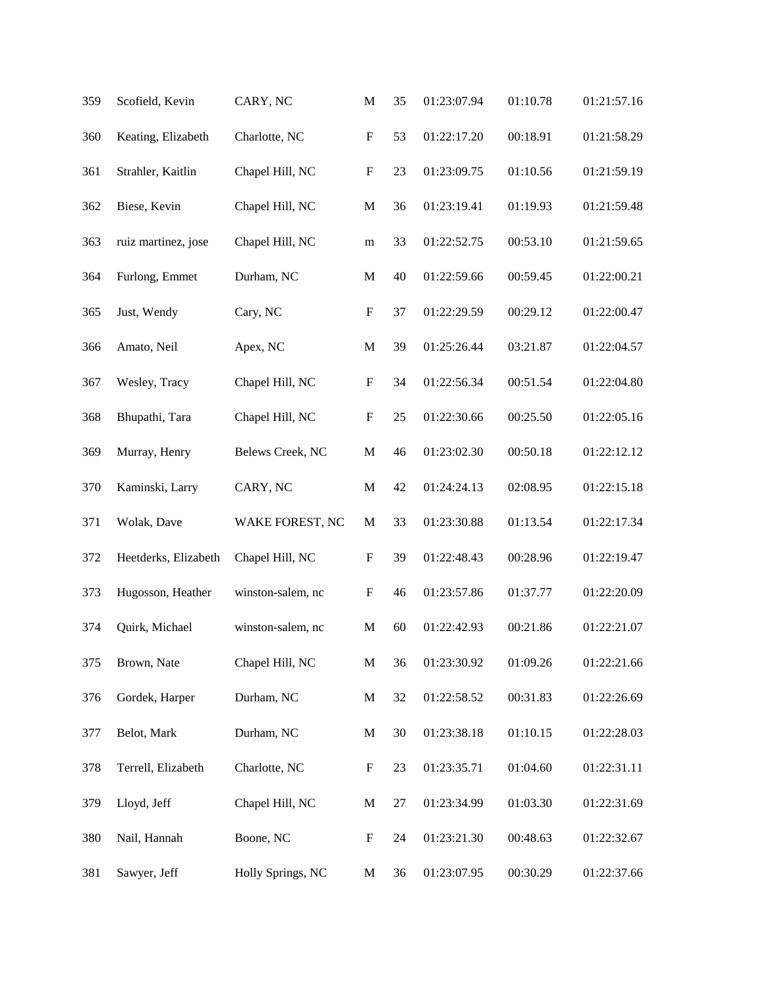| 359 | Scofield, Kevin      | CARY, NC          | $\mathbf M$               | 35 | 01:23:07.94 | 01:10.78 | 01:21:57.16 |
|-----|----------------------|-------------------|---------------------------|----|-------------|----------|-------------|
| 360 | Keating, Elizabeth   | Charlotte, NC     | ${\bf F}$                 | 53 | 01:22:17.20 | 00:18.91 | 01:21:58.29 |
| 361 | Strahler, Kaitlin    | Chapel Hill, NC   | $\boldsymbol{\mathrm{F}}$ | 23 | 01:23:09.75 | 01:10.56 | 01:21:59.19 |
| 362 | Biese, Kevin         | Chapel Hill, NC   | $\mathbf M$               | 36 | 01:23:19.41 | 01:19.93 | 01:21:59.48 |
| 363 | ruiz martinez, jose  | Chapel Hill, NC   | m                         | 33 | 01:22:52.75 | 00:53.10 | 01:21:59.65 |
| 364 | Furlong, Emmet       | Durham, NC        | $\mathbf M$               | 40 | 01:22:59.66 | 00:59.45 | 01:22:00.21 |
| 365 | Just, Wendy          | Cary, NC          | $\mathbf F$               | 37 | 01:22:29.59 | 00:29.12 | 01:22:00.47 |
| 366 | Amato, Neil          | Apex, NC          | $\mathbf M$               | 39 | 01:25:26.44 | 03:21.87 | 01:22:04.57 |
| 367 | Wesley, Tracy        | Chapel Hill, NC   | ${\bf F}$                 | 34 | 01:22:56.34 | 00:51.54 | 01:22:04.80 |
| 368 | Bhupathi, Tara       | Chapel Hill, NC   | $\mathbf F$               | 25 | 01:22:30.66 | 00:25.50 | 01:22:05.16 |
| 369 | Murray, Henry        | Belews Creek, NC  | $\mathbf M$               | 46 | 01:23:02.30 | 00:50.18 | 01:22:12.12 |
| 370 | Kaminski, Larry      | CARY, NC          | ${\bf M}$                 | 42 | 01:24:24.13 | 02:08.95 | 01:22:15.18 |
| 371 | Wolak, Dave          | WAKE FOREST, NC   | $\mathbf M$               | 33 | 01:23:30.88 | 01:13.54 | 01:22:17.34 |
| 372 | Heetderks, Elizabeth | Chapel Hill, NC   | $\boldsymbol{\mathrm{F}}$ | 39 | 01:22:48.43 | 00:28.96 | 01:22:19.47 |
| 373 | Hugosson, Heather    | winston-salem, nc | $\mathbf F$               | 46 | 01:23:57.86 | 01:37.77 | 01:22:20.09 |
| 374 | Quirk, Michael       | winston-salem, nc | M                         | 60 | 01:22:42.93 | 00:21.86 | 01:22:21.07 |
| 375 | Brown, Nate          | Chapel Hill, NC   | $\mathbf M$               | 36 | 01:23:30.92 | 01:09.26 | 01:22:21.66 |
| 376 | Gordek, Harper       | Durham, NC        | $\mathbf M$               | 32 | 01:22:58.52 | 00:31.83 | 01:22:26.69 |
| 377 | Belot, Mark          | Durham, NC        | $\mathbf M$               | 30 | 01:23:38.18 | 01:10.15 | 01:22:28.03 |
| 378 | Terrell, Elizabeth   | Charlotte, NC     | $\boldsymbol{F}$          | 23 | 01:23:35.71 | 01:04.60 | 01:22:31.11 |
| 379 | Lloyd, Jeff          | Chapel Hill, NC   | M                         | 27 | 01:23:34.99 | 01:03.30 | 01:22:31.69 |
| 380 | Nail, Hannah         | Boone, NC         | $\boldsymbol{\mathrm{F}}$ | 24 | 01:23:21.30 | 00:48.63 | 01:22:32.67 |
| 381 | Sawyer, Jeff         | Holly Springs, NC | M                         | 36 | 01:23:07.95 | 00:30.29 | 01:22:37.66 |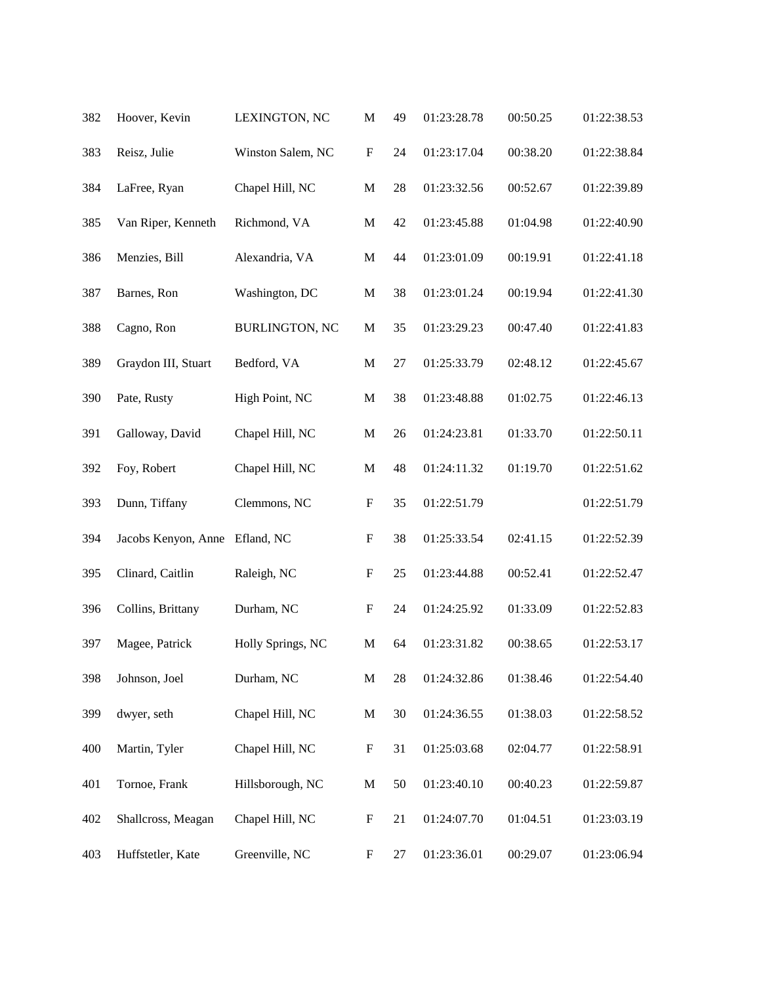| 382 | Hoover, Kevin       | LEXINGTON, NC         | $\mathbf M$               | 49 | 01:23:28.78 | 00:50.25 | 01:22:38.53 |
|-----|---------------------|-----------------------|---------------------------|----|-------------|----------|-------------|
| 383 | Reisz, Julie        | Winston Salem, NC     | ${\bf F}$                 | 24 | 01:23:17.04 | 00:38.20 | 01:22:38.84 |
| 384 | LaFree, Ryan        | Chapel Hill, NC       | $\mathbf M$               | 28 | 01:23:32.56 | 00:52.67 | 01:22:39.89 |
| 385 | Van Riper, Kenneth  | Richmond, VA          | M                         | 42 | 01:23:45.88 | 01:04.98 | 01:22:40.90 |
| 386 | Menzies, Bill       | Alexandria, VA        | $\mathbf M$               | 44 | 01:23:01.09 | 00:19.91 | 01:22:41.18 |
| 387 | Barnes, Ron         | Washington, DC        | $\mathbf M$               | 38 | 01:23:01.24 | 00:19.94 | 01:22:41.30 |
| 388 | Cagno, Ron          | <b>BURLINGTON, NC</b> | $\mathbf M$               | 35 | 01:23:29.23 | 00:47.40 | 01:22:41.83 |
| 389 | Graydon III, Stuart | Bedford, VA           | $\mathbf M$               | 27 | 01:25:33.79 | 02:48.12 | 01:22:45.67 |
| 390 | Pate, Rusty         | High Point, NC        | $\mathbf M$               | 38 | 01:23:48.88 | 01:02.75 | 01:22:46.13 |
| 391 | Galloway, David     | Chapel Hill, NC       | $\mathbf M$               | 26 | 01:24:23.81 | 01:33.70 | 01:22:50.11 |
| 392 | Foy, Robert         | Chapel Hill, NC       | $\mathbf M$               | 48 | 01:24:11.32 | 01:19.70 | 01:22:51.62 |
| 393 | Dunn, Tiffany       | Clemmons, NC          | ${\bf F}$                 | 35 | 01:22:51.79 |          | 01:22:51.79 |
| 394 | Jacobs Kenyon, Anne | Efland, NC            | $\boldsymbol{\mathrm{F}}$ | 38 | 01:25:33.54 | 02:41.15 | 01:22:52.39 |
| 395 | Clinard, Caitlin    | Raleigh, NC           | $\boldsymbol{\mathrm{F}}$ | 25 | 01:23:44.88 | 00:52.41 | 01:22:52.47 |
| 396 | Collins, Brittany   | Durham, NC            | $\boldsymbol{\mathrm{F}}$ | 24 | 01:24:25.92 | 01:33.09 | 01:22:52.83 |
| 397 | Magee, Patrick      | Holly Springs, NC     | M                         | 64 | 01:23:31.82 | 00:38.65 | 01:22:53.17 |
| 398 | Johnson, Joel       | Durham, NC            | $\mathbf M$               | 28 | 01:24:32.86 | 01:38.46 | 01:22:54.40 |
| 399 | dwyer, seth         | Chapel Hill, NC       | M                         | 30 | 01:24:36.55 | 01:38.03 | 01:22:58.52 |
| 400 | Martin, Tyler       | Chapel Hill, NC       | $\boldsymbol{\mathrm{F}}$ | 31 | 01:25:03.68 | 02:04.77 | 01:22:58.91 |
| 401 | Tornoe, Frank       | Hillsborough, NC      | $\mathbf{M}$              | 50 | 01:23:40.10 | 00:40.23 | 01:22:59.87 |
| 402 | Shallcross, Meagan  | Chapel Hill, NC       | F                         | 21 | 01:24:07.70 | 01:04.51 | 01:23:03.19 |
| 403 | Huffstetler, Kate   | Greenville, NC        | $\boldsymbol{F}$          | 27 | 01:23:36.01 | 00:29.07 | 01:23:06.94 |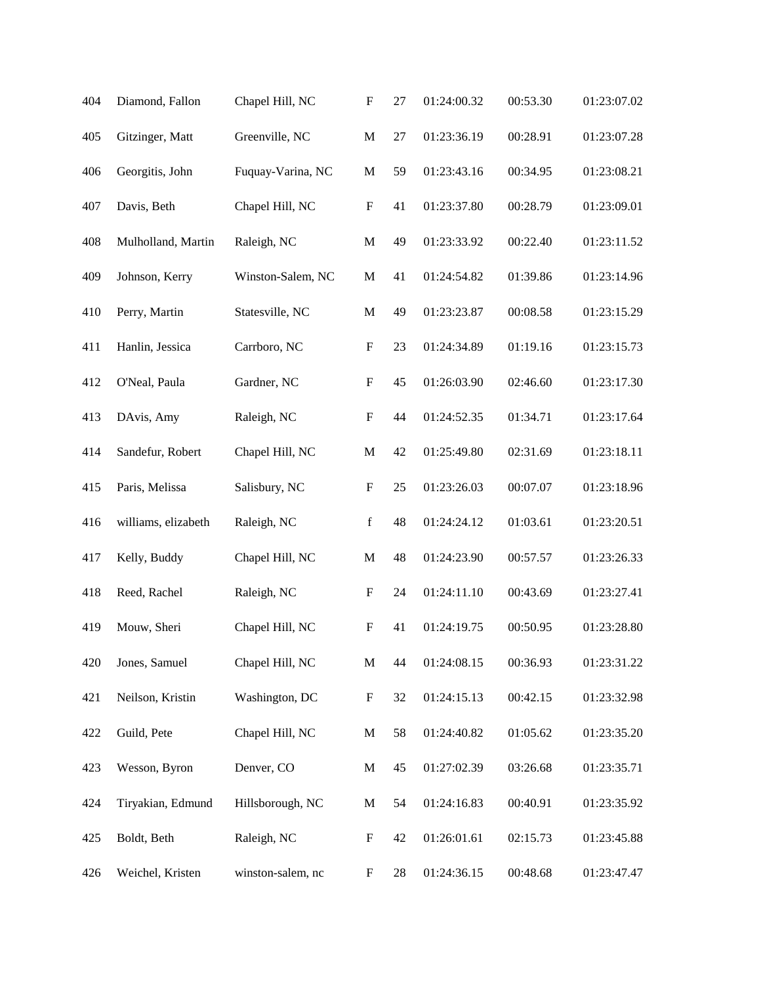| 404 | Diamond, Fallon     | Chapel Hill, NC   | $\boldsymbol{\mathrm{F}}$ | 27 | 01:24:00.32 | 00:53.30 | 01:23:07.02 |
|-----|---------------------|-------------------|---------------------------|----|-------------|----------|-------------|
| 405 | Gitzinger, Matt     | Greenville, NC    | $\mathbf M$               | 27 | 01:23:36.19 | 00:28.91 | 01:23:07.28 |
| 406 | Georgitis, John     | Fuquay-Varina, NC | $\mathbf M$               | 59 | 01:23:43.16 | 00:34.95 | 01:23:08.21 |
| 407 | Davis, Beth         | Chapel Hill, NC   | $\mathbf F$               | 41 | 01:23:37.80 | 00:28.79 | 01:23:09.01 |
| 408 | Mulholland, Martin  | Raleigh, NC       | $\mathbf M$               | 49 | 01:23:33.92 | 00:22.40 | 01:23:11.52 |
| 409 | Johnson, Kerry      | Winston-Salem, NC | $\mathbf M$               | 41 | 01:24:54.82 | 01:39.86 | 01:23:14.96 |
| 410 | Perry, Martin       | Statesville, NC   | $\mathbf M$               | 49 | 01:23:23.87 | 00:08.58 | 01:23:15.29 |
| 411 | Hanlin, Jessica     | Carrboro, NC      | $\mathbf F$               | 23 | 01:24:34.89 | 01:19.16 | 01:23:15.73 |
| 412 | O'Neal, Paula       | Gardner, NC       | $\boldsymbol{\mathrm{F}}$ | 45 | 01:26:03.90 | 02:46.60 | 01:23:17.30 |
| 413 | DAvis, Amy          | Raleigh, NC       | $\boldsymbol{\mathrm{F}}$ | 44 | 01:24:52.35 | 01:34.71 | 01:23:17.64 |
| 414 | Sandefur, Robert    | Chapel Hill, NC   | M                         | 42 | 01:25:49.80 | 02:31.69 | 01:23:18.11 |
| 415 | Paris, Melissa      | Salisbury, NC     | $\boldsymbol{\mathrm{F}}$ | 25 | 01:23:26.03 | 00:07.07 | 01:23:18.96 |
| 416 | williams, elizabeth | Raleigh, NC       | $\mathbf f$               | 48 | 01:24:24.12 | 01:03.61 | 01:23:20.51 |
| 417 | Kelly, Buddy        | Chapel Hill, NC   | $\mathbf M$               | 48 | 01:24:23.90 | 00:57.57 | 01:23:26.33 |
| 418 | Reed, Rachel        | Raleigh, NC       | $\boldsymbol{F}$          | 24 | 01:24:11.10 | 00:43.69 | 01:23:27.41 |
| 419 | Mouw, Sheri         | Chapel Hill, NC   | $\boldsymbol{\mathrm{F}}$ | 41 | 01:24:19.75 | 00:50.95 | 01:23:28.80 |
| 420 | Jones, Samuel       | Chapel Hill, NC   | $\mathbf M$               | 44 | 01:24:08.15 | 00:36.93 | 01:23:31.22 |
| 421 | Neilson, Kristin    | Washington, DC    | $\boldsymbol{\mathrm{F}}$ | 32 | 01:24:15.13 | 00:42.15 | 01:23:32.98 |
| 422 | Guild, Pete         | Chapel Hill, NC   | $\mathbf M$               | 58 | 01:24:40.82 | 01:05.62 | 01:23:35.20 |
| 423 | Wesson, Byron       | Denver, CO        | $\mathbf M$               | 45 | 01:27:02.39 | 03:26.68 | 01:23:35.71 |
| 424 | Tiryakian, Edmund   | Hillsborough, NC  | $\mathbf M$               | 54 | 01:24:16.83 | 00:40.91 | 01:23:35.92 |
| 425 | Boldt, Beth         | Raleigh, NC       | $\boldsymbol{\mathrm{F}}$ | 42 | 01:26:01.61 | 02:15.73 | 01:23:45.88 |
| 426 | Weichel, Kristen    | winston-salem, nc | $\boldsymbol{F}$          | 28 | 01:24:36.15 | 00:48.68 | 01:23:47.47 |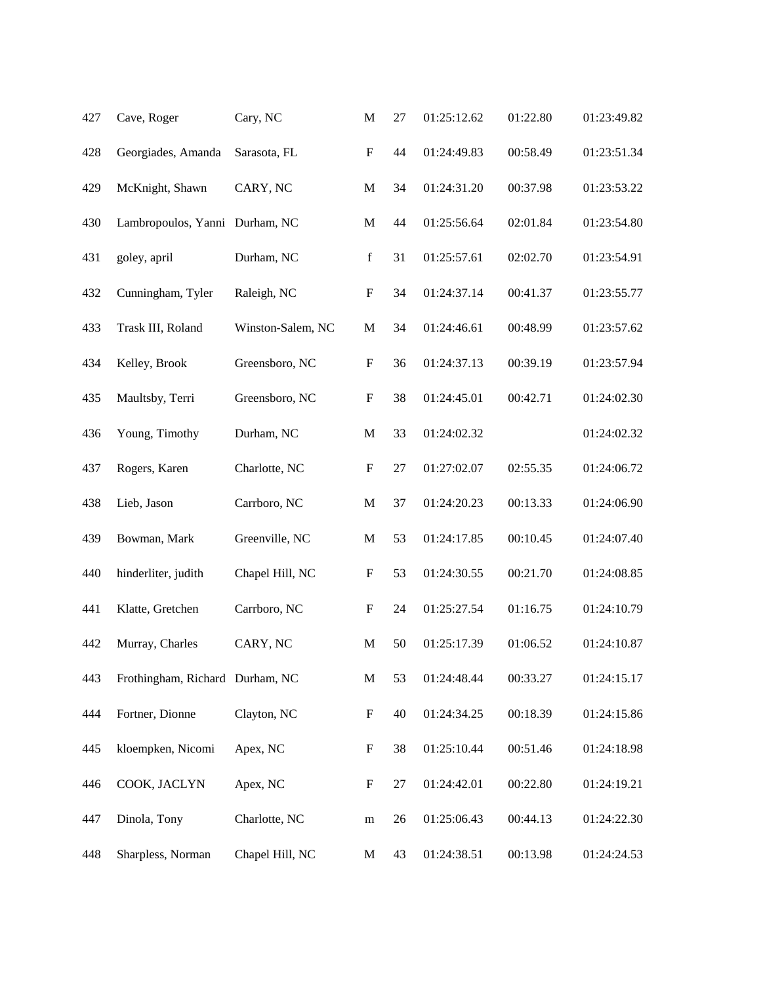| 427 | Cave, Roger                     | Cary, NC          | $\mathbf M$               | 27 | 01:25:12.62 | 01:22.80 | 01:23:49.82 |
|-----|---------------------------------|-------------------|---------------------------|----|-------------|----------|-------------|
| 428 | Georgiades, Amanda              | Sarasota, FL      | $\boldsymbol{\mathrm{F}}$ | 44 | 01:24:49.83 | 00:58.49 | 01:23:51.34 |
| 429 | McKnight, Shawn                 | CARY, NC          | $\mathbf M$               | 34 | 01:24:31.20 | 00:37.98 | 01:23:53.22 |
| 430 | Lambropoulos, Yanni             | Durham, NC        | M                         | 44 | 01:25:56.64 | 02:01.84 | 01:23:54.80 |
| 431 | goley, april                    | Durham, NC        | $\mathbf f$               | 31 | 01:25:57.61 | 02:02.70 | 01:23:54.91 |
| 432 | Cunningham, Tyler               | Raleigh, NC       | $\boldsymbol{\mathrm{F}}$ | 34 | 01:24:37.14 | 00:41.37 | 01:23:55.77 |
| 433 | Trask III, Roland               | Winston-Salem, NC | $\mathbf M$               | 34 | 01:24:46.61 | 00:48.99 | 01:23:57.62 |
| 434 | Kelley, Brook                   | Greensboro, NC    | $\boldsymbol{\mathrm{F}}$ | 36 | 01:24:37.13 | 00:39.19 | 01:23:57.94 |
| 435 | Maultsby, Terri                 | Greensboro, NC    | $\boldsymbol{\mathrm{F}}$ | 38 | 01:24:45.01 | 00:42.71 | 01:24:02.30 |
| 436 | Young, Timothy                  | Durham, NC        | $\mathbf M$               | 33 | 01:24:02.32 |          | 01:24:02.32 |
| 437 | Rogers, Karen                   | Charlotte, NC     | $\boldsymbol{\mathrm{F}}$ | 27 | 01:27:02.07 | 02:55.35 | 01:24:06.72 |
| 438 | Lieb, Jason                     | Carrboro, NC      | $\mathbf M$               | 37 | 01:24:20.23 | 00:13.33 | 01:24:06.90 |
| 439 | Bowman, Mark                    | Greenville, NC    | $\mathbf M$               | 53 | 01:24:17.85 | 00:10.45 | 01:24:07.40 |
| 440 | hinderliter, judith             | Chapel Hill, NC   | $\boldsymbol{F}$          | 53 | 01:24:30.55 | 00:21.70 | 01:24:08.85 |
| 441 | Klatte, Gretchen                | Carrboro, NC      | $\boldsymbol{\mathrm{F}}$ | 24 | 01:25:27.54 | 01:16.75 | 01:24:10.79 |
| 442 | Murray, Charles                 | CARY, NC          | $\mathbf M$               | 50 | 01:25:17.39 | 01:06.52 | 01:24:10.87 |
| 443 | Frothingham, Richard Durham, NC |                   | $\mathbf M$               | 53 | 01:24:48.44 | 00:33.27 | 01:24:15.17 |
| 444 | Fortner, Dionne                 | Clayton, NC       | $\boldsymbol{\mathrm{F}}$ | 40 | 01:24:34.25 | 00:18.39 | 01:24:15.86 |
| 445 | kloempken, Nicomi               | Apex, NC          | $\boldsymbol{\mathrm{F}}$ | 38 | 01:25:10.44 | 00:51.46 | 01:24:18.98 |
| 446 | COOK, JACLYN                    | Apex, NC          | $\boldsymbol{F}$          | 27 | 01:24:42.01 | 00:22.80 | 01:24:19.21 |
| 447 | Dinola, Tony                    | Charlotte, NC     | ${\bf m}$                 | 26 | 01:25:06.43 | 00:44.13 | 01:24:22.30 |
| 448 | Sharpless, Norman               | Chapel Hill, NC   | M                         | 43 | 01:24:38.51 | 00:13.98 | 01:24:24.53 |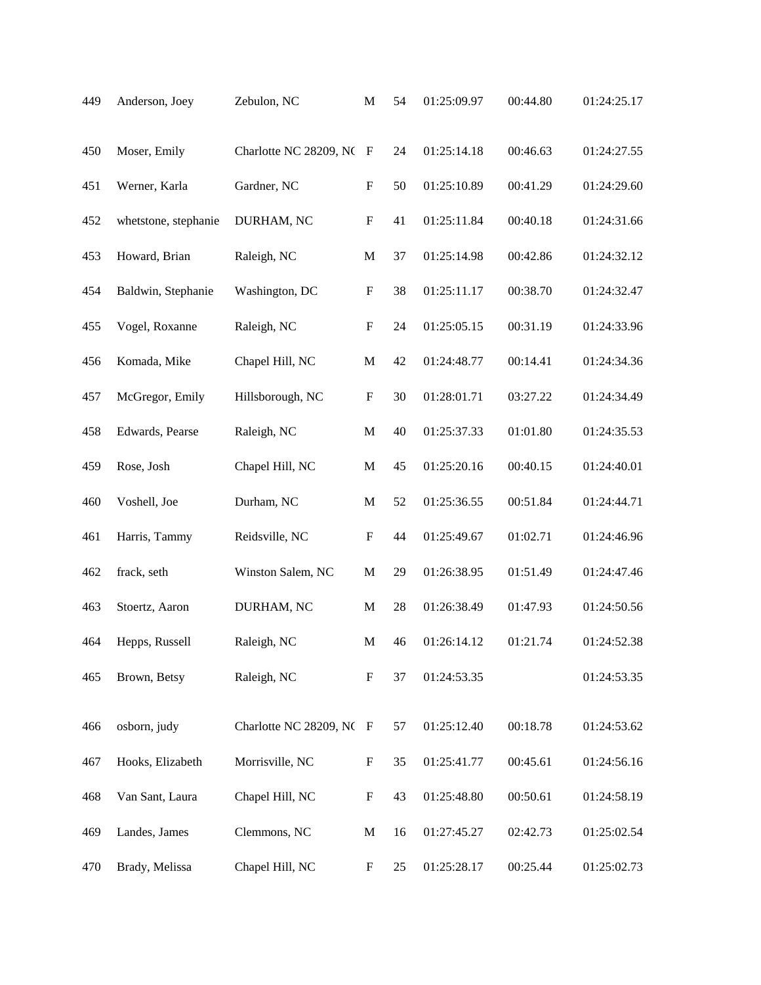| 449 | Anderson, Joey       | Zebulon, NC              | $\mathbf M$               | 54 | 01:25:09.97 | 00:44.80 | 01:24:25.17 |
|-----|----------------------|--------------------------|---------------------------|----|-------------|----------|-------------|
| 450 | Moser, Emily         | Charlotte NC 28209, NC F |                           | 24 | 01:25:14.18 | 00:46.63 | 01:24:27.55 |
| 451 | Werner, Karla        | Gardner, NC              | $\boldsymbol{\mathrm{F}}$ | 50 | 01:25:10.89 | 00:41.29 | 01:24:29.60 |
| 452 | whetstone, stephanie | DURHAM, NC               | $\boldsymbol{\mathrm{F}}$ | 41 | 01:25:11.84 | 00:40.18 | 01:24:31.66 |
| 453 | Howard, Brian        | Raleigh, NC              | $\mathbf M$               | 37 | 01:25:14.98 | 00:42.86 | 01:24:32.12 |
| 454 | Baldwin, Stephanie   | Washington, DC           | $\boldsymbol{\mathrm{F}}$ | 38 | 01:25:11.17 | 00:38.70 | 01:24:32.47 |
| 455 | Vogel, Roxanne       | Raleigh, NC              | $\boldsymbol{\mathrm{F}}$ | 24 | 01:25:05.15 | 00:31.19 | 01:24:33.96 |
| 456 | Komada, Mike         | Chapel Hill, NC          | $\mathbf M$               | 42 | 01:24:48.77 | 00:14.41 | 01:24:34.36 |
| 457 | McGregor, Emily      | Hillsborough, NC         | $\boldsymbol{\mathrm{F}}$ | 30 | 01:28:01.71 | 03:27.22 | 01:24:34.49 |
| 458 | Edwards, Pearse      | Raleigh, NC              | $\mathbf M$               | 40 | 01:25:37.33 | 01:01.80 | 01:24:35.53 |
| 459 | Rose, Josh           | Chapel Hill, NC          | $\mathbf M$               | 45 | 01:25:20.16 | 00:40.15 | 01:24:40.01 |
| 460 | Voshell, Joe         | Durham, NC               | $\mathbf{M}$              | 52 | 01:25:36.55 | 00:51.84 | 01:24:44.71 |
| 461 | Harris, Tammy        | Reidsville, NC           | $\boldsymbol{\mathrm{F}}$ | 44 | 01:25:49.67 | 01:02.71 | 01:24:46.96 |
| 462 | frack, seth          | Winston Salem, NC        | $\mathbf M$               | 29 | 01:26:38.95 | 01:51.49 | 01:24:47.46 |
| 463 | Stoertz, Aaron       | DURHAM, NC               | $\mathbf{M}$              | 28 | 01:26:38.49 | 01:47.93 | 01:24:50.56 |
| 464 | Hepps, Russell       | Raleigh, NC              | $\mathbf{M}$              | 46 | 01:26:14.12 | 01:21.74 | 01:24:52.38 |
| 465 | Brown, Betsy         | Raleigh, NC              | $\boldsymbol{\mathrm{F}}$ | 37 | 01:24:53.35 |          | 01:24:53.35 |
| 466 | osborn, judy         | Charlotte NC 28209, NC F |                           | 57 | 01:25:12.40 | 00:18.78 | 01:24:53.62 |
| 467 | Hooks, Elizabeth     | Morrisville, NC          | $\boldsymbol{F}$          | 35 | 01:25:41.77 | 00:45.61 | 01:24:56.16 |
| 468 | Van Sant, Laura      | Chapel Hill, NC          | F                         | 43 | 01:25:48.80 | 00:50.61 | 01:24:58.19 |
| 469 | Landes, James        | Clemmons, NC             | $\mathbf{M}$              | 16 | 01:27:45.27 | 02:42.73 | 01:25:02.54 |
| 470 | Brady, Melissa       | Chapel Hill, NC          | $\boldsymbol{F}$          | 25 | 01:25:28.17 | 00:25.44 | 01:25:02.73 |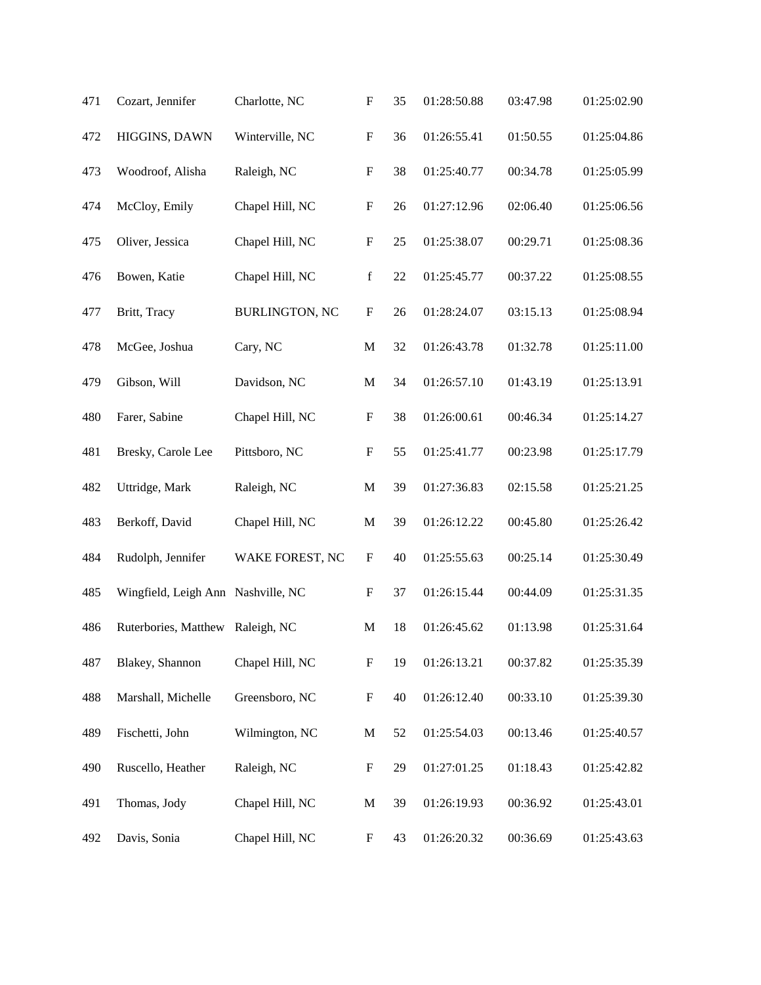| 471 | Cozart, Jennifer                   | Charlotte, NC         | $\boldsymbol{\mathrm{F}}$ | 35 | 01:28:50.88 | 03:47.98 | 01:25:02.90 |
|-----|------------------------------------|-----------------------|---------------------------|----|-------------|----------|-------------|
| 472 | HIGGINS, DAWN                      | Winterville, NC       | ${\bf F}$                 | 36 | 01:26:55.41 | 01:50.55 | 01:25:04.86 |
| 473 | Woodroof, Alisha                   | Raleigh, NC           | $\boldsymbol{\mathrm{F}}$ | 38 | 01:25:40.77 | 00:34.78 | 01:25:05.99 |
| 474 | McCloy, Emily                      | Chapel Hill, NC       | $\boldsymbol{\mathrm{F}}$ | 26 | 01:27:12.96 | 02:06.40 | 01:25:06.56 |
| 475 | Oliver, Jessica                    | Chapel Hill, NC       | ${\bf F}$                 | 25 | 01:25:38.07 | 00:29.71 | 01:25:08.36 |
| 476 | Bowen, Katie                       | Chapel Hill, NC       | $\mathbf f$               | 22 | 01:25:45.77 | 00:37.22 | 01:25:08.55 |
| 477 | Britt, Tracy                       | <b>BURLINGTON, NC</b> | $\boldsymbol{\mathrm{F}}$ | 26 | 01:28:24.07 | 03:15.13 | 01:25:08.94 |
| 478 | McGee, Joshua                      | Cary, NC              | $\mathbf M$               | 32 | 01:26:43.78 | 01:32.78 | 01:25:11.00 |
| 479 | Gibson, Will                       | Davidson, NC          | $\mathbf M$               | 34 | 01:26:57.10 | 01:43.19 | 01:25:13.91 |
| 480 | Farer, Sabine                      | Chapel Hill, NC       | $\boldsymbol{\mathrm{F}}$ | 38 | 01:26:00.61 | 00:46.34 | 01:25:14.27 |
| 481 | Bresky, Carole Lee                 | Pittsboro, NC         | $\boldsymbol{\mathrm{F}}$ | 55 | 01:25:41.77 | 00:23.98 | 01:25:17.79 |
| 482 | Uttridge, Mark                     | Raleigh, NC           | $\mathbf M$               | 39 | 01:27:36.83 | 02:15.58 | 01:25:21.25 |
| 483 | Berkoff, David                     | Chapel Hill, NC       | $\mathbf M$               | 39 | 01:26:12.22 | 00:45.80 | 01:25:26.42 |
| 484 | Rudolph, Jennifer                  | WAKE FOREST, NC       | $\boldsymbol{\mathrm{F}}$ | 40 | 01:25:55.63 | 00:25.14 | 01:25:30.49 |
| 485 | Wingfield, Leigh Ann Nashville, NC |                       | $\boldsymbol{\mathrm{F}}$ | 37 | 01:26:15.44 | 00:44.09 | 01:25:31.35 |
| 486 | Ruterbories, Matthew               | Raleigh, NC           | $\mathbf M$               | 18 | 01:26:45.62 | 01:13.98 | 01:25:31.64 |
| 487 | Blakey, Shannon                    | Chapel Hill, NC       | $\boldsymbol{\mathrm{F}}$ | 19 | 01:26:13.21 | 00:37.82 | 01:25:35.39 |
| 488 | Marshall, Michelle                 | Greensboro, NC        | $\boldsymbol{\mathrm{F}}$ | 40 | 01:26:12.40 | 00:33.10 | 01:25:39.30 |
| 489 | Fischetti, John                    | Wilmington, NC        | M                         | 52 | 01:25:54.03 | 00:13.46 | 01:25:40.57 |
| 490 | Ruscello, Heather                  | Raleigh, NC           | $\boldsymbol{F}$          | 29 | 01:27:01.25 | 01:18.43 | 01:25:42.82 |
| 491 | Thomas, Jody                       | Chapel Hill, NC       | $\mathbf M$               | 39 | 01:26:19.93 | 00:36.92 | 01:25:43.01 |
| 492 | Davis, Sonia                       | Chapel Hill, NC       | $\boldsymbol{\mathrm{F}}$ | 43 | 01:26:20.32 | 00:36.69 | 01:25:43.63 |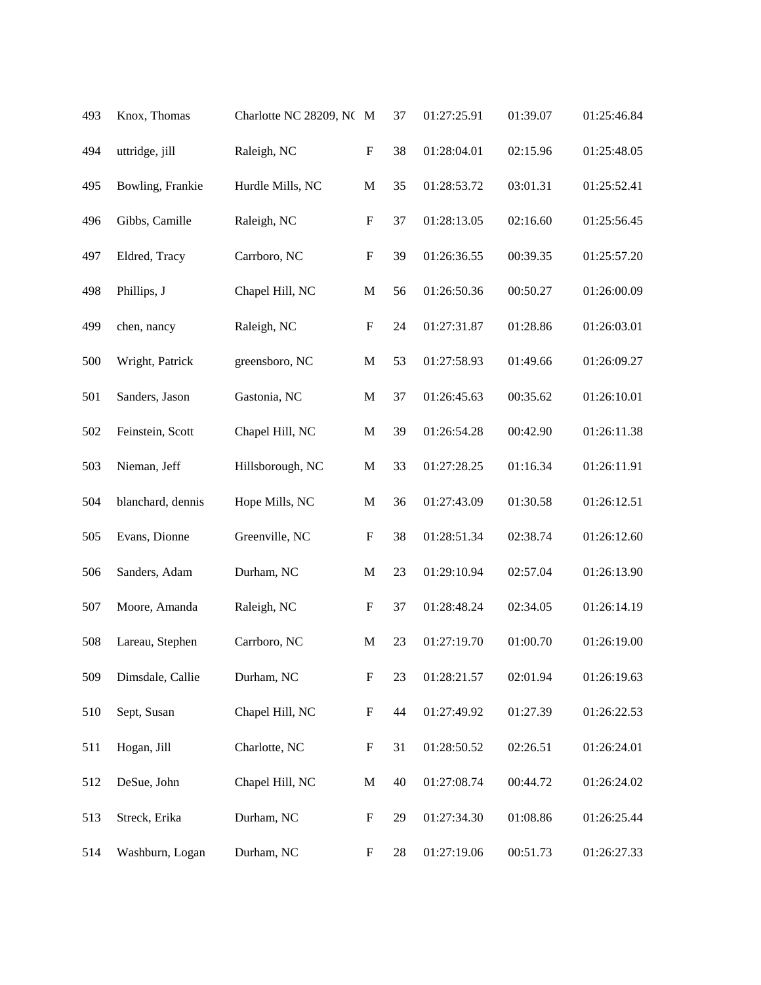| 493 | Knox, Thomas      | Charlotte NC 28209, NC M |                           | 37 | 01:27:25.91 | 01:39.07 | 01:25:46.84 |
|-----|-------------------|--------------------------|---------------------------|----|-------------|----------|-------------|
| 494 | uttridge, jill    | Raleigh, NC              | $\boldsymbol{\mathrm{F}}$ | 38 | 01:28:04.01 | 02:15.96 | 01:25:48.05 |
| 495 | Bowling, Frankie  | Hurdle Mills, NC         | $\mathbf M$               | 35 | 01:28:53.72 | 03:01.31 | 01:25:52.41 |
| 496 | Gibbs, Camille    | Raleigh, NC              | $\boldsymbol{\mathrm{F}}$ | 37 | 01:28:13.05 | 02:16.60 | 01:25:56.45 |
| 497 | Eldred, Tracy     | Carrboro, NC             | $\boldsymbol{\mathrm{F}}$ | 39 | 01:26:36.55 | 00:39.35 | 01:25:57.20 |
| 498 | Phillips, J       | Chapel Hill, NC          | $\mathbf M$               | 56 | 01:26:50.36 | 00:50.27 | 01:26:00.09 |
| 499 | chen, nancy       | Raleigh, NC              | $\boldsymbol{\mathrm{F}}$ | 24 | 01:27:31.87 | 01:28.86 | 01:26:03.01 |
| 500 | Wright, Patrick   | greensboro, NC           | M                         | 53 | 01:27:58.93 | 01:49.66 | 01:26:09.27 |
| 501 | Sanders, Jason    | Gastonia, NC             | M                         | 37 | 01:26:45.63 | 00:35.62 | 01:26:10.01 |
| 502 | Feinstein, Scott  | Chapel Hill, NC          | $\mathbf M$               | 39 | 01:26:54.28 | 00:42.90 | 01:26:11.38 |
| 503 | Nieman, Jeff      | Hillsborough, NC         | $\mathbf M$               | 33 | 01:27:28.25 | 01:16.34 | 01:26:11.91 |
| 504 | blanchard, dennis | Hope Mills, NC           | $\mathbf M$               | 36 | 01:27:43.09 | 01:30.58 | 01:26:12.51 |
| 505 | Evans, Dionne     | Greenville, NC           | $\boldsymbol{\mathrm{F}}$ | 38 | 01:28:51.34 | 02:38.74 | 01:26:12.60 |
| 506 | Sanders, Adam     | Durham, NC               | $\mathbf{M}$              | 23 | 01:29:10.94 | 02:57.04 | 01:26:13.90 |
| 507 | Moore, Amanda     | Raleigh, NC              | $\mathbf F$               | 37 | 01:28:48.24 | 02:34.05 | 01:26:14.19 |
| 508 | Lareau, Stephen   | Carrboro, NC             | M                         | 23 | 01:27:19.70 | 01:00.70 | 01:26:19.00 |
| 509 | Dimsdale, Callie  | Durham, NC               | $\boldsymbol{\mathrm{F}}$ | 23 | 01:28:21.57 | 02:01.94 | 01:26:19.63 |
| 510 | Sept, Susan       | Chapel Hill, NC          | $\boldsymbol{\mathrm{F}}$ | 44 | 01:27:49.92 | 01:27.39 | 01:26:22.53 |
| 511 | Hogan, Jill       | Charlotte, NC            | $\boldsymbol{\mathrm{F}}$ | 31 | 01:28:50.52 | 02:26.51 | 01:26:24.01 |
| 512 | DeSue, John       | Chapel Hill, NC          | $\mathbf M$               | 40 | 01:27:08.74 | 00:44.72 | 01:26:24.02 |
| 513 | Streck, Erika     | Durham, NC               | $\boldsymbol{F}$          | 29 | 01:27:34.30 | 01:08.86 | 01:26:25.44 |
| 514 | Washburn, Logan   | Durham, NC               | $\boldsymbol{F}$          | 28 | 01:27:19.06 | 00:51.73 | 01:26:27.33 |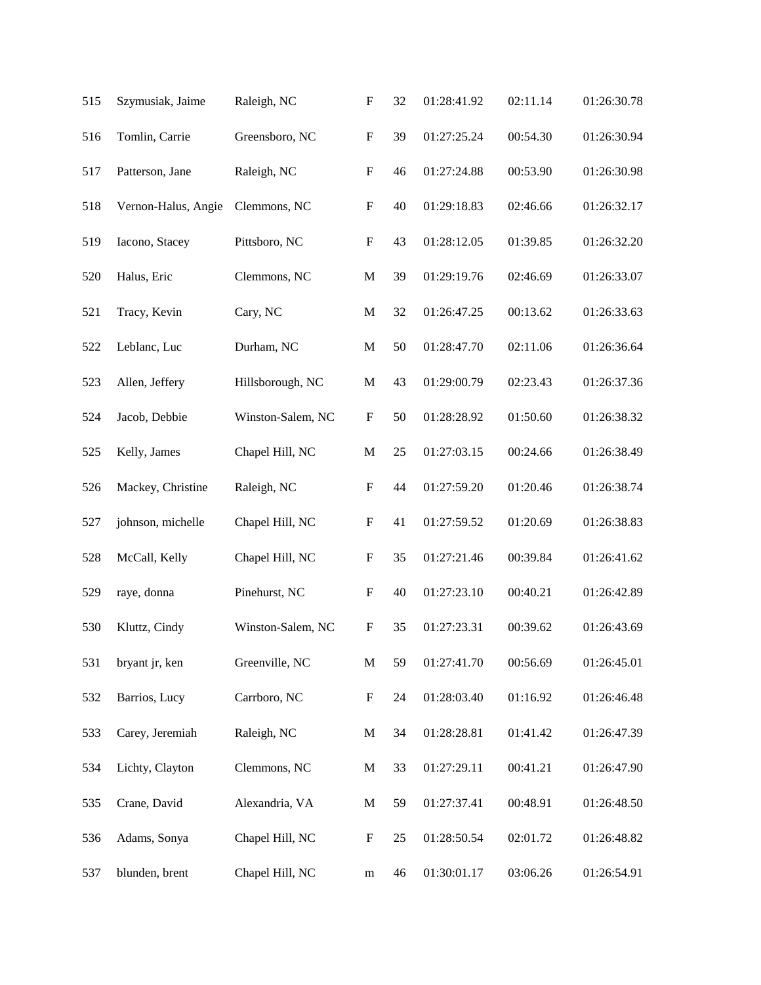| 515 | Szymusiak, Jaime    | Raleigh, NC       | $\boldsymbol{\mathrm{F}}$ | 32 | 01:28:41.92 | 02:11.14 | 01:26:30.78 |
|-----|---------------------|-------------------|---------------------------|----|-------------|----------|-------------|
| 516 | Tomlin, Carrie      | Greensboro, NC    | $\boldsymbol{\mathrm{F}}$ | 39 | 01:27:25.24 | 00:54.30 | 01:26:30.94 |
| 517 | Patterson, Jane     | Raleigh, NC       | $\boldsymbol{\mathrm{F}}$ | 46 | 01:27:24.88 | 00:53.90 | 01:26:30.98 |
| 518 | Vernon-Halus, Angie | Clemmons, NC      | $\boldsymbol{\mathrm{F}}$ | 40 | 01:29:18.83 | 02:46.66 | 01:26:32.17 |
| 519 | Iacono, Stacey      | Pittsboro, NC     | $\boldsymbol{\mathrm{F}}$ | 43 | 01:28:12.05 | 01:39.85 | 01:26:32.20 |
| 520 | Halus, Eric         | Clemmons, NC      | $\mathbf M$               | 39 | 01:29:19.76 | 02:46.69 | 01:26:33.07 |
| 521 | Tracy, Kevin        | Cary, NC          | M                         | 32 | 01:26:47.25 | 00:13.62 | 01:26:33.63 |
| 522 | Leblanc, Luc        | Durham, NC        | $\mathbf M$               | 50 | 01:28:47.70 | 02:11.06 | 01:26:36.64 |
| 523 | Allen, Jeffery      | Hillsborough, NC  | $\mathbf M$               | 43 | 01:29:00.79 | 02:23.43 | 01:26:37.36 |
| 524 | Jacob, Debbie       | Winston-Salem, NC | $\boldsymbol{\mathrm{F}}$ | 50 | 01:28:28.92 | 01:50.60 | 01:26:38.32 |
| 525 | Kelly, James        | Chapel Hill, NC   | $\mathbf M$               | 25 | 01:27:03.15 | 00:24.66 | 01:26:38.49 |
| 526 | Mackey, Christine   | Raleigh, NC       | $\boldsymbol{\mathrm{F}}$ | 44 | 01:27:59.20 | 01:20.46 | 01:26:38.74 |
| 527 | johnson, michelle   | Chapel Hill, NC   | $\mathbf F$               | 41 | 01:27:59.52 | 01:20.69 | 01:26:38.83 |
| 528 | McCall, Kelly       | Chapel Hill, NC   | $\boldsymbol{\mathrm{F}}$ | 35 | 01:27:21.46 | 00:39.84 | 01:26:41.62 |
| 529 | raye, donna         | Pinehurst, NC     | $\boldsymbol{\mathrm{F}}$ | 40 | 01:27:23.10 | 00:40.21 | 01:26:42.89 |
| 530 | Kluttz, Cindy       | Winston-Salem, NC | $\mathbf F$               | 35 | 01:27:23.31 | 00:39.62 | 01:26:43.69 |
| 531 | bryant jr, ken      | Greenville, NC    | $\mathbf M$               | 59 | 01:27:41.70 | 00:56.69 | 01:26:45.01 |
| 532 | Barrios, Lucy       | Carrboro, NC      | $\boldsymbol{F}$          | 24 | 01:28:03.40 | 01:16.92 | 01:26:46.48 |
| 533 | Carey, Jeremiah     | Raleigh, NC       | $\mathbf M$               | 34 | 01:28:28.81 | 01:41.42 | 01:26:47.39 |
| 534 | Lichty, Clayton     | Clemmons, NC      | $\mathbf M$               | 33 | 01:27:29.11 | 00:41.21 | 01:26:47.90 |
| 535 | Crane, David        | Alexandria, VA    | $\mathbf M$               | 59 | 01:27:37.41 | 00:48.91 | 01:26:48.50 |
| 536 | Adams, Sonya        | Chapel Hill, NC   | $\boldsymbol{\mathrm{F}}$ | 25 | 01:28:50.54 | 02:01.72 | 01:26:48.82 |
| 537 | blunden, brent      | Chapel Hill, NC   | ${\bf m}$                 | 46 | 01:30:01.17 | 03:06.26 | 01:26:54.91 |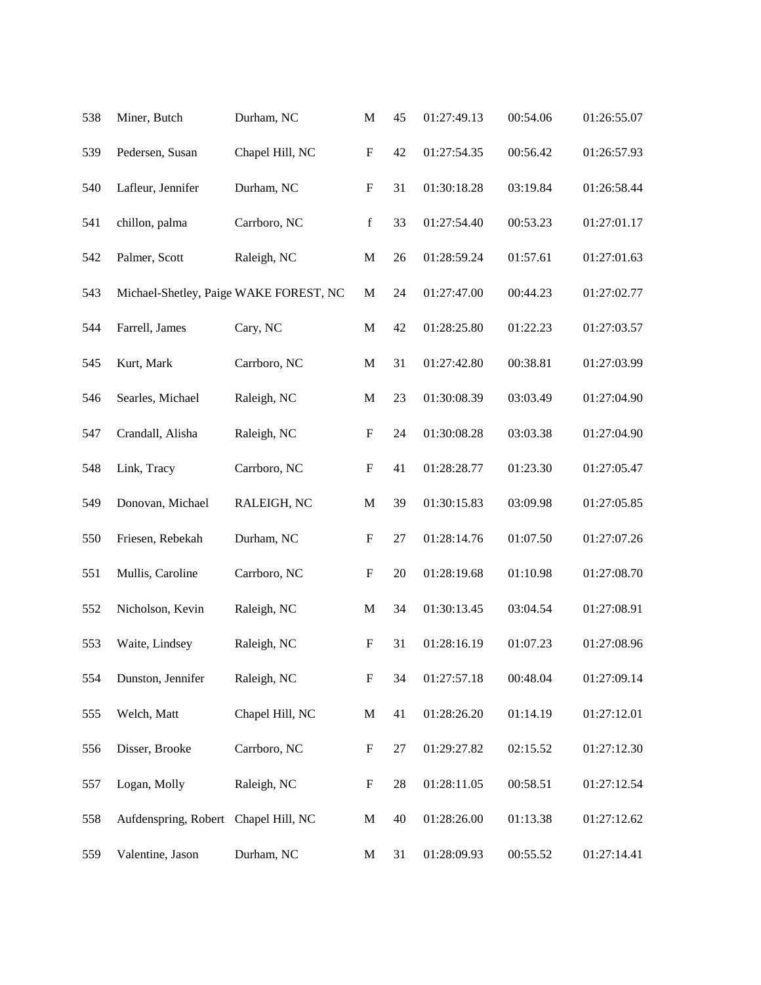| 538 | Miner, Butch                         | Durham, NC                             | $\mathbf M$               | 45     | 01:27:49.13 | 00:54.06 | 01:26:55.07 |
|-----|--------------------------------------|----------------------------------------|---------------------------|--------|-------------|----------|-------------|
| 539 | Pedersen, Susan                      | Chapel Hill, NC                        | ${\bf F}$                 | 42     | 01:27:54.35 | 00:56.42 | 01:26:57.93 |
| 540 | Lafleur, Jennifer                    | Durham, NC                             | $\boldsymbol{\mathrm{F}}$ | 31     | 01:30:18.28 | 03:19.84 | 01:26:58.44 |
| 541 | chillon, palma                       | Carrboro, NC                           | $\mathbf f$               | 33     | 01:27:54.40 | 00:53.23 | 01:27:01.17 |
| 542 | Palmer, Scott                        | Raleigh, NC                            | $\mathbf M$               | 26     | 01:28:59.24 | 01:57.61 | 01:27:01.63 |
| 543 |                                      | Michael-Shetley, Paige WAKE FOREST, NC | $\mathbf M$               | 24     | 01:27:47.00 | 00:44.23 | 01:27:02.77 |
| 544 | Farrell, James                       | Cary, NC                               | $\mathbf M$               | 42     | 01:28:25.80 | 01:22.23 | 01:27:03.57 |
| 545 | Kurt, Mark                           | Carrboro, NC                           | $\mathbf M$               | 31     | 01:27:42.80 | 00:38.81 | 01:27:03.99 |
| 546 | Searles, Michael                     | Raleigh, NC                            | $\mathbf M$               | 23     | 01:30:08.39 | 03:03.49 | 01:27:04.90 |
| 547 | Crandall, Alisha                     | Raleigh, NC                            | $\boldsymbol{F}$          | 24     | 01:30:08.28 | 03:03.38 | 01:27:04.90 |
| 548 | Link, Tracy                          | Carrboro, NC                           | $\boldsymbol{\mathrm{F}}$ | 41     | 01:28:28.77 | 01:23.30 | 01:27:05.47 |
| 549 | Donovan, Michael                     | RALEIGH, NC                            | $\mathbf M$               | 39     | 01:30:15.83 | 03:09.98 | 01:27:05.85 |
| 550 | Friesen, Rebekah                     | Durham, NC                             | $\boldsymbol{\mathrm{F}}$ | $27\,$ | 01:28:14.76 | 01:07.50 | 01:27:07.26 |
| 551 | Mullis, Caroline                     | Carrboro, NC                           | $\boldsymbol{\mathrm{F}}$ | 20     | 01:28:19.68 | 01:10.98 | 01:27:08.70 |
| 552 | Nicholson, Kevin                     | Raleigh, NC                            | M                         | 34     | 01:30:13.45 | 03:04.54 | 01:27:08.91 |
| 553 | Waite, Lindsey                       | Raleigh, NC                            | ${\bf F}$                 | 31     | 01:28:16.19 | 01:07.23 | 01:27:08.96 |
| 554 | Dunston, Jennifer                    | Raleigh, NC                            | $\boldsymbol{\mathrm{F}}$ | 34     | 01:27:57.18 | 00:48.04 | 01:27:09.14 |
| 555 | Welch, Matt                          | Chapel Hill, NC                        | $\mathbf M$               | 41     | 01:28:26.20 | 01:14.19 | 01:27:12.01 |
| 556 | Disser, Brooke                       | Carrboro, NC                           | $\boldsymbol{F}$          | 27     | 01:29:27.82 | 02:15.52 | 01:27:12.30 |
| 557 | Logan, Molly                         | Raleigh, NC                            | $\boldsymbol{F}$          | 28     | 01:28:11.05 | 00:58.51 | 01:27:12.54 |
| 558 | Aufdenspring, Robert Chapel Hill, NC |                                        | $\mathbf{M}$              | 40     | 01:28:26.00 | 01:13.38 | 01:27:12.62 |
| 559 | Valentine, Jason                     | Durham, NC                             | M                         | 31     | 01:28:09.93 | 00:55.52 | 01:27:14.41 |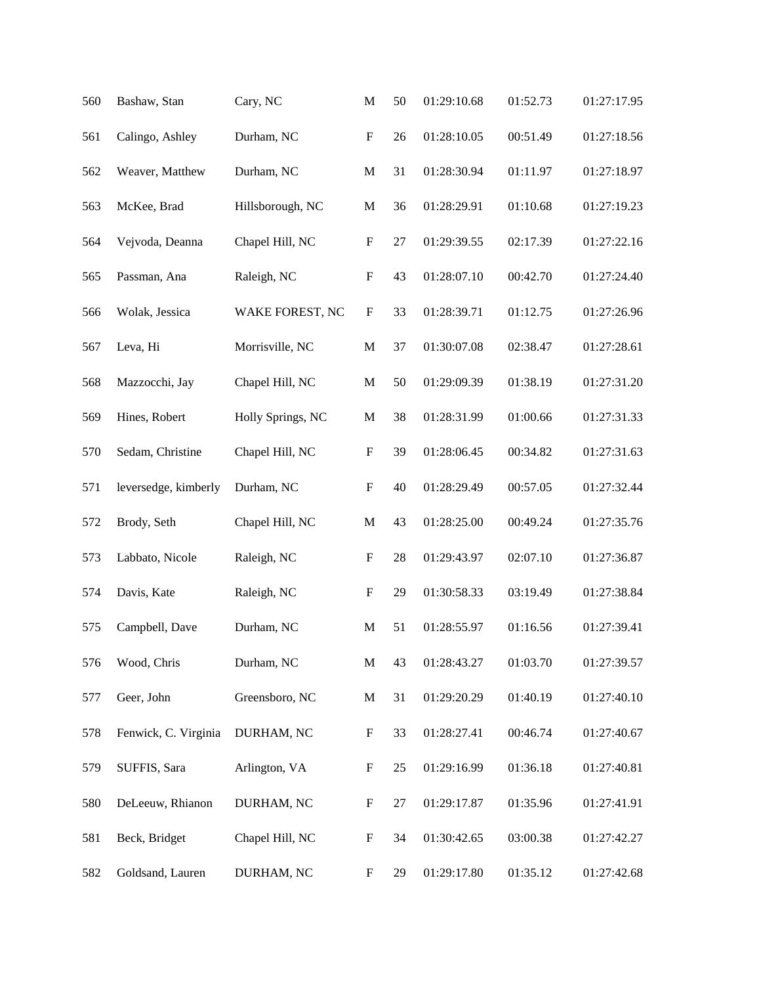| 560 | Bashaw, Stan         | Cary, NC          | $\mathbf M$               | 50     | 01:29:10.68 | 01:52.73 | 01:27:17.95 |
|-----|----------------------|-------------------|---------------------------|--------|-------------|----------|-------------|
| 561 | Calingo, Ashley      | Durham, NC        | $\boldsymbol{\mathrm{F}}$ | 26     | 01:28:10.05 | 00:51.49 | 01:27:18.56 |
| 562 | Weaver, Matthew      | Durham, NC        | $\mathbf M$               | 31     | 01:28:30.94 | 01:11.97 | 01:27:18.97 |
| 563 | McKee, Brad          | Hillsborough, NC  | $\mathbf M$               | 36     | 01:28:29.91 | 01:10.68 | 01:27:19.23 |
| 564 | Vejvoda, Deanna      | Chapel Hill, NC   | $\boldsymbol{\mathrm{F}}$ | $27\,$ | 01:29:39.55 | 02:17.39 | 01:27:22.16 |
| 565 | Passman, Ana         | Raleigh, NC       | ${\bf F}$                 | 43     | 01:28:07.10 | 00:42.70 | 01:27:24.40 |
| 566 | Wolak, Jessica       | WAKE FOREST, NC   | $\boldsymbol{\mathrm{F}}$ | 33     | 01:28:39.71 | 01:12.75 | 01:27:26.96 |
| 567 | Leva, Hi             | Morrisville, NC   | $\mathbf M$               | 37     | 01:30:07.08 | 02:38.47 | 01:27:28.61 |
| 568 | Mazzocchi, Jay       | Chapel Hill, NC   | $\mathbf M$               | 50     | 01:29:09.39 | 01:38.19 | 01:27:31.20 |
| 569 | Hines, Robert        | Holly Springs, NC | $\mathbf M$               | 38     | 01:28:31.99 | 01:00.66 | 01:27:31.33 |
| 570 | Sedam, Christine     | Chapel Hill, NC   | $\boldsymbol{\mathrm{F}}$ | 39     | 01:28:06.45 | 00:34.82 | 01:27:31.63 |
| 571 | leversedge, kimberly | Durham, NC        | $\boldsymbol{\mathrm{F}}$ | 40     | 01:28:29.49 | 00:57.05 | 01:27:32.44 |
| 572 | Brody, Seth          | Chapel Hill, NC   | $\mathbf M$               | 43     | 01:28:25.00 | 00:49.24 | 01:27:35.76 |
| 573 | Labbato, Nicole      | Raleigh, NC       | $\boldsymbol{\mathrm{F}}$ | 28     | 01:29:43.97 | 02:07.10 | 01:27:36.87 |
| 574 | Davis, Kate          | Raleigh, NC       | $\boldsymbol{\mathrm{F}}$ | 29     | 01:30:58.33 | 03:19.49 | 01:27:38.84 |
| 575 | Campbell, Dave       | Durham, NC        | $\mathbf M$               | 51     | 01:28:55.97 | 01:16.56 | 01:27:39.41 |
| 576 | Wood, Chris          | Durham, NC        | $\mathbf M$               | 43     | 01:28:43.27 | 01:03.70 | 01:27:39.57 |
| 577 | Geer, John           | Greensboro, NC    | $\mathbf M$               | 31     | 01:29:20.29 | 01:40.19 | 01:27:40.10 |
| 578 | Fenwick, C. Virginia | DURHAM, NC        | $\boldsymbol{\mathrm{F}}$ | 33     | 01:28:27.41 | 00:46.74 | 01:27:40.67 |
| 579 | SUFFIS, Sara         | Arlington, VA     | $\boldsymbol{\mathrm{F}}$ | 25     | 01:29:16.99 | 01:36.18 | 01:27:40.81 |
| 580 | DeLeeuw, Rhianon     | DURHAM, NC        | $\boldsymbol{\mathrm{F}}$ | 27     | 01:29:17.87 | 01:35.96 | 01:27:41.91 |
| 581 | Beck, Bridget        | Chapel Hill, NC   | $\boldsymbol{\mathrm{F}}$ | 34     | 01:30:42.65 | 03:00.38 | 01:27:42.27 |
| 582 | Goldsand, Lauren     | DURHAM, NC        | $\boldsymbol{\mathrm{F}}$ | 29     | 01:29:17.80 | 01:35.12 | 01:27:42.68 |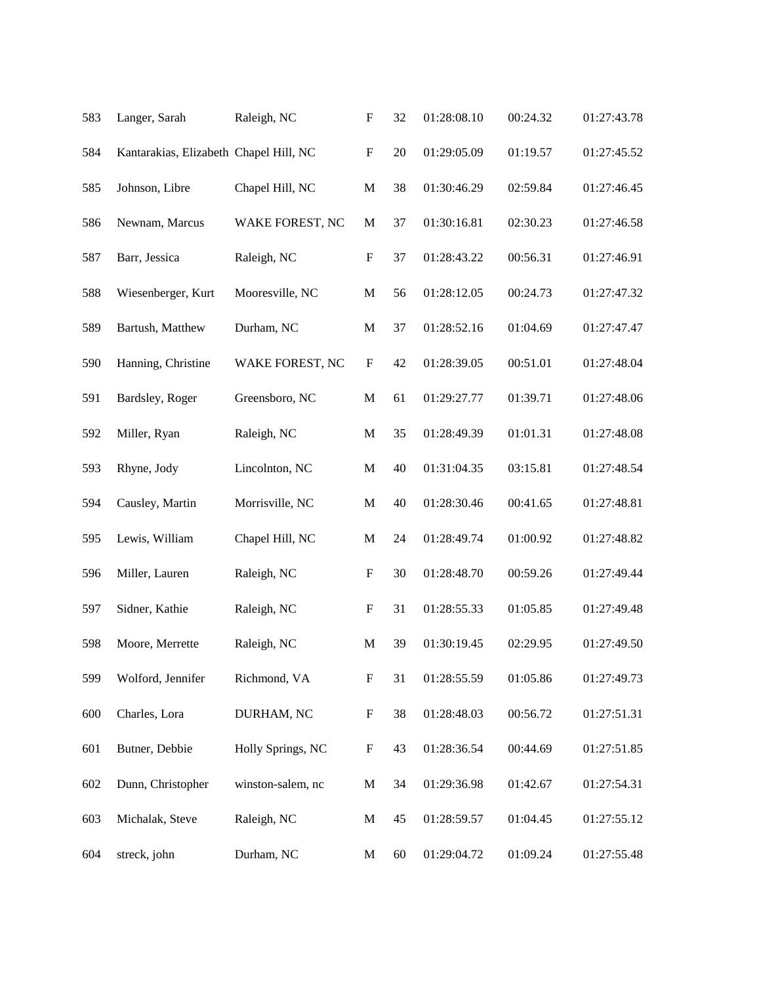| 583 | Langer, Sarah                          | Raleigh, NC       | $\boldsymbol{\mathrm{F}}$ | 32 | 01:28:08.10 | 00:24.32 | 01:27:43.78 |
|-----|----------------------------------------|-------------------|---------------------------|----|-------------|----------|-------------|
| 584 | Kantarakias, Elizabeth Chapel Hill, NC |                   | $\boldsymbol{\mathrm{F}}$ | 20 | 01:29:05.09 | 01:19.57 | 01:27:45.52 |
| 585 | Johnson, Libre                         | Chapel Hill, NC   | $\mathbf M$               | 38 | 01:30:46.29 | 02:59.84 | 01:27:46.45 |
| 586 | Newnam, Marcus                         | WAKE FOREST, NC   | $\mathbf{M}$              | 37 | 01:30:16.81 | 02:30.23 | 01:27:46.58 |
| 587 | Barr, Jessica                          | Raleigh, NC       | $\boldsymbol{\mathrm{F}}$ | 37 | 01:28:43.22 | 00:56.31 | 01:27:46.91 |
| 588 | Wiesenberger, Kurt                     | Mooresville, NC   | $\mathbf M$               | 56 | 01:28:12.05 | 00:24.73 | 01:27:47.32 |
| 589 | Bartush, Matthew                       | Durham, NC        | $\mathbf M$               | 37 | 01:28:52.16 | 01:04.69 | 01:27:47.47 |
| 590 | Hanning, Christine                     | WAKE FOREST, NC   | $\boldsymbol{\mathrm{F}}$ | 42 | 01:28:39.05 | 00:51.01 | 01:27:48.04 |
| 591 | Bardsley, Roger                        | Greensboro, NC    | M                         | 61 | 01:29:27.77 | 01:39.71 | 01:27:48.06 |
| 592 | Miller, Ryan                           | Raleigh, NC       | $\mathbf M$               | 35 | 01:28:49.39 | 01:01.31 | 01:27:48.08 |
| 593 | Rhyne, Jody                            | Lincolnton, NC    | $\mathbf M$               | 40 | 01:31:04.35 | 03:15.81 | 01:27:48.54 |
| 594 | Causley, Martin                        | Morrisville, NC   | $\mathbf M$               | 40 | 01:28:30.46 | 00:41.65 | 01:27:48.81 |
| 595 | Lewis, William                         | Chapel Hill, NC   | $\mathbf M$               | 24 | 01:28:49.74 | 01:00.92 | 01:27:48.82 |
| 596 | Miller, Lauren                         | Raleigh, NC       | F                         | 30 | 01:28:48.70 | 00:59.26 | 01:27:49.44 |
| 597 | Sidner, Kathie                         | Raleigh, NC       | $\boldsymbol{\mathrm{F}}$ | 31 | 01:28:55.33 | 01:05.85 | 01:27:49.48 |
| 598 | Moore, Merrette                        | Raleigh, NC       | $\mathbf M$               | 39 | 01:30:19.45 | 02:29.95 | 01:27:49.50 |
| 599 | Wolford, Jennifer                      | Richmond, VA      | $\boldsymbol{\mathrm{F}}$ | 31 | 01:28:55.59 | 01:05.86 | 01:27:49.73 |
| 600 | Charles, Lora                          | DURHAM, NC        | $\boldsymbol{\mathrm{F}}$ | 38 | 01:28:48.03 | 00:56.72 | 01:27:51.31 |
| 601 | Butner, Debbie                         | Holly Springs, NC | $\boldsymbol{\mathrm{F}}$ | 43 | 01:28:36.54 | 00:44.69 | 01:27:51.85 |
| 602 | Dunn, Christopher                      | winston-salem, nc | $\mathbf M$               | 34 | 01:29:36.98 | 01:42.67 | 01:27:54.31 |
| 603 | Michalak, Steve                        | Raleigh, NC       | $\mathbf{M}$              | 45 | 01:28:59.57 | 01:04.45 | 01:27:55.12 |
| 604 | streck, john                           | Durham, NC        | $\mathbf{M}$              | 60 | 01:29:04.72 | 01:09.24 | 01:27:55.48 |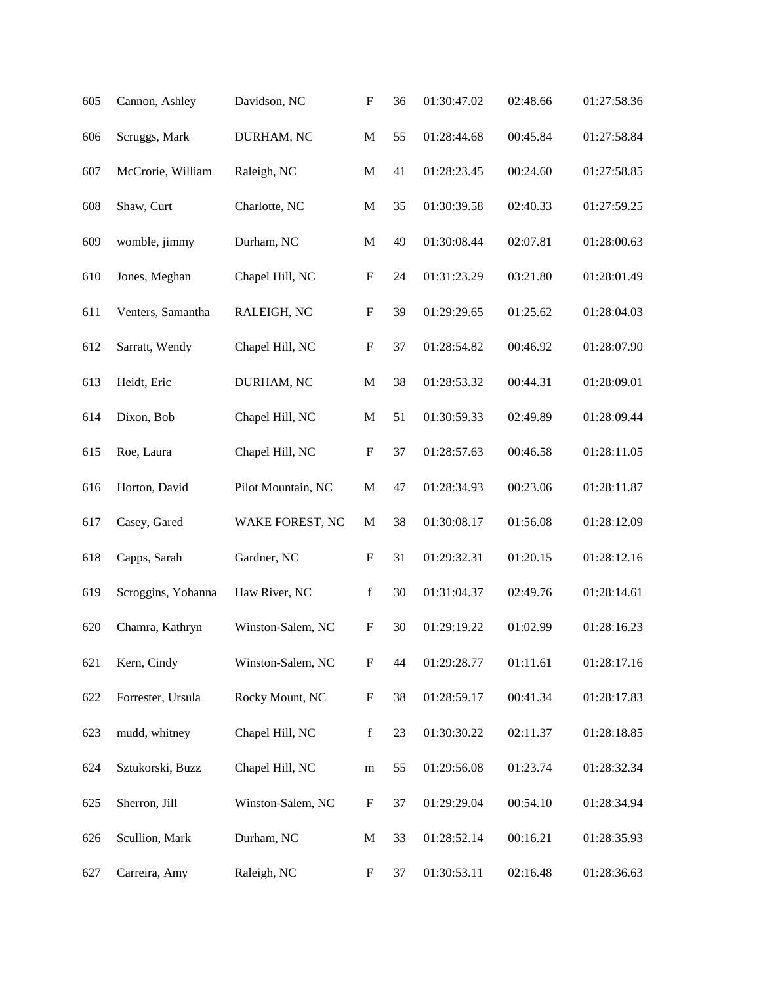| 605 | Cannon, Ashley     | Davidson, NC       | $\boldsymbol{\mathrm{F}}$ | 36 | 01:30:47.02 | 02:48.66 | 01:27:58.36 |
|-----|--------------------|--------------------|---------------------------|----|-------------|----------|-------------|
| 606 | Scruggs, Mark      | DURHAM, NC         | $\mathbf M$               | 55 | 01:28:44.68 | 00:45.84 | 01:27:58.84 |
| 607 | McCrorie, William  | Raleigh, NC        | $\mathbf M$               | 41 | 01:28:23.45 | 00:24.60 | 01:27:58.85 |
| 608 | Shaw, Curt         | Charlotte, NC      | $\mathbf M$               | 35 | 01:30:39.58 | 02:40.33 | 01:27:59.25 |
| 609 | womble, jimmy      | Durham, NC         | $\mathbf M$               | 49 | 01:30:08.44 | 02:07.81 | 01:28:00.63 |
| 610 | Jones, Meghan      | Chapel Hill, NC    | $\boldsymbol{\mathrm{F}}$ | 24 | 01:31:23.29 | 03:21.80 | 01:28:01.49 |
| 611 | Venters, Samantha  | RALEIGH, NC        | $\boldsymbol{\mathrm{F}}$ | 39 | 01:29:29.65 | 01:25.62 | 01:28:04.03 |
| 612 | Sarratt, Wendy     | Chapel Hill, NC    | ${\bf F}$                 | 37 | 01:28:54.82 | 00:46.92 | 01:28:07.90 |
| 613 | Heidt, Eric        | DURHAM, NC         | $\mathbf M$               | 38 | 01:28:53.32 | 00:44.31 | 01:28:09.01 |
| 614 | Dixon, Bob         | Chapel Hill, NC    | $\mathbf M$               | 51 | 01:30:59.33 | 02:49.89 | 01:28:09.44 |
| 615 | Roe, Laura         | Chapel Hill, NC    | $\boldsymbol{\mathrm{F}}$ | 37 | 01:28:57.63 | 00:46.58 | 01:28:11.05 |
| 616 | Horton, David      | Pilot Mountain, NC | $\mathbf M$               | 47 | 01:28:34.93 | 00:23.06 | 01:28:11.87 |
| 617 | Casey, Gared       | WAKE FOREST, NC    | $\mathbf{M}$              | 38 | 01:30:08.17 | 01:56.08 | 01:28:12.09 |
| 618 | Capps, Sarah       | Gardner, NC        | $\boldsymbol{\mathrm{F}}$ | 31 | 01:29:32.31 | 01:20.15 | 01:28:12.16 |
| 619 | Scroggins, Yohanna | Haw River, NC      | $\mathbf f$               | 30 | 01:31:04.37 | 02:49.76 | 01:28:14.61 |
| 620 | Chamra, Kathryn    | Winston-Salem, NC  | $\boldsymbol{\mathrm{F}}$ | 30 | 01:29:19.22 | 01:02.99 | 01:28:16.23 |
| 621 | Kern, Cindy        | Winston-Salem, NC  | $\boldsymbol{\mathrm{F}}$ | 44 | 01:29:28.77 | 01:11.61 | 01:28:17.16 |
| 622 | Forrester, Ursula  | Rocky Mount, NC    | $\boldsymbol{\mathrm{F}}$ | 38 | 01:28:59.17 | 00:41.34 | 01:28:17.83 |
| 623 | mudd, whitney      | Chapel Hill, NC    | $\mathbf f$               | 23 | 01:30:30.22 | 02:11.37 | 01:28:18.85 |
| 624 | Sztukorski, Buzz   | Chapel Hill, NC    | ${\bf m}$                 | 55 | 01:29:56.08 | 01:23.74 | 01:28:32.34 |
| 625 | Sherron, Jill      | Winston-Salem, NC  | $\boldsymbol{\mathrm{F}}$ | 37 | 01:29:29.04 | 00:54.10 | 01:28:34.94 |
| 626 | Scullion, Mark     | Durham, NC         | $\mathbf M$               | 33 | 01:28:52.14 | 00:16.21 | 01:28:35.93 |
| 627 | Carreira, Amy      | Raleigh, NC        | $\boldsymbol{F}$          | 37 | 01:30:53.11 | 02:16.48 | 01:28:36.63 |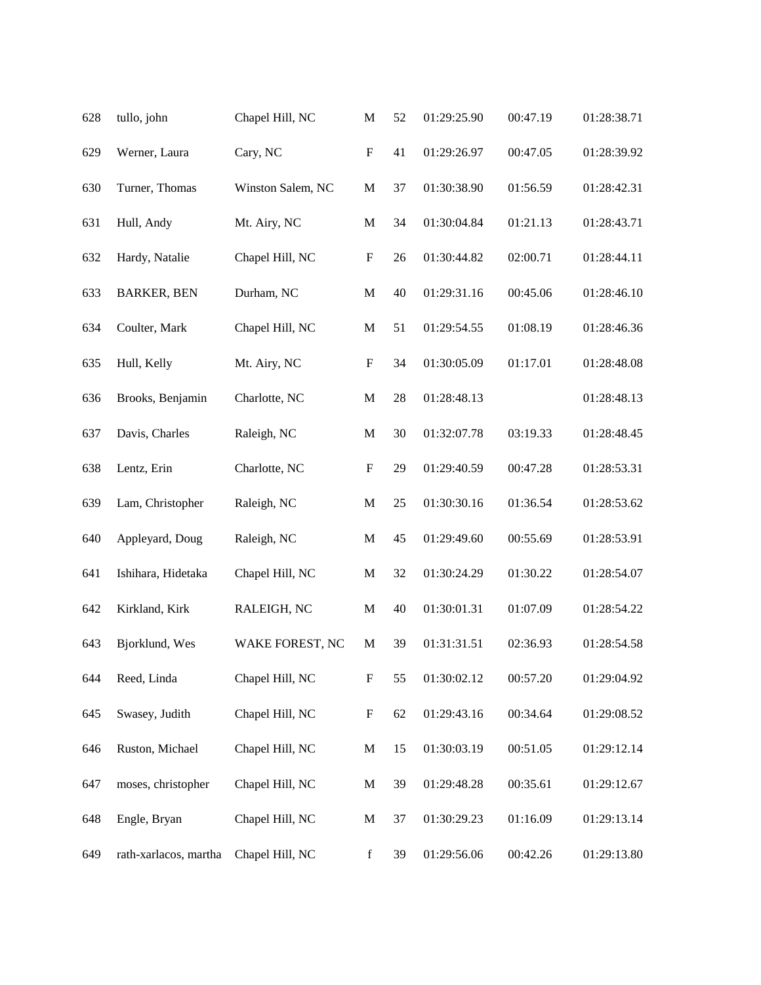| 628 | tullo, john           | Chapel Hill, NC   | $\mathbf M$               | 52 | 01:29:25.90 | 00:47.19 | 01:28:38.71 |
|-----|-----------------------|-------------------|---------------------------|----|-------------|----------|-------------|
| 629 | Werner, Laura         | Cary, NC          | $\boldsymbol{\mathrm{F}}$ | 41 | 01:29:26.97 | 00:47.05 | 01:28:39.92 |
| 630 | Turner, Thomas        | Winston Salem, NC | $\mathbf M$               | 37 | 01:30:38.90 | 01:56.59 | 01:28:42.31 |
| 631 | Hull, Andy            | Mt. Airy, NC      | M                         | 34 | 01:30:04.84 | 01:21.13 | 01:28:43.71 |
| 632 | Hardy, Natalie        | Chapel Hill, NC   | $\boldsymbol{\mathrm{F}}$ | 26 | 01:30:44.82 | 02:00.71 | 01:28:44.11 |
| 633 | <b>BARKER, BEN</b>    | Durham, NC        | $\mathbf M$               | 40 | 01:29:31.16 | 00:45.06 | 01:28:46.10 |
| 634 | Coulter, Mark         | Chapel Hill, NC   | $\mathbf M$               | 51 | 01:29:54.55 | 01:08.19 | 01:28:46.36 |
| 635 | Hull, Kelly           | Mt. Airy, NC      | $\boldsymbol{\mathrm{F}}$ | 34 | 01:30:05.09 | 01:17.01 | 01:28:48.08 |
| 636 | Brooks, Benjamin      | Charlotte, NC     | M                         | 28 | 01:28:48.13 |          | 01:28:48.13 |
| 637 | Davis, Charles        | Raleigh, NC       | $\mathbf M$               | 30 | 01:32:07.78 | 03:19.33 | 01:28:48.45 |
| 638 | Lentz, Erin           | Charlotte, NC     | $\boldsymbol{\mathrm{F}}$ | 29 | 01:29:40.59 | 00:47.28 | 01:28:53.31 |
| 639 | Lam, Christopher      | Raleigh, NC       | $\mathbf M$               | 25 | 01:30:30.16 | 01:36.54 | 01:28:53.62 |
| 640 | Appleyard, Doug       | Raleigh, NC       | $\mathbf M$               | 45 | 01:29:49.60 | 00:55.69 | 01:28:53.91 |
| 641 | Ishihara, Hidetaka    | Chapel Hill, NC   | $\mathbf M$               | 32 | 01:30:24.29 | 01:30.22 | 01:28:54.07 |
| 642 | Kirkland, Kirk        | RALEIGH, NC       | M                         | 40 | 01:30:01.31 | 01:07.09 | 01:28:54.22 |
| 643 | Bjorklund, Wes        | WAKE FOREST, NC   | M                         | 39 | 01:31:31.51 | 02:36.93 | 01:28:54.58 |
| 644 | Reed, Linda           | Chapel Hill, NC   | $\boldsymbol{\mathrm{F}}$ | 55 | 01:30:02.12 | 00:57.20 | 01:29:04.92 |
| 645 | Swasey, Judith        | Chapel Hill, NC   | $\boldsymbol{\mathrm{F}}$ | 62 | 01:29:43.16 | 00:34.64 | 01:29:08.52 |
| 646 | Ruston, Michael       | Chapel Hill, NC   | $\mathbf M$               | 15 | 01:30:03.19 | 00:51.05 | 01:29:12.14 |
| 647 | moses, christopher    | Chapel Hill, NC   | $\mathbf M$               | 39 | 01:29:48.28 | 00:35.61 | 01:29:12.67 |
| 648 | Engle, Bryan          | Chapel Hill, NC   | $\mathbf M$               | 37 | 01:30:29.23 | 01:16.09 | 01:29:13.14 |
| 649 | rath-xarlacos, martha | Chapel Hill, NC   | $\mathbf f$               | 39 | 01:29:56.06 | 00:42.26 | 01:29:13.80 |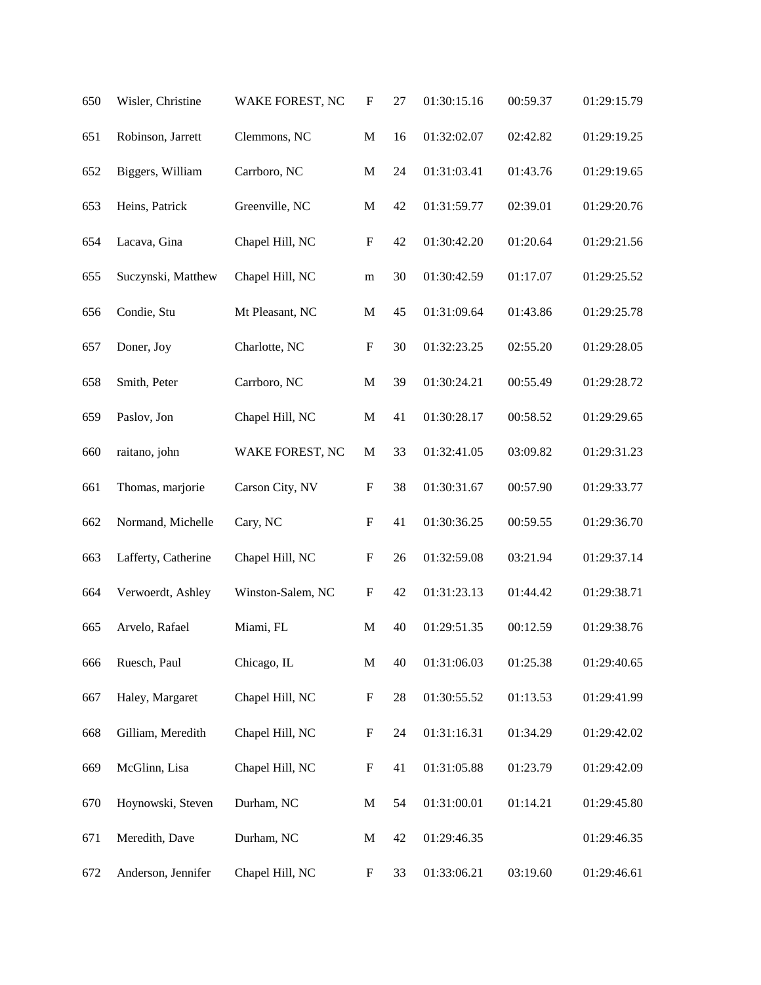| 650 | Wisler, Christine   | WAKE FOREST, NC   | $\boldsymbol{\mathrm{F}}$ | $27\,$ | 01:30:15.16 | 00:59.37 | 01:29:15.79 |
|-----|---------------------|-------------------|---------------------------|--------|-------------|----------|-------------|
| 651 | Robinson, Jarrett   | Clemmons, NC      | $\mathbf M$               | 16     | 01:32:02.07 | 02:42.82 | 01:29:19.25 |
| 652 | Biggers, William    | Carrboro, NC      | $\mathbf M$               | 24     | 01:31:03.41 | 01:43.76 | 01:29:19.65 |
| 653 | Heins, Patrick      | Greenville, NC    | $\mathbf M$               | 42     | 01:31:59.77 | 02:39.01 | 01:29:20.76 |
| 654 | Lacava, Gina        | Chapel Hill, NC   | $\boldsymbol{\mathrm{F}}$ | 42     | 01:30:42.20 | 01:20.64 | 01:29:21.56 |
| 655 | Suczynski, Matthew  | Chapel Hill, NC   | ${\bf m}$                 | 30     | 01:30:42.59 | 01:17.07 | 01:29:25.52 |
| 656 | Condie, Stu         | Mt Pleasant, NC   | $\mathbf M$               | 45     | 01:31:09.64 | 01:43.86 | 01:29:25.78 |
| 657 | Doner, Joy          | Charlotte, NC     | $\boldsymbol{\mathrm{F}}$ | 30     | 01:32:23.25 | 02:55.20 | 01:29:28.05 |
| 658 | Smith, Peter        | Carrboro, NC      | $\mathbf M$               | 39     | 01:30:24.21 | 00:55.49 | 01:29:28.72 |
| 659 | Paslov, Jon         | Chapel Hill, NC   | $\mathbf M$               | 41     | 01:30:28.17 | 00:58.52 | 01:29:29.65 |
| 660 | raitano, john       | WAKE FOREST, NC   | $\mathbf M$               | 33     | 01:32:41.05 | 03:09.82 | 01:29:31.23 |
| 661 | Thomas, marjorie    | Carson City, NV   | $\boldsymbol{\mathrm{F}}$ | 38     | 01:30:31.67 | 00:57.90 | 01:29:33.77 |
| 662 | Normand, Michelle   | Cary, NC          | $\boldsymbol{\mathrm{F}}$ | 41     | 01:30:36.25 | 00:59.55 | 01:29:36.70 |
| 663 | Lafferty, Catherine | Chapel Hill, NC   | $\boldsymbol{\mathrm{F}}$ | 26     | 01:32:59.08 | 03:21.94 | 01:29:37.14 |
| 664 | Verwoerdt, Ashley   | Winston-Salem, NC | $\boldsymbol{\mathrm{F}}$ | 42     | 01:31:23.13 | 01:44.42 | 01:29:38.71 |
| 665 | Arvelo, Rafael      | Miami, FL         | $\mathbf M$               | 40     | 01:29:51.35 | 00:12.59 | 01:29:38.76 |
| 666 | Ruesch, Paul        | Chicago, IL       | $\mathbf M$               | 40     | 01:31:06.03 | 01:25.38 | 01:29:40.65 |
| 667 | Haley, Margaret     | Chapel Hill, NC   | $\boldsymbol{\mathrm{F}}$ | 28     | 01:30:55.52 | 01:13.53 | 01:29:41.99 |
| 668 | Gilliam, Meredith   | Chapel Hill, NC   | $\boldsymbol{\mathrm{F}}$ | 24     | 01:31:16.31 | 01:34.29 | 01:29:42.02 |
| 669 | McGlinn, Lisa       | Chapel Hill, NC   | $\boldsymbol{\mathrm{F}}$ | 41     | 01:31:05.88 | 01:23.79 | 01:29:42.09 |
| 670 | Hoynowski, Steven   | Durham, NC        | $\mathbf M$               | 54     | 01:31:00.01 | 01:14.21 | 01:29:45.80 |
| 671 | Meredith, Dave      | Durham, NC        | M                         | 42     | 01:29:46.35 |          | 01:29:46.35 |
| 672 | Anderson, Jennifer  | Chapel Hill, NC   | $\boldsymbol{F}$          | 33     | 01:33:06.21 | 03:19.60 | 01:29:46.61 |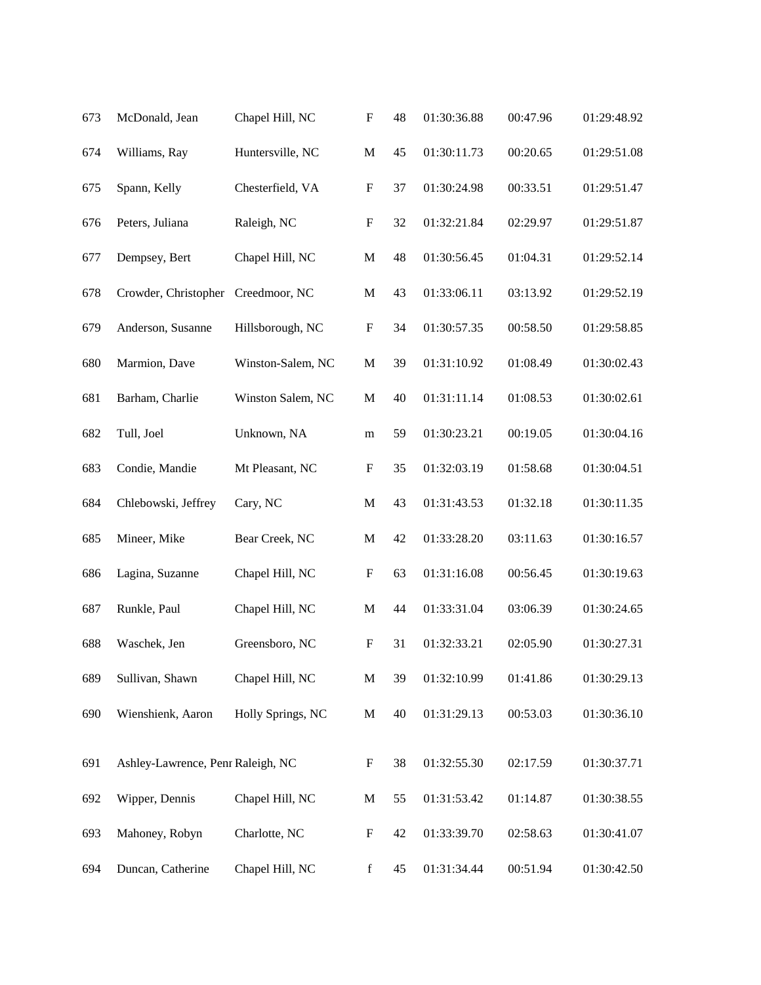| 673 | McDonald, Jean                    | Chapel Hill, NC   | $\boldsymbol{\mathrm{F}}$ | 48 | 01:30:36.88 | 00:47.96 | 01:29:48.92 |
|-----|-----------------------------------|-------------------|---------------------------|----|-------------|----------|-------------|
| 674 | Williams, Ray                     | Huntersville, NC  | $\mathbf M$               | 45 | 01:30:11.73 | 00:20.65 | 01:29:51.08 |
| 675 | Spann, Kelly                      | Chesterfield, VA  | $\boldsymbol{\mathrm{F}}$ | 37 | 01:30:24.98 | 00:33.51 | 01:29:51.47 |
| 676 | Peters, Juliana                   | Raleigh, NC       | $\boldsymbol{\mathrm{F}}$ | 32 | 01:32:21.84 | 02:29.97 | 01:29:51.87 |
| 677 | Dempsey, Bert                     | Chapel Hill, NC   | $\mathbf M$               | 48 | 01:30:56.45 | 01:04.31 | 01:29:52.14 |
| 678 | Crowder, Christopher              | Creedmoor, NC     | $\mathbf M$               | 43 | 01:33:06.11 | 03:13.92 | 01:29:52.19 |
| 679 | Anderson, Susanne                 | Hillsborough, NC  | $\boldsymbol{\mathrm{F}}$ | 34 | 01:30:57.35 | 00:58.50 | 01:29:58.85 |
| 680 | Marmion, Dave                     | Winston-Salem, NC | $\mathbf M$               | 39 | 01:31:10.92 | 01:08.49 | 01:30:02.43 |
| 681 | Barham, Charlie                   | Winston Salem, NC | M                         | 40 | 01:31:11.14 | 01:08.53 | 01:30:02.61 |
| 682 | Tull, Joel                        | Unknown, NA       | m                         | 59 | 01:30:23.21 | 00:19.05 | 01:30:04.16 |
| 683 | Condie, Mandie                    | Mt Pleasant, NC   | $\boldsymbol{\mathrm{F}}$ | 35 | 01:32:03.19 | 01:58.68 | 01:30:04.51 |
| 684 | Chlebowski, Jeffrey               | Cary, NC          | M                         | 43 | 01:31:43.53 | 01:32.18 | 01:30:11.35 |
| 685 | Mineer, Mike                      | Bear Creek, NC    | $\mathbf M$               | 42 | 01:33:28.20 | 03:11.63 | 01:30:16.57 |
| 686 | Lagina, Suzanne                   | Chapel Hill, NC   | $\boldsymbol{F}$          | 63 | 01:31:16.08 | 00:56.45 | 01:30:19.63 |
| 687 | Runkle, Paul                      | Chapel Hill, NC   | M                         | 44 | 01:33:31.04 | 03:06.39 | 01:30:24.65 |
| 688 | Waschek, Jen                      | Greensboro, NC    | $\boldsymbol{\mathrm{F}}$ | 31 | 01:32:33.21 | 02:05.90 | 01:30:27.31 |
| 689 | Sullivan, Shawn                   | Chapel Hill, NC   | $\mathbf M$               | 39 | 01:32:10.99 | 01:41.86 | 01:30:29.13 |
| 690 | Wienshienk, Aaron                 | Holly Springs, NC | M                         | 40 | 01:31:29.13 | 00:53.03 | 01:30:36.10 |
| 691 | Ashley-Lawrence, Penr Raleigh, NC |                   | $\boldsymbol{\mathrm{F}}$ | 38 | 01:32:55.30 | 02:17.59 | 01:30:37.71 |
| 692 | Wipper, Dennis                    | Chapel Hill, NC   | $\mathbf M$               | 55 | 01:31:53.42 | 01:14.87 | 01:30:38.55 |
| 693 | Mahoney, Robyn                    | Charlotte, NC     | F                         | 42 | 01:33:39.70 | 02:58.63 | 01:30:41.07 |
| 694 | Duncan, Catherine                 | Chapel Hill, NC   | $\mathbf f$               | 45 | 01:31:34.44 | 00:51.94 | 01:30:42.50 |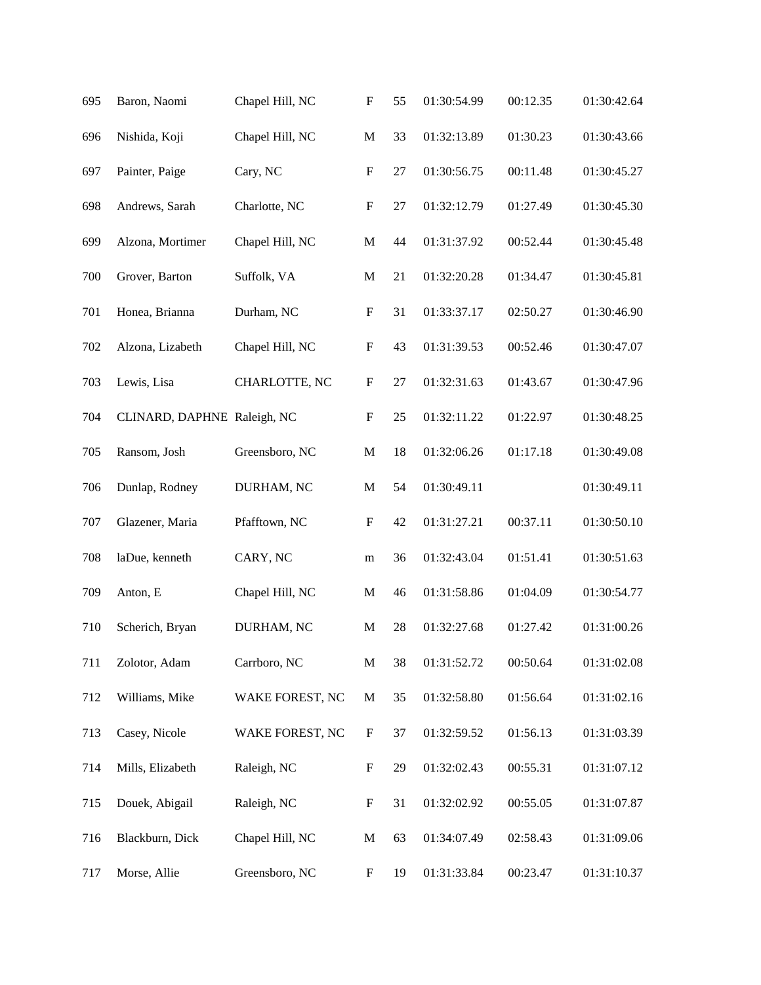| 695 | Baron, Naomi                | Chapel Hill, NC | $\boldsymbol{\mathrm{F}}$ | 55     | 01:30:54.99 | 00:12.35 | 01:30:42.64 |
|-----|-----------------------------|-----------------|---------------------------|--------|-------------|----------|-------------|
| 696 | Nishida, Koji               | Chapel Hill, NC | $\mathbf M$               | 33     | 01:32:13.89 | 01:30.23 | 01:30:43.66 |
| 697 | Painter, Paige              | Cary, NC        | $\boldsymbol{\mathrm{F}}$ | $27\,$ | 01:30:56.75 | 00:11.48 | 01:30:45.27 |
| 698 | Andrews, Sarah              | Charlotte, NC   | ${\bf F}$                 | 27     | 01:32:12.79 | 01:27.49 | 01:30:45.30 |
| 699 | Alzona, Mortimer            | Chapel Hill, NC | $\mathbf M$               | 44     | 01:31:37.92 | 00:52.44 | 01:30:45.48 |
| 700 | Grover, Barton              | Suffolk, VA     | $\mathbf M$               | 21     | 01:32:20.28 | 01:34.47 | 01:30:45.81 |
| 701 | Honea, Brianna              | Durham, NC      | $\boldsymbol{\mathrm{F}}$ | 31     | 01:33:37.17 | 02:50.27 | 01:30:46.90 |
| 702 | Alzona, Lizabeth            | Chapel Hill, NC | $\boldsymbol{\mathrm{F}}$ | 43     | 01:31:39.53 | 00:52.46 | 01:30:47.07 |
| 703 | Lewis, Lisa                 | CHARLOTTE, NC   | ${\bf F}$                 | 27     | 01:32:31.63 | 01:43.67 | 01:30:47.96 |
| 704 | CLINARD, DAPHNE Raleigh, NC |                 | $\boldsymbol{\mathrm{F}}$ | 25     | 01:32:11.22 | 01:22.97 | 01:30:48.25 |
| 705 | Ransom, Josh                | Greensboro, NC  | $\mathbf M$               | 18     | 01:32:06.26 | 01:17.18 | 01:30:49.08 |
| 706 | Dunlap, Rodney              | DURHAM, NC      | $\mathbf M$               | 54     | 01:30:49.11 |          | 01:30:49.11 |
| 707 | Glazener, Maria             | Pfafftown, NC   | $\boldsymbol{\mathrm{F}}$ | 42     | 01:31:27.21 | 00:37.11 | 01:30:50.10 |
| 708 | laDue, kenneth              | CARY, NC        | ${\bf m}$                 | 36     | 01:32:43.04 | 01:51.41 | 01:30:51.63 |
| 709 | Anton, E                    | Chapel Hill, NC | M                         | 46     | 01:31:58.86 | 01:04.09 | 01:30:54.77 |
| 710 | Scherich, Bryan             | DURHAM, NC      | $\mathbf M$               | 28     | 01:32:27.68 | 01:27.42 | 01:31:00.26 |
| 711 | Zolotor, Adam               | Carrboro, NC    | $\mathbf M$               | 38     | 01:31:52.72 | 00:50.64 | 01:31:02.08 |
| 712 | Williams, Mike              | WAKE FOREST, NC | $\mathbf{M}$              | 35     | 01:32:58.80 | 01:56.64 | 01:31:02.16 |
| 713 | Casey, Nicole               | WAKE FOREST, NC | $\boldsymbol{\mathrm{F}}$ | 37     | 01:32:59.52 | 01:56.13 | 01:31:03.39 |
| 714 | Mills, Elizabeth            | Raleigh, NC     | $\boldsymbol{F}$          | 29     | 01:32:02.43 | 00:55.31 | 01:31:07.12 |
| 715 | Douek, Abigail              | Raleigh, NC     | $\boldsymbol{\mathrm{F}}$ | 31     | 01:32:02.92 | 00:55.05 | 01:31:07.87 |
| 716 | Blackburn, Dick             | Chapel Hill, NC | $\mathbf{M}$              | 63     | 01:34:07.49 | 02:58.43 | 01:31:09.06 |
| 717 | Morse, Allie                | Greensboro, NC  | $\boldsymbol{F}$          | 19     | 01:31:33.84 | 00:23.47 | 01:31:10.37 |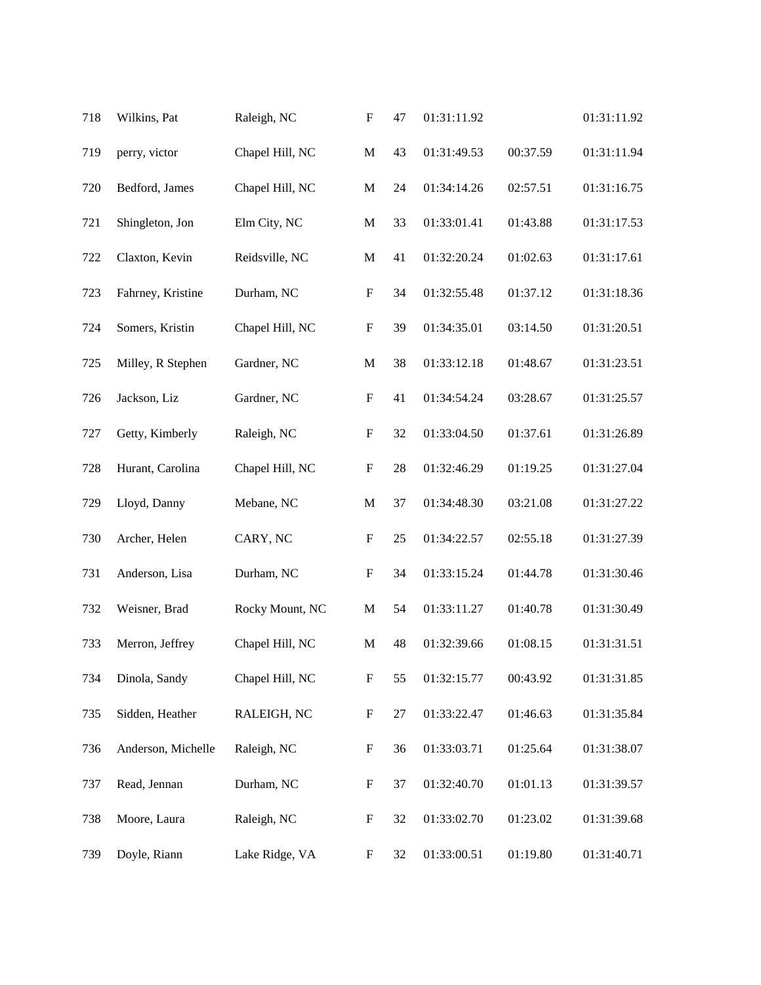| 718 | Wilkins, Pat       | Raleigh, NC     | $\boldsymbol{\mathrm{F}}$ | 47 | 01:31:11.92 |          | 01:31:11.92 |
|-----|--------------------|-----------------|---------------------------|----|-------------|----------|-------------|
| 719 | perry, victor      | Chapel Hill, NC | $\mathbf M$               | 43 | 01:31:49.53 | 00:37.59 | 01:31:11.94 |
| 720 | Bedford, James     | Chapel Hill, NC | $\mathbf M$               | 24 | 01:34:14.26 | 02:57.51 | 01:31:16.75 |
| 721 | Shingleton, Jon    | Elm City, NC    | $\mathbf M$               | 33 | 01:33:01.41 | 01:43.88 | 01:31:17.53 |
| 722 | Claxton, Kevin     | Reidsville, NC  | $\mathbf M$               | 41 | 01:32:20.24 | 01:02.63 | 01:31:17.61 |
| 723 | Fahrney, Kristine  | Durham, NC      | $\boldsymbol{\mathrm{F}}$ | 34 | 01:32:55.48 | 01:37.12 | 01:31:18.36 |
| 724 | Somers, Kristin    | Chapel Hill, NC | $\boldsymbol{\mathrm{F}}$ | 39 | 01:34:35.01 | 03:14.50 | 01:31:20.51 |
| 725 | Milley, R Stephen  | Gardner, NC     | $\mathbf M$               | 38 | 01:33:12.18 | 01:48.67 | 01:31:23.51 |
| 726 | Jackson, Liz       | Gardner, NC     | $\boldsymbol{\mathrm{F}}$ | 41 | 01:34:54.24 | 03:28.67 | 01:31:25.57 |
| 727 | Getty, Kimberly    | Raleigh, NC     | $\boldsymbol{\mathrm{F}}$ | 32 | 01:33:04.50 | 01:37.61 | 01:31:26.89 |
| 728 | Hurant, Carolina   | Chapel Hill, NC | $\boldsymbol{\mathrm{F}}$ | 28 | 01:32:46.29 | 01:19.25 | 01:31:27.04 |
| 729 | Lloyd, Danny       | Mebane, NC      | $\mathbf M$               | 37 | 01:34:48.30 | 03:21.08 | 01:31:27.22 |
| 730 | Archer, Helen      | CARY, NC        | $\boldsymbol{\mathrm{F}}$ | 25 | 01:34:22.57 | 02:55.18 | 01:31:27.39 |
| 731 | Anderson, Lisa     | Durham, NC      | $\boldsymbol{\mathrm{F}}$ | 34 | 01:33:15.24 | 01:44.78 | 01:31:30.46 |
| 732 | Weisner, Brad      | Rocky Mount, NC | M                         | 54 | 01:33:11.27 | 01:40.78 | 01:31:30.49 |
| 733 | Merron, Jeffrey    | Chapel Hill, NC | $\mathbf{M}$              | 48 | 01:32:39.66 | 01:08.15 | 01:31:31.51 |
| 734 | Dinola, Sandy      | Chapel Hill, NC | $\boldsymbol{\mathrm{F}}$ | 55 | 01:32:15.77 | 00:43.92 | 01:31:31.85 |
| 735 | Sidden, Heather    | RALEIGH, NC     | ${\bf F}$                 | 27 | 01:33:22.47 | 01:46.63 | 01:31:35.84 |
| 736 | Anderson, Michelle | Raleigh, NC     | $\boldsymbol{\mathrm{F}}$ | 36 | 01:33:03.71 | 01:25.64 | 01:31:38.07 |
| 737 | Read, Jennan       | Durham, NC      | $\boldsymbol{\mathrm{F}}$ | 37 | 01:32:40.70 | 01:01.13 | 01:31:39.57 |
| 738 | Moore, Laura       | Raleigh, NC     | F                         | 32 | 01:33:02.70 | 01:23.02 | 01:31:39.68 |
| 739 | Doyle, Riann       | Lake Ridge, VA  | $\boldsymbol{F}$          | 32 | 01:33:00.51 | 01:19.80 | 01:31:40.71 |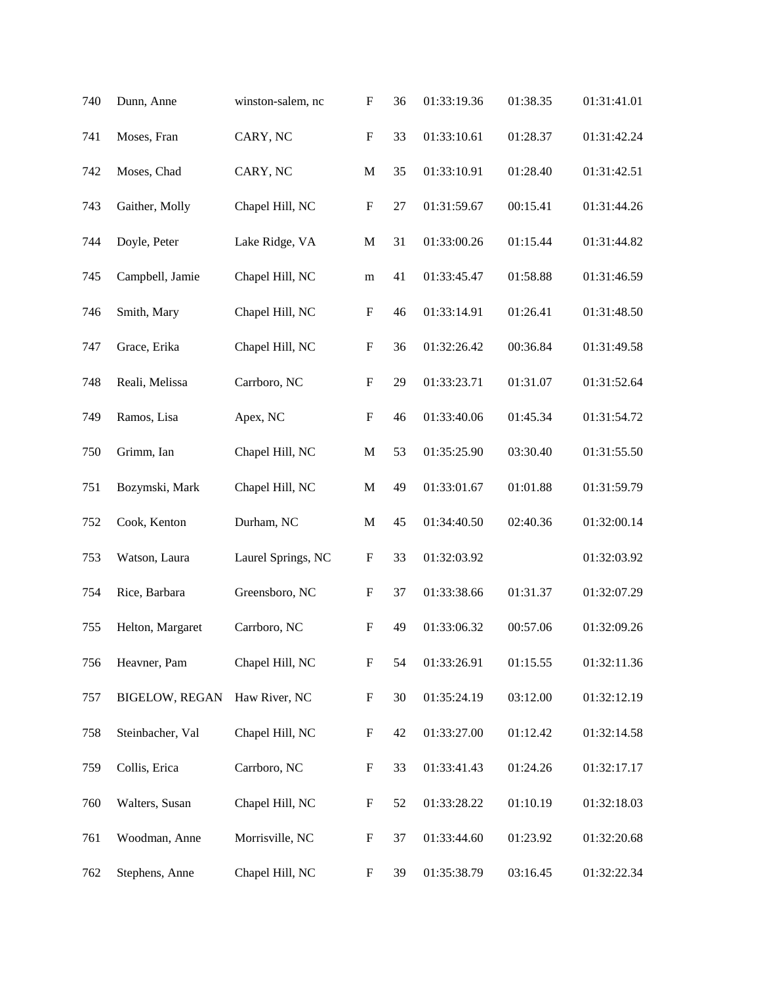| 740 | Dunn, Anne            | winston-salem, nc  | $\boldsymbol{\mathrm{F}}$ | 36 | 01:33:19.36 | 01:38.35 | 01:31:41.01 |
|-----|-----------------------|--------------------|---------------------------|----|-------------|----------|-------------|
| 741 | Moses, Fran           | CARY, NC           | ${\bf F}$                 | 33 | 01:33:10.61 | 01:28.37 | 01:31:42.24 |
| 742 | Moses, Chad           | CARY, NC           | $\mathbf M$               | 35 | 01:33:10.91 | 01:28.40 | 01:31:42.51 |
| 743 | Gaither, Molly        | Chapel Hill, NC    | $\boldsymbol{\mathrm{F}}$ | 27 | 01:31:59.67 | 00:15.41 | 01:31:44.26 |
| 744 | Doyle, Peter          | Lake Ridge, VA     | $\mathbf M$               | 31 | 01:33:00.26 | 01:15.44 | 01:31:44.82 |
| 745 | Campbell, Jamie       | Chapel Hill, NC    | m                         | 41 | 01:33:45.47 | 01:58.88 | 01:31:46.59 |
| 746 | Smith, Mary           | Chapel Hill, NC    | $\boldsymbol{\mathrm{F}}$ | 46 | 01:33:14.91 | 01:26.41 | 01:31:48.50 |
| 747 | Grace, Erika          | Chapel Hill, NC    | $\boldsymbol{\mathrm{F}}$ | 36 | 01:32:26.42 | 00:36.84 | 01:31:49.58 |
| 748 | Reali, Melissa        | Carrboro, NC       | $\boldsymbol{\mathrm{F}}$ | 29 | 01:33:23.71 | 01:31.07 | 01:31:52.64 |
| 749 | Ramos, Lisa           | Apex, NC           | $\boldsymbol{\mathrm{F}}$ | 46 | 01:33:40.06 | 01:45.34 | 01:31:54.72 |
| 750 | Grimm, Ian            | Chapel Hill, NC    | $\mathbf M$               | 53 | 01:35:25.90 | 03:30.40 | 01:31:55.50 |
| 751 | Bozymski, Mark        | Chapel Hill, NC    | $\mathbf M$               | 49 | 01:33:01.67 | 01:01.88 | 01:31:59.79 |
| 752 | Cook, Kenton          | Durham, NC         | $\mathbf M$               | 45 | 01:34:40.50 | 02:40.36 | 01:32:00.14 |
| 753 | Watson, Laura         | Laurel Springs, NC | $\boldsymbol{\mathrm{F}}$ | 33 | 01:32:03.92 |          | 01:32:03.92 |
| 754 | Rice, Barbara         | Greensboro, NC     | $\boldsymbol{\mathrm{F}}$ | 37 | 01:33:38.66 | 01:31.37 | 01:32:07.29 |
| 755 | Helton, Margaret      | Carrboro, NC       | F                         | 49 | 01:33:06.32 | 00:57.06 | 01:32:09.26 |
| 756 | Heavner, Pam          | Chapel Hill, NC    | $\boldsymbol{\mathrm{F}}$ | 54 | 01:33:26.91 | 01:15.55 | 01:32:11.36 |
| 757 | <b>BIGELOW, REGAN</b> | Haw River, NC      | $\boldsymbol{\mathrm{F}}$ | 30 | 01:35:24.19 | 03:12.00 | 01:32:12.19 |
| 758 | Steinbacher, Val      | Chapel Hill, NC    | $\boldsymbol{\mathrm{F}}$ | 42 | 01:33:27.00 | 01:12.42 | 01:32:14.58 |
| 759 | Collis, Erica         | Carrboro, NC       | $\boldsymbol{F}$          | 33 | 01:33:41.43 | 01:24.26 | 01:32:17.17 |
| 760 | Walters, Susan        | Chapel Hill, NC    | $\boldsymbol{F}$          | 52 | 01:33:28.22 | 01:10.19 | 01:32:18.03 |
| 761 | Woodman, Anne         | Morrisville, NC    | $\boldsymbol{F}$          | 37 | 01:33:44.60 | 01:23.92 | 01:32:20.68 |
| 762 | Stephens, Anne        | Chapel Hill, NC    | F                         | 39 | 01:35:38.79 | 03:16.45 | 01:32:22.34 |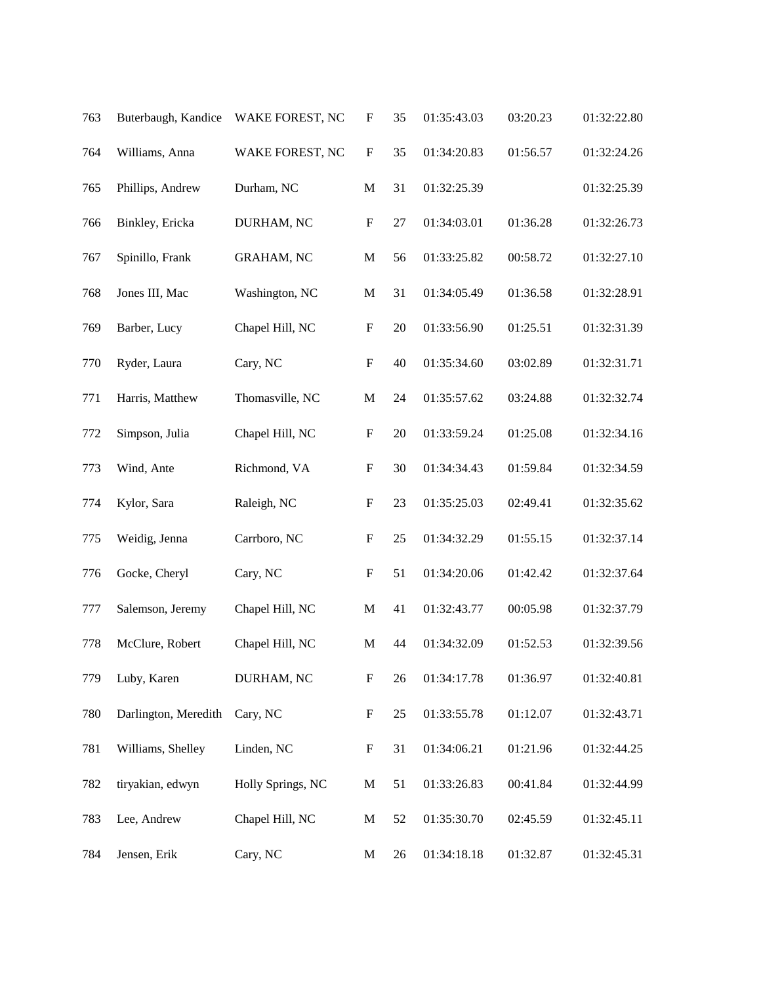| 763 | Buterbaugh, Kandice  | WAKE FOREST, NC   | $\boldsymbol{\mathrm{F}}$ | 35     | 01:35:43.03 | 03:20.23 | 01:32:22.80 |
|-----|----------------------|-------------------|---------------------------|--------|-------------|----------|-------------|
| 764 | Williams, Anna       | WAKE FOREST, NC   | $\boldsymbol{\mathrm{F}}$ | 35     | 01:34:20.83 | 01:56.57 | 01:32:24.26 |
| 765 | Phillips, Andrew     | Durham, NC        | $\mathbf M$               | 31     | 01:32:25.39 |          | 01:32:25.39 |
| 766 | Binkley, Ericka      | DURHAM, NC        | $\boldsymbol{\mathrm{F}}$ | $27\,$ | 01:34:03.01 | 01:36.28 | 01:32:26.73 |
| 767 | Spinillo, Frank      | <b>GRAHAM, NC</b> | $\mathbf M$               | 56     | 01:33:25.82 | 00:58.72 | 01:32:27.10 |
| 768 | Jones III, Mac       | Washington, NC    | $\mathbf M$               | 31     | 01:34:05.49 | 01:36.58 | 01:32:28.91 |
| 769 | Barber, Lucy         | Chapel Hill, NC   | $\boldsymbol{\mathrm{F}}$ | 20     | 01:33:56.90 | 01:25.51 | 01:32:31.39 |
| 770 | Ryder, Laura         | Cary, NC          | ${\bf F}$                 | 40     | 01:35:34.60 | 03:02.89 | 01:32:31.71 |
| 771 | Harris, Matthew      | Thomasville, NC   | $\mathbf M$               | 24     | 01:35:57.62 | 03:24.88 | 01:32:32.74 |
| 772 | Simpson, Julia       | Chapel Hill, NC   | $\boldsymbol{\mathrm{F}}$ | 20     | 01:33:59.24 | 01:25.08 | 01:32:34.16 |
| 773 | Wind, Ante           | Richmond, VA      | $\boldsymbol{\mathrm{F}}$ | 30     | 01:34:34.43 | 01:59.84 | 01:32:34.59 |
| 774 | Kylor, Sara          | Raleigh, NC       | $\boldsymbol{\mathrm{F}}$ | 23     | 01:35:25.03 | 02:49.41 | 01:32:35.62 |
| 775 | Weidig, Jenna        | Carrboro, NC      | $\boldsymbol{\mathrm{F}}$ | 25     | 01:34:32.29 | 01:55.15 | 01:32:37.14 |
| 776 | Gocke, Cheryl        | Cary, NC          | $\boldsymbol{\mathrm{F}}$ | 51     | 01:34:20.06 | 01:42.42 | 01:32:37.64 |
| 777 | Salemson, Jeremy     | Chapel Hill, NC   | $\mathbf M$               | 41     | 01:32:43.77 | 00:05.98 | 01:32:37.79 |
| 778 | McClure, Robert      | Chapel Hill, NC   | $\mathbf M$               | 44     | 01:34:32.09 | 01:52.53 | 01:32:39.56 |
| 779 | Luby, Karen          | DURHAM, NC        | $\boldsymbol{\mathrm{F}}$ | 26     | 01:34:17.78 | 01:36.97 | 01:32:40.81 |
| 780 | Darlington, Meredith | Cary, NC          | $\boldsymbol{\mathrm{F}}$ | 25     | 01:33:55.78 | 01:12.07 | 01:32:43.71 |
| 781 | Williams, Shelley    | Linden, NC        | $\mathbf F$               | 31     | 01:34:06.21 | 01:21.96 | 01:32:44.25 |
| 782 | tiryakian, edwyn     | Holly Springs, NC | $\mathbf M$               | 51     | 01:33:26.83 | 00:41.84 | 01:32:44.99 |
| 783 | Lee, Andrew          | Chapel Hill, NC   | M                         | 52     | 01:35:30.70 | 02:45.59 | 01:32:45.11 |
| 784 | Jensen, Erik         | Cary, NC          | M                         | 26     | 01:34:18.18 | 01:32.87 | 01:32:45.31 |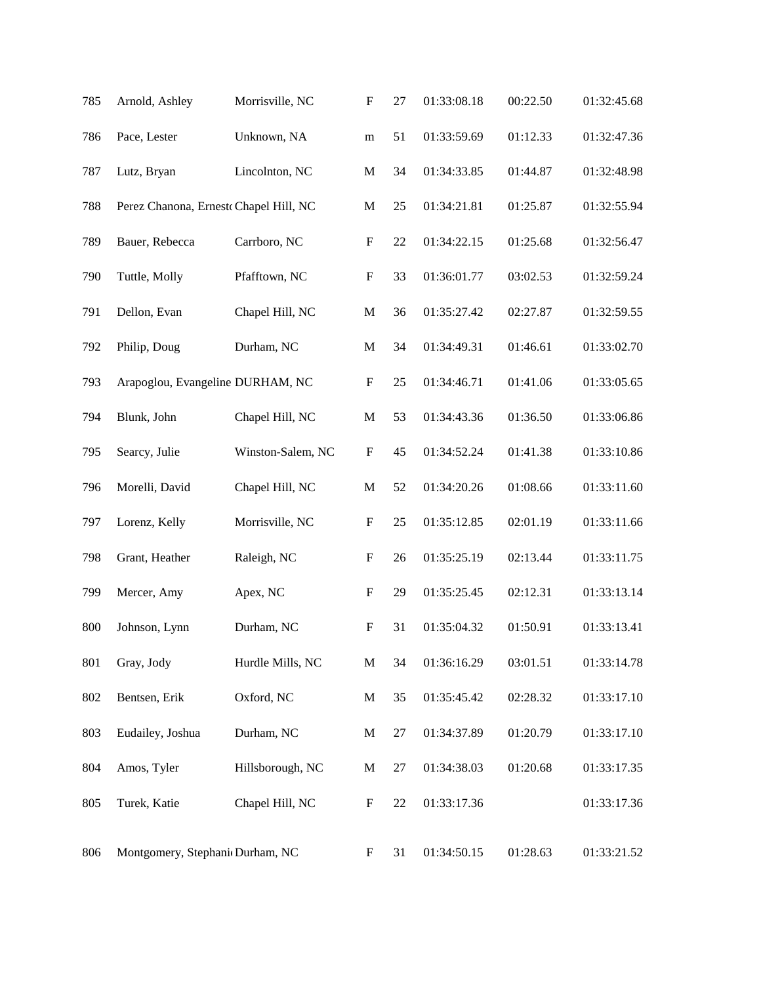| 785 | Arnold, Ashley                        | Morrisville, NC   | $\boldsymbol{\mathrm{F}}$ | 27     | 01:33:08.18 | 00:22.50 | 01:32:45.68 |
|-----|---------------------------------------|-------------------|---------------------------|--------|-------------|----------|-------------|
| 786 | Pace, Lester                          | Unknown, NA       | ${\bf m}$                 | 51     | 01:33:59.69 | 01:12.33 | 01:32:47.36 |
| 787 | Lutz, Bryan                           | Lincolnton, NC    | $\mathbf M$               | 34     | 01:34:33.85 | 01:44.87 | 01:32:48.98 |
| 788 | Perez Chanona, Ernest Chapel Hill, NC |                   | $\mathbf M$               | 25     | 01:34:21.81 | 01:25.87 | 01:32:55.94 |
| 789 | Bauer, Rebecca                        | Carrboro, NC      | $\boldsymbol{\mathrm{F}}$ | 22     | 01:34:22.15 | 01:25.68 | 01:32:56.47 |
| 790 | Tuttle, Molly                         | Pfafftown, NC     | $\boldsymbol{\mathrm{F}}$ | 33     | 01:36:01.77 | 03:02.53 | 01:32:59.24 |
| 791 | Dellon, Evan                          | Chapel Hill, NC   | $\mathbf M$               | 36     | 01:35:27.42 | 02:27.87 | 01:32:59.55 |
| 792 | Philip, Doug                          | Durham, NC        | $\mathbf M$               | 34     | 01:34:49.31 | 01:46.61 | 01:33:02.70 |
| 793 | Arapoglou, Evangeline DURHAM, NC      |                   | $\boldsymbol{\mathrm{F}}$ | 25     | 01:34:46.71 | 01:41.06 | 01:33:05.65 |
| 794 | Blunk, John                           | Chapel Hill, NC   | $\mathbf M$               | 53     | 01:34:43.36 | 01:36.50 | 01:33:06.86 |
| 795 | Searcy, Julie                         | Winston-Salem, NC | $\boldsymbol{\mathrm{F}}$ | 45     | 01:34:52.24 | 01:41.38 | 01:33:10.86 |
| 796 | Morelli, David                        | Chapel Hill, NC   | $\mathbf M$               | 52     | 01:34:20.26 | 01:08.66 | 01:33:11.60 |
| 797 | Lorenz, Kelly                         | Morrisville, NC   | $\boldsymbol{\mathrm{F}}$ | 25     | 01:35:12.85 | 02:01.19 | 01:33:11.66 |
| 798 | Grant, Heather                        | Raleigh, NC       | $\mathbf F$               | 26     | 01:35:25.19 | 02:13.44 | 01:33:11.75 |
| 799 | Mercer, Amy                           | Apex, NC          | $\boldsymbol{\mathrm{F}}$ | 29     | 01:35:25.45 | 02:12.31 | 01:33:13.14 |
| 800 | Johnson, Lynn                         | Durham, NC        | $\boldsymbol{\mathrm{F}}$ | 31     | 01:35:04.32 | 01:50.91 | 01:33:13.41 |
| 801 | Gray, Jody                            | Hurdle Mills, NC  | $\mathbf M$               | 34     | 01:36:16.29 | 03:01.51 | 01:33:14.78 |
| 802 | Bentsen, Erik                         | Oxford, NC        | M                         | 35     | 01:35:45.42 | 02:28.32 | 01:33:17.10 |
| 803 | Eudailey, Joshua                      | Durham, NC        | $\mathbf M$               | 27     | 01:34:37.89 | 01:20.79 | 01:33:17.10 |
| 804 | Amos, Tyler                           | Hillsborough, NC  | $\mathbf M$               | $27\,$ | 01:34:38.03 | 01:20.68 | 01:33:17.35 |
| 805 | Turek, Katie                          | Chapel Hill, NC   | $\boldsymbol{\mathrm{F}}$ | 22     | 01:33:17.36 |          | 01:33:17.36 |
| 806 | Montgomery, Stephanic Durham, NC      |                   | $\boldsymbol{F}$          | 31     | 01:34:50.15 | 01:28.63 | 01:33:21.52 |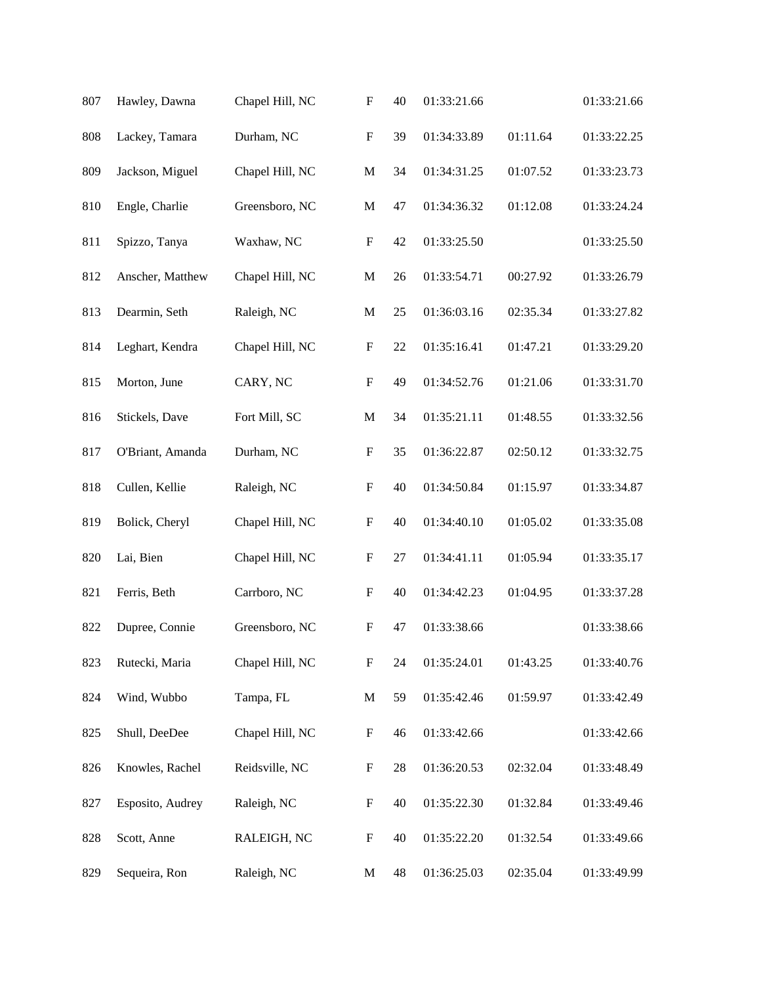| 807 | Hawley, Dawna    | Chapel Hill, NC | $\boldsymbol{\mathrm{F}}$ | 40     | 01:33:21.66 |          | 01:33:21.66 |
|-----|------------------|-----------------|---------------------------|--------|-------------|----------|-------------|
| 808 | Lackey, Tamara   | Durham, NC      | ${\bf F}$                 | 39     | 01:34:33.89 | 01:11.64 | 01:33:22.25 |
| 809 | Jackson, Miguel  | Chapel Hill, NC | $\mathbf M$               | 34     | 01:34:31.25 | 01:07.52 | 01:33:23.73 |
| 810 | Engle, Charlie   | Greensboro, NC  | $\mathbf M$               | 47     | 01:34:36.32 | 01:12.08 | 01:33:24.24 |
| 811 | Spizzo, Tanya    | Waxhaw, NC      | $\boldsymbol{\mathrm{F}}$ | 42     | 01:33:25.50 |          | 01:33:25.50 |
| 812 | Anscher, Matthew | Chapel Hill, NC | $\mathbf M$               | 26     | 01:33:54.71 | 00:27.92 | 01:33:26.79 |
| 813 | Dearmin, Seth    | Raleigh, NC     | M                         | 25     | 01:36:03.16 | 02:35.34 | 01:33:27.82 |
| 814 | Leghart, Kendra  | Chapel Hill, NC | ${\bf F}$                 | 22     | 01:35:16.41 | 01:47.21 | 01:33:29.20 |
| 815 | Morton, June     | CARY, NC        | $\boldsymbol{\mathrm{F}}$ | 49     | 01:34:52.76 | 01:21.06 | 01:33:31.70 |
| 816 | Stickels, Dave   | Fort Mill, SC   | ${\bf M}$                 | 34     | 01:35:21.11 | 01:48.55 | 01:33:32.56 |
| 817 | O'Briant, Amanda | Durham, NC      | ${\bf F}$                 | 35     | 01:36:22.87 | 02:50.12 | 01:33:32.75 |
| 818 | Cullen, Kellie   | Raleigh, NC     | ${\bf F}$                 | 40     | 01:34:50.84 | 01:15.97 | 01:33:34.87 |
| 819 | Bolick, Cheryl   | Chapel Hill, NC | ${\bf F}$                 | 40     | 01:34:40.10 | 01:05.02 | 01:33:35.08 |
| 820 | Lai, Bien        | Chapel Hill, NC | ${\bf F}$                 | $27\,$ | 01:34:41.11 | 01:05.94 | 01:33:35.17 |
| 821 | Ferris, Beth     | Carrboro, NC    | $\boldsymbol{\mathrm{F}}$ | 40     | 01:34:42.23 | 01:04.95 | 01:33:37.28 |
| 822 | Dupree, Connie   | Greensboro, NC  | F                         | 47     | 01:33:38.66 |          | 01:33:38.66 |
| 823 | Rutecki, Maria   | Chapel Hill, NC | $\boldsymbol{\mathrm{F}}$ | 24     | 01:35:24.01 | 01:43.25 | 01:33:40.76 |
| 824 | Wind, Wubbo      | Tampa, FL       | $\mathbf M$               | 59     | 01:35:42.46 | 01:59.97 | 01:33:42.49 |
| 825 | Shull, DeeDee    | Chapel Hill, NC | $\boldsymbol{\mathrm{F}}$ | 46     | 01:33:42.66 |          | 01:33:42.66 |
| 826 | Knowles, Rachel  | Reidsville, NC  | $\boldsymbol{\mathrm{F}}$ | 28     | 01:36:20.53 | 02:32.04 | 01:33:48.49 |
| 827 | Esposito, Audrey | Raleigh, NC     | $\boldsymbol{\mathrm{F}}$ | 40     | 01:35:22.30 | 01:32.84 | 01:33:49.46 |
| 828 | Scott, Anne      | RALEIGH, NC     | $\boldsymbol{\mathrm{F}}$ | 40     | 01:35:22.20 | 01:32.54 | 01:33:49.66 |
| 829 | Sequeira, Ron    | Raleigh, NC     | M                         | 48     | 01:36:25.03 | 02:35.04 | 01:33:49.99 |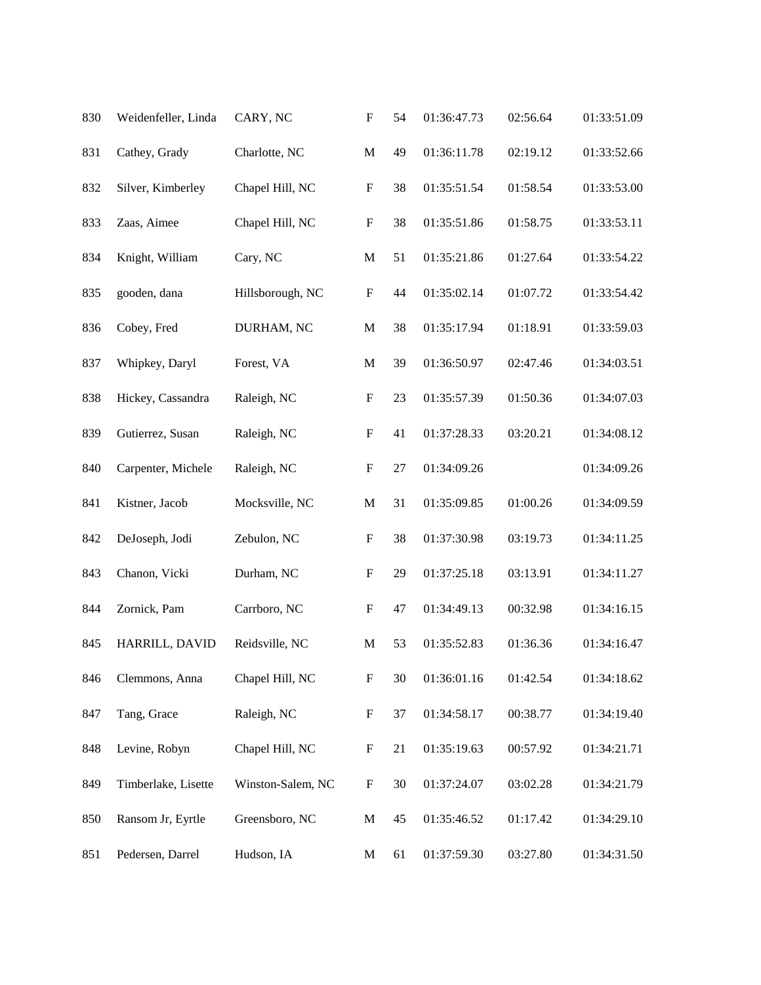| 830 | Weidenfeller, Linda | CARY, NC          | $\boldsymbol{\mathrm{F}}$ | 54 | 01:36:47.73 | 02:56.64 | 01:33:51.09 |
|-----|---------------------|-------------------|---------------------------|----|-------------|----------|-------------|
| 831 | Cathey, Grady       | Charlotte, NC     | $\mathbf M$               | 49 | 01:36:11.78 | 02:19.12 | 01:33:52.66 |
| 832 | Silver, Kimberley   | Chapel Hill, NC   | $\boldsymbol{\mathrm{F}}$ | 38 | 01:35:51.54 | 01:58.54 | 01:33:53.00 |
| 833 | Zaas, Aimee         | Chapel Hill, NC   | $\boldsymbol{\mathrm{F}}$ | 38 | 01:35:51.86 | 01:58.75 | 01:33:53.11 |
| 834 | Knight, William     | Cary, NC          | $\mathbf M$               | 51 | 01:35:21.86 | 01:27.64 | 01:33:54.22 |
| 835 | gooden, dana        | Hillsborough, NC  | $\boldsymbol{\mathrm{F}}$ | 44 | 01:35:02.14 | 01:07.72 | 01:33:54.42 |
| 836 | Cobey, Fred         | DURHAM, NC        | $\mathbf M$               | 38 | 01:35:17.94 | 01:18.91 | 01:33:59.03 |
| 837 | Whipkey, Daryl      | Forest, VA        | $\mathbf M$               | 39 | 01:36:50.97 | 02:47.46 | 01:34:03.51 |
| 838 | Hickey, Cassandra   | Raleigh, NC       | $\boldsymbol{\mathrm{F}}$ | 23 | 01:35:57.39 | 01:50.36 | 01:34:07.03 |
| 839 | Gutierrez, Susan    | Raleigh, NC       | $\boldsymbol{\mathrm{F}}$ | 41 | 01:37:28.33 | 03:20.21 | 01:34:08.12 |
| 840 | Carpenter, Michele  | Raleigh, NC       | $\boldsymbol{\mathrm{F}}$ | 27 | 01:34:09.26 |          | 01:34:09.26 |
| 841 | Kistner, Jacob      | Mocksville, NC    | $\mathbf M$               | 31 | 01:35:09.85 | 01:00.26 | 01:34:09.59 |
| 842 | DeJoseph, Jodi      | Zebulon, NC       | $\boldsymbol{F}$          | 38 | 01:37:30.98 | 03:19.73 | 01:34:11.25 |
| 843 | Chanon, Vicki       | Durham, NC        | $\boldsymbol{F}$          | 29 | 01:37:25.18 | 03:13.91 | 01:34:11.27 |
| 844 | Zornick, Pam        | Carrboro, NC      | $\boldsymbol{\mathrm{F}}$ | 47 | 01:34:49.13 | 00:32.98 | 01:34:16.15 |
| 845 | HARRILL, DAVID      | Reidsville, NC    | M                         | 53 | 01:35:52.83 | 01:36.36 | 01:34:16.47 |
| 846 | Clemmons, Anna      | Chapel Hill, NC   | ${\bf F}$                 | 30 | 01:36:01.16 | 01:42.54 | 01:34:18.62 |
| 847 | Tang, Grace         | Raleigh, NC       | $\boldsymbol{\mathrm{F}}$ | 37 | 01:34:58.17 | 00:38.77 | 01:34:19.40 |
| 848 | Levine, Robyn       | Chapel Hill, NC   | $\boldsymbol{\mathrm{F}}$ | 21 | 01:35:19.63 | 00:57.92 | 01:34:21.71 |
| 849 | Timberlake, Lisette | Winston-Salem, NC | $\boldsymbol{\mathrm{F}}$ | 30 | 01:37:24.07 | 03:02.28 | 01:34:21.79 |
| 850 | Ransom Jr, Eyrtle   | Greensboro, NC    | $\mathbf{M}$              | 45 | 01:35:46.52 | 01:17.42 | 01:34:29.10 |
| 851 | Pedersen, Darrel    | Hudson, IA        | M                         | 61 | 01:37:59.30 | 03:27.80 | 01:34:31.50 |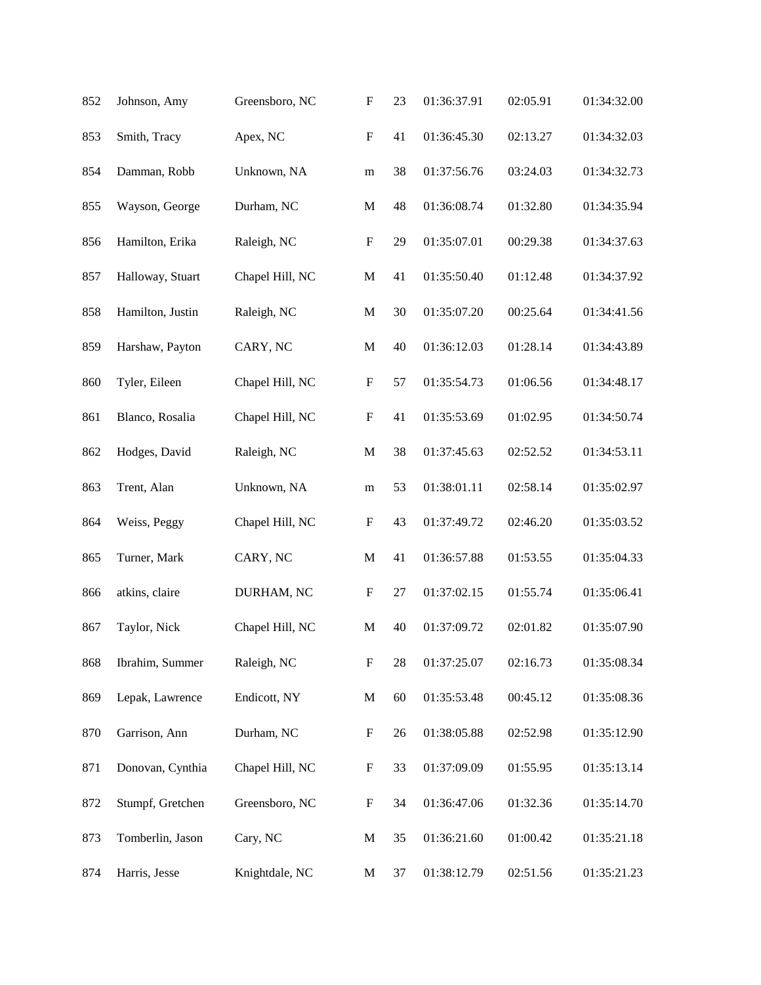| 852 | Johnson, Amy     | Greensboro, NC  | $\boldsymbol{\mathrm{F}}$ | 23 | 01:36:37.91 | 02:05.91 | 01:34:32.00 |
|-----|------------------|-----------------|---------------------------|----|-------------|----------|-------------|
| 853 | Smith, Tracy     | Apex, NC        | ${\bf F}$                 | 41 | 01:36:45.30 | 02:13.27 | 01:34:32.03 |
| 854 | Damman, Robb     | Unknown, NA     | ${\bf m}$                 | 38 | 01:37:56.76 | 03:24.03 | 01:34:32.73 |
| 855 | Wayson, George   | Durham, NC      | ${\bf M}$                 | 48 | 01:36:08.74 | 01:32.80 | 01:34:35.94 |
| 856 | Hamilton, Erika  | Raleigh, NC     | $\boldsymbol{\mathrm{F}}$ | 29 | 01:35:07.01 | 00:29.38 | 01:34:37.63 |
| 857 | Halloway, Stuart | Chapel Hill, NC | $\mathbf M$               | 41 | 01:35:50.40 | 01:12.48 | 01:34:37.92 |
| 858 | Hamilton, Justin | Raleigh, NC     | $\mathbf M$               | 30 | 01:35:07.20 | 00:25.64 | 01:34:41.56 |
| 859 | Harshaw, Payton  | CARY, NC        | $\mathbf M$               | 40 | 01:36:12.03 | 01:28.14 | 01:34:43.89 |
| 860 | Tyler, Eileen    | Chapel Hill, NC | ${\bf F}$                 | 57 | 01:35:54.73 | 01:06.56 | 01:34:48.17 |
| 861 | Blanco, Rosalia  | Chapel Hill, NC | $\boldsymbol{\mathrm{F}}$ | 41 | 01:35:53.69 | 01:02.95 | 01:34:50.74 |
| 862 | Hodges, David    | Raleigh, NC     | $\mathbf M$               | 38 | 01:37:45.63 | 02:52.52 | 01:34:53.11 |
| 863 | Trent, Alan      | Unknown, NA     | m                         | 53 | 01:38:01.11 | 02:58.14 | 01:35:02.97 |
| 864 | Weiss, Peggy     | Chapel Hill, NC | $\boldsymbol{\mathrm{F}}$ | 43 | 01:37:49.72 | 02:46.20 | 01:35:03.52 |
| 865 | Turner, Mark     | CARY, NC        | $\mathbf M$               | 41 | 01:36:57.88 | 01:53.55 | 01:35:04.33 |
| 866 | atkins, claire   | DURHAM, NC      | $\boldsymbol{\mathrm{F}}$ | 27 | 01:37:02.15 | 01:55.74 | 01:35:06.41 |
| 867 | Taylor, Nick     | Chapel Hill, NC | M                         | 40 | 01:37:09.72 | 02:01.82 | 01:35:07.90 |
| 868 | Ibrahim, Summer  | Raleigh, NC     | ${\bf F}$                 | 28 | 01:37:25.07 | 02:16.73 | 01:35:08.34 |
| 869 | Lepak, Lawrence  | Endicott, NY    | $\mathbf M$               | 60 | 01:35:53.48 | 00:45.12 | 01:35:08.36 |
| 870 | Garrison, Ann    | Durham, NC      | $\boldsymbol{\mathrm{F}}$ | 26 | 01:38:05.88 | 02:52.98 | 01:35:12.90 |
| 871 | Donovan, Cynthia | Chapel Hill, NC | $\boldsymbol{\mathrm{F}}$ | 33 | 01:37:09.09 | 01:55.95 | 01:35:13.14 |
| 872 | Stumpf, Gretchen | Greensboro, NC  | $\boldsymbol{\mathrm{F}}$ | 34 | 01:36:47.06 | 01:32.36 | 01:35:14.70 |
| 873 | Tomberlin, Jason | Cary, NC        | M                         | 35 | 01:36:21.60 | 01:00.42 | 01:35:21.18 |
| 874 | Harris, Jesse    | Knightdale, NC  | M                         | 37 | 01:38:12.79 | 02:51.56 | 01:35:21.23 |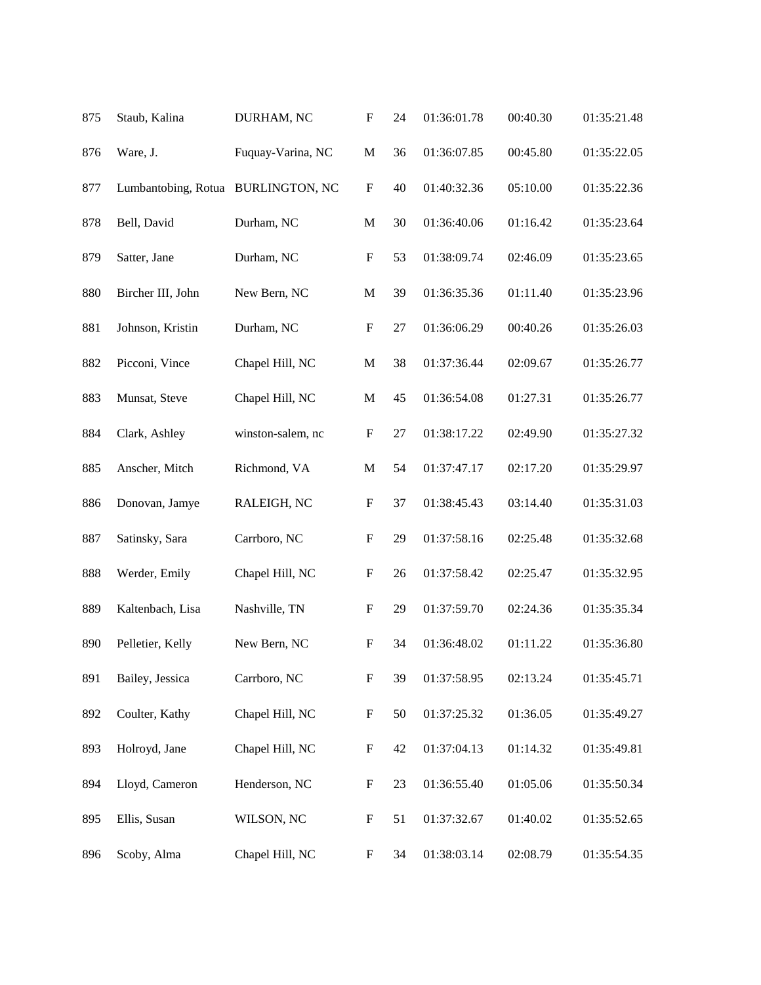| 875 | Staub, Kalina                      | DURHAM, NC        | $\boldsymbol{\mathrm{F}}$ | 24 | 01:36:01.78 | 00:40.30 | 01:35:21.48 |
|-----|------------------------------------|-------------------|---------------------------|----|-------------|----------|-------------|
| 876 | Ware, J.                           | Fuquay-Varina, NC | $\mathbf M$               | 36 | 01:36:07.85 | 00:45.80 | 01:35:22.05 |
| 877 | Lumbantobing, Rotua BURLINGTON, NC |                   | $\boldsymbol{\mathrm{F}}$ | 40 | 01:40:32.36 | 05:10.00 | 01:35:22.36 |
| 878 | Bell, David                        | Durham, NC        | $\mathbf M$               | 30 | 01:36:40.06 | 01:16.42 | 01:35:23.64 |
| 879 | Satter, Jane                       | Durham, NC        | $\boldsymbol{\mathrm{F}}$ | 53 | 01:38:09.74 | 02:46.09 | 01:35:23.65 |
| 880 | Bircher III, John                  | New Bern, NC      | $\mathbf M$               | 39 | 01:36:35.36 | 01:11.40 | 01:35:23.96 |
| 881 | Johnson, Kristin                   | Durham, NC        | $\boldsymbol{\mathrm{F}}$ | 27 | 01:36:06.29 | 00:40.26 | 01:35:26.03 |
| 882 | Picconi, Vince                     | Chapel Hill, NC   | $\mathbf M$               | 38 | 01:37:36.44 | 02:09.67 | 01:35:26.77 |
| 883 | Munsat, Steve                      | Chapel Hill, NC   | $\mathbf M$               | 45 | 01:36:54.08 | 01:27.31 | 01:35:26.77 |
| 884 | Clark, Ashley                      | winston-salem, nc | $\boldsymbol{\mathrm{F}}$ | 27 | 01:38:17.22 | 02:49.90 | 01:35:27.32 |
| 885 | Anscher, Mitch                     | Richmond, VA      | $\mathbf M$               | 54 | 01:37:47.17 | 02:17.20 | 01:35:29.97 |
| 886 | Donovan, Jamye                     | RALEIGH, NC       | $\boldsymbol{\mathrm{F}}$ | 37 | 01:38:45.43 | 03:14.40 | 01:35:31.03 |
| 887 | Satinsky, Sara                     | Carrboro, NC      | $\boldsymbol{\mathrm{F}}$ | 29 | 01:37:58.16 | 02:25.48 | 01:35:32.68 |
| 888 | Werder, Emily                      | Chapel Hill, NC   | $\boldsymbol{\mathrm{F}}$ | 26 | 01:37:58.42 | 02:25.47 | 01:35:32.95 |
| 889 | Kaltenbach, Lisa                   | Nashville, TN     | $\mathbf F$               | 29 | 01:37:59.70 | 02:24.36 | 01:35:35.34 |
| 890 | Pelletier, Kelly                   | New Bern, NC      | F                         | 34 | 01:36:48.02 | 01:11.22 | 01:35:36.80 |
| 891 | Bailey, Jessica                    | Carrboro, NC      | $\boldsymbol{\mathrm{F}}$ | 39 | 01:37:58.95 | 02:13.24 | 01:35:45.71 |
| 892 | Coulter, Kathy                     | Chapel Hill, NC   | $\mathbf F$               | 50 | 01:37:25.32 | 01:36.05 | 01:35:49.27 |
| 893 | Holroyd, Jane                      | Chapel Hill, NC   | $\boldsymbol{\mathrm{F}}$ | 42 | 01:37:04.13 | 01:14.32 | 01:35:49.81 |
| 894 | Lloyd, Cameron                     | Henderson, NC     | $\boldsymbol{F}$          | 23 | 01:36:55.40 | 01:05.06 | 01:35:50.34 |
| 895 | Ellis, Susan                       | WILSON, NC        | $\mathbf F$               | 51 | 01:37:32.67 | 01:40.02 | 01:35:52.65 |
| 896 | Scoby, Alma                        | Chapel Hill, NC   | $\boldsymbol{F}$          | 34 | 01:38:03.14 | 02:08.79 | 01:35:54.35 |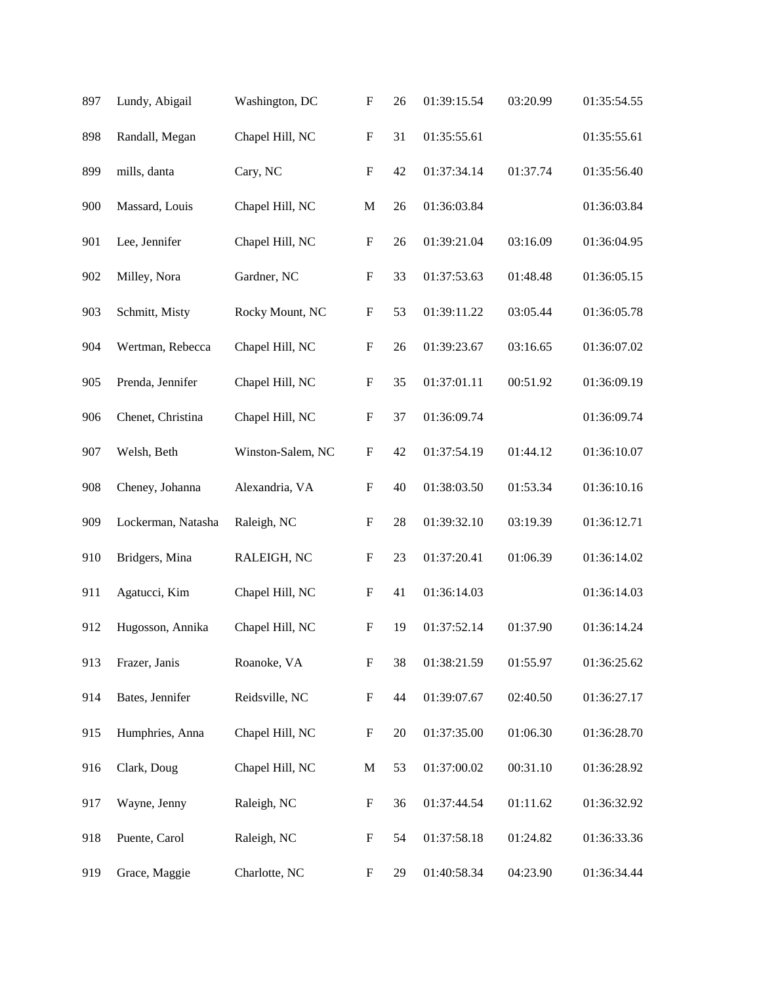| 897 | Lundy, Abigail     | Washington, DC    | $\boldsymbol{\mathrm{F}}$ | 26 | 01:39:15.54 | 03:20.99 | 01:35:54.55 |
|-----|--------------------|-------------------|---------------------------|----|-------------|----------|-------------|
| 898 | Randall, Megan     | Chapel Hill, NC   | $\mathbf F$               | 31 | 01:35:55.61 |          | 01:35:55.61 |
| 899 | mills, danta       | Cary, NC          | $\mathbf F$               | 42 | 01:37:34.14 | 01:37.74 | 01:35:56.40 |
| 900 | Massard, Louis     | Chapel Hill, NC   | $\mathbf M$               | 26 | 01:36:03.84 |          | 01:36:03.84 |
| 901 | Lee, Jennifer      | Chapel Hill, NC   | $\boldsymbol{\mathrm{F}}$ | 26 | 01:39:21.04 | 03:16.09 | 01:36:04.95 |
| 902 | Milley, Nora       | Gardner, NC       | $\boldsymbol{\mathrm{F}}$ | 33 | 01:37:53.63 | 01:48.48 | 01:36:05.15 |
| 903 | Schmitt, Misty     | Rocky Mount, NC   | $\boldsymbol{\mathrm{F}}$ | 53 | 01:39:11.22 | 03:05.44 | 01:36:05.78 |
| 904 | Wertman, Rebecca   | Chapel Hill, NC   | $\mathbf F$               | 26 | 01:39:23.67 | 03:16.65 | 01:36:07.02 |
| 905 | Prenda, Jennifer   | Chapel Hill, NC   | $\boldsymbol{\mathrm{F}}$ | 35 | 01:37:01.11 | 00:51.92 | 01:36:09.19 |
| 906 | Chenet, Christina  | Chapel Hill, NC   | $\boldsymbol{\mathrm{F}}$ | 37 | 01:36:09.74 |          | 01:36:09.74 |
| 907 | Welsh, Beth        | Winston-Salem, NC | $\mathbf F$               | 42 | 01:37:54.19 | 01:44.12 | 01:36:10.07 |
| 908 | Cheney, Johanna    | Alexandria, VA    | $\boldsymbol{\mathrm{F}}$ | 40 | 01:38:03.50 | 01:53.34 | 01:36:10.16 |
| 909 | Lockerman, Natasha | Raleigh, NC       | $\mathbf F$               | 28 | 01:39:32.10 | 03:19.39 | 01:36:12.71 |
| 910 | Bridgers, Mina     | RALEIGH, NC       | $\mathbf F$               | 23 | 01:37:20.41 | 01:06.39 | 01:36:14.02 |
| 911 | Agatucci, Kim      | Chapel Hill, NC   | $\boldsymbol{\mathrm{F}}$ | 41 | 01:36:14.03 |          | 01:36:14.03 |
| 912 | Hugosson, Annika   | Chapel Hill, NC   | F                         | 19 | 01:37:52.14 | 01:37.90 | 01:36:14.24 |
| 913 | Frazer, Janis      | Roanoke, VA       | $\mathbf F$               | 38 | 01:38:21.59 | 01:55.97 | 01:36:25.62 |
| 914 | Bates, Jennifer    | Reidsville, NC    | $\boldsymbol{\mathrm{F}}$ | 44 | 01:39:07.67 | 02:40.50 | 01:36:27.17 |
| 915 | Humphries, Anna    | Chapel Hill, NC   | $\boldsymbol{\mathrm{F}}$ | 20 | 01:37:35.00 | 01:06.30 | 01:36:28.70 |
| 916 | Clark, Doug        | Chapel Hill, NC   | M                         | 53 | 01:37:00.02 | 00:31.10 | 01:36:28.92 |
| 917 | Wayne, Jenny       | Raleigh, NC       | $\boldsymbol{\mathrm{F}}$ | 36 | 01:37:44.54 | 01:11.62 | 01:36:32.92 |
| 918 | Puente, Carol      | Raleigh, NC       | $\boldsymbol{\mathrm{F}}$ | 54 | 01:37:58.18 | 01:24.82 | 01:36:33.36 |
| 919 | Grace, Maggie      | Charlotte, NC     | $\boldsymbol{F}$          | 29 | 01:40:58.34 | 04:23.90 | 01:36:34.44 |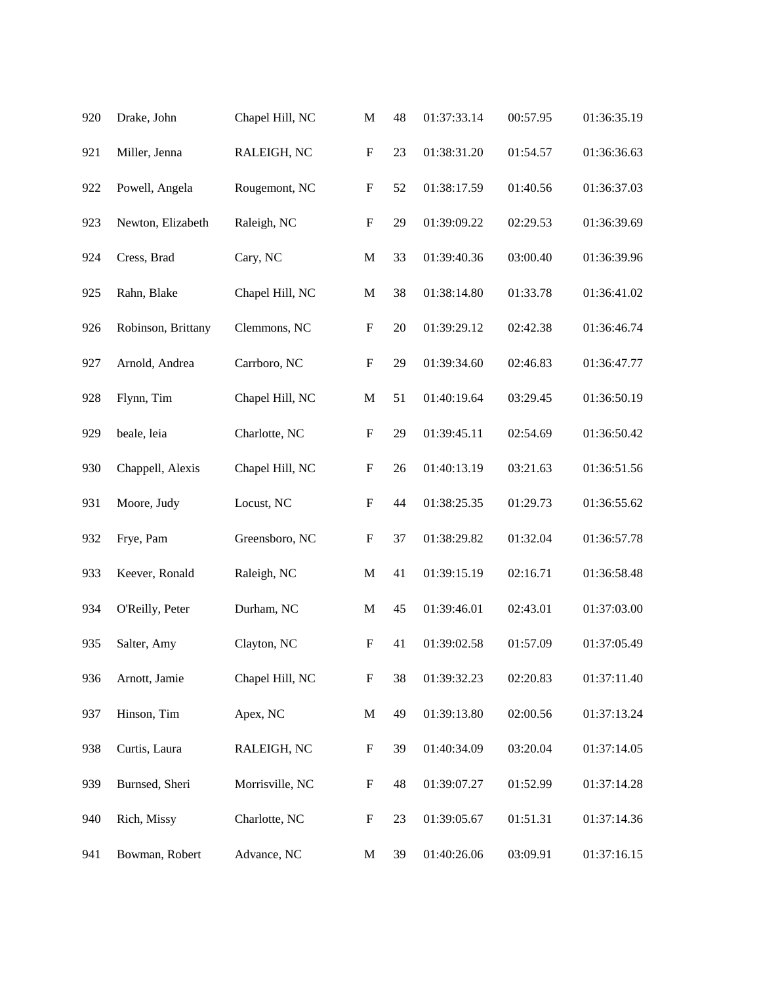| 920 | Drake, John        | Chapel Hill, NC | $\mathbf M$               | 48 | 01:37:33.14 | 00:57.95 | 01:36:35.19 |
|-----|--------------------|-----------------|---------------------------|----|-------------|----------|-------------|
| 921 | Miller, Jenna      | RALEIGH, NC     | $\boldsymbol{\mathrm{F}}$ | 23 | 01:38:31.20 | 01:54.57 | 01:36:36.63 |
| 922 | Powell, Angela     | Rougemont, NC   | $\boldsymbol{\mathrm{F}}$ | 52 | 01:38:17.59 | 01:40.56 | 01:36:37.03 |
| 923 | Newton, Elizabeth  | Raleigh, NC     | $\boldsymbol{\mathrm{F}}$ | 29 | 01:39:09.22 | 02:29.53 | 01:36:39.69 |
| 924 | Cress, Brad        | Cary, NC        | $\mathbf{M}$              | 33 | 01:39:40.36 | 03:00.40 | 01:36:39.96 |
| 925 | Rahn, Blake        | Chapel Hill, NC | $\mathbf M$               | 38 | 01:38:14.80 | 01:33.78 | 01:36:41.02 |
| 926 | Robinson, Brittany | Clemmons, NC    | $\boldsymbol{\mathrm{F}}$ | 20 | 01:39:29.12 | 02:42.38 | 01:36:46.74 |
| 927 | Arnold, Andrea     | Carrboro, NC    | $\mathbf F$               | 29 | 01:39:34.60 | 02:46.83 | 01:36:47.77 |
| 928 | Flynn, Tim         | Chapel Hill, NC | M                         | 51 | 01:40:19.64 | 03:29.45 | 01:36:50.19 |
| 929 | beale, leia        | Charlotte, NC   | $\mathbf F$               | 29 | 01:39:45.11 | 02:54.69 | 01:36:50.42 |
| 930 | Chappell, Alexis   | Chapel Hill, NC | $\mathbf F$               | 26 | 01:40:13.19 | 03:21.63 | 01:36:51.56 |
| 931 | Moore, Judy        | Locust, NC      | $\boldsymbol{\mathrm{F}}$ | 44 | 01:38:25.35 | 01:29.73 | 01:36:55.62 |
| 932 | Frye, Pam          | Greensboro, NC  | $\mathbf F$               | 37 | 01:38:29.82 | 01:32.04 | 01:36:57.78 |
| 933 | Keever, Ronald     | Raleigh, NC     | $\mathbf M$               | 41 | 01:39:15.19 | 02:16.71 | 01:36:58.48 |
| 934 | O'Reilly, Peter    | Durham, NC      | M                         | 45 | 01:39:46.01 | 02:43.01 | 01:37:03.00 |
| 935 | Salter, Amy        | Clayton, NC     | $\mathbf F$               | 41 | 01:39:02.58 | 01:57.09 | 01:37:05.49 |
| 936 | Arnott, Jamie      | Chapel Hill, NC | $\mathbf F$               | 38 | 01:39:32.23 | 02:20.83 | 01:37:11.40 |
| 937 | Hinson, Tim        | Apex, NC        | $\mathbf M$               | 49 | 01:39:13.80 | 02:00.56 | 01:37:13.24 |
| 938 | Curtis, Laura      | RALEIGH, NC     | $\boldsymbol{\mathrm{F}}$ | 39 | 01:40:34.09 | 03:20.04 | 01:37:14.05 |
| 939 | Burnsed, Sheri     | Morrisville, NC | $\boldsymbol{F}$          | 48 | 01:39:07.27 | 01:52.99 | 01:37:14.28 |
| 940 | Rich, Missy        | Charlotte, NC   | $\boldsymbol{F}$          | 23 | 01:39:05.67 | 01:51.31 | 01:37:14.36 |
| 941 | Bowman, Robert     | Advance, NC     | M                         | 39 | 01:40:26.06 | 03:09.91 | 01:37:16.15 |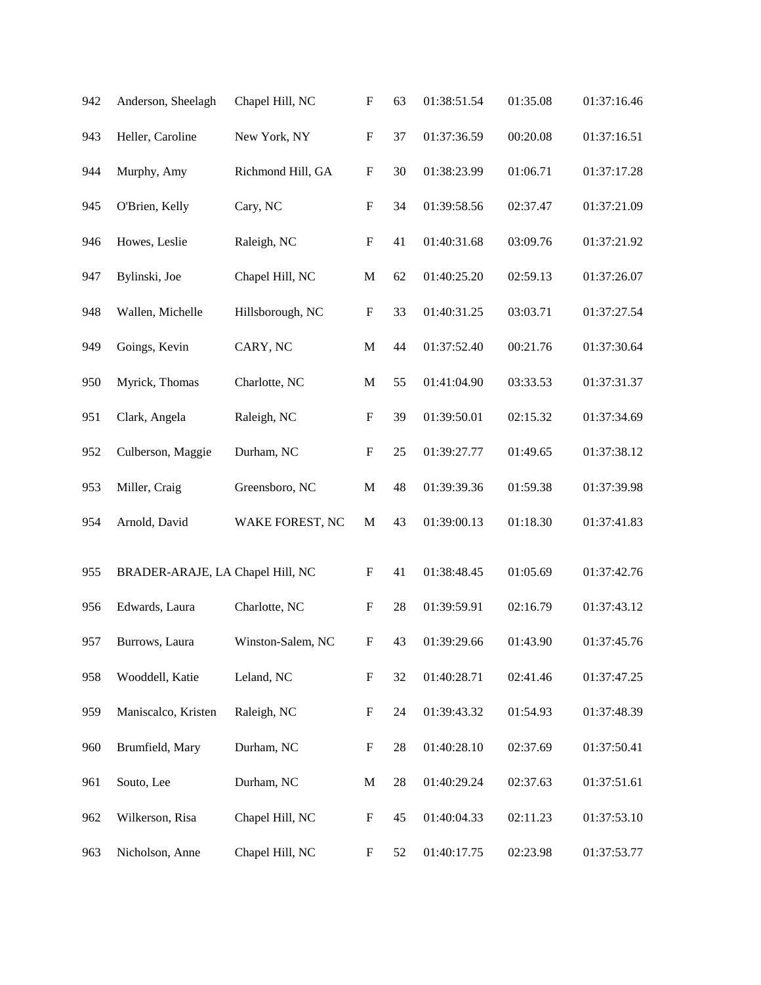| 942 | Anderson, Sheelagh               | Chapel Hill, NC   | $\boldsymbol{\mathrm{F}}$ | 63 | 01:38:51.54 | 01:35.08 | 01:37:16.46 |
|-----|----------------------------------|-------------------|---------------------------|----|-------------|----------|-------------|
| 943 | Heller, Caroline                 | New York, NY      | ${\bf F}$                 | 37 | 01:37:36.59 | 00:20.08 | 01:37:16.51 |
| 944 | Murphy, Amy                      | Richmond Hill, GA | $\mathbf F$               | 30 | 01:38:23.99 | 01:06.71 | 01:37:17.28 |
| 945 | O'Brien, Kelly                   | Cary, NC          | $\boldsymbol{\mathrm{F}}$ | 34 | 01:39:58.56 | 02:37.47 | 01:37:21.09 |
| 946 | Howes, Leslie                    | Raleigh, NC       | ${\bf F}$                 | 41 | 01:40:31.68 | 03:09.76 | 01:37:21.92 |
| 947 | Bylinski, Joe                    | Chapel Hill, NC   | $\mathbf M$               | 62 | 01:40:25.20 | 02:59.13 | 01:37:26.07 |
| 948 | Wallen, Michelle                 | Hillsborough, NC  | $\mathbf F$               | 33 | 01:40:31.25 | 03:03.71 | 01:37:27.54 |
| 949 | Goings, Kevin                    | CARY, NC          | $\mathbf M$               | 44 | 01:37:52.40 | 00:21.76 | 01:37:30.64 |
| 950 | Myrick, Thomas                   | Charlotte, NC     | $\mathbf M$               | 55 | 01:41:04.90 | 03:33.53 | 01:37:31.37 |
| 951 | Clark, Angela                    | Raleigh, NC       | $\mathbf F$               | 39 | 01:39:50.01 | 02:15.32 | 01:37:34.69 |
| 952 | Culberson, Maggie                | Durham, NC        | ${\bf F}$                 | 25 | 01:39:27.77 | 01:49.65 | 01:37:38.12 |
| 953 | Miller, Craig                    | Greensboro, NC    | $\mathbf M$               | 48 | 01:39:39.36 | 01:59.38 | 01:37:39.98 |
| 954 | Arnold, David                    | WAKE FOREST, NC   | $\mathbf M$               | 43 | 01:39:00.13 | 01:18.30 | 01:37:41.83 |
| 955 | BRADER-ARAJE, LA Chapel Hill, NC |                   | $\boldsymbol{\mathrm{F}}$ | 41 | 01:38:48.45 | 01:05.69 | 01:37:42.76 |
| 956 | Edwards, Laura                   | Charlotte, NC     | ${\bf F}$                 | 28 | 01:39:59.91 | 02:16.79 | 01:37:43.12 |
| 957 | Burrows, Laura                   | Winston-Salem, NC | $\boldsymbol{\mathrm{F}}$ | 43 | 01:39:29.66 | 01:43.90 | 01:37:45.76 |
| 958 | Wooddell, Katie                  | Leland, NC        | $\boldsymbol{\mathrm{F}}$ | 32 | 01:40:28.71 | 02:41.46 | 01:37:47.25 |
| 959 | Maniscalco, Kristen              | Raleigh, NC       | $\boldsymbol{\mathrm{F}}$ | 24 | 01:39:43.32 | 01:54.93 | 01:37:48.39 |
| 960 | Brumfield, Mary                  | Durham, NC        | $\boldsymbol{F}$          | 28 | 01:40:28.10 | 02:37.69 | 01:37:50.41 |
| 961 | Souto, Lee                       | Durham, NC        | M                         | 28 | 01:40:29.24 | 02:37.63 | 01:37:51.61 |
| 962 | Wilkerson, Risa                  | Chapel Hill, NC   | $\boldsymbol{F}$          | 45 | 01:40:04.33 | 02:11.23 | 01:37:53.10 |
| 963 | Nicholson, Anne                  | Chapel Hill, NC   | $\boldsymbol{F}$          | 52 | 01:40:17.75 | 02:23.98 | 01:37:53.77 |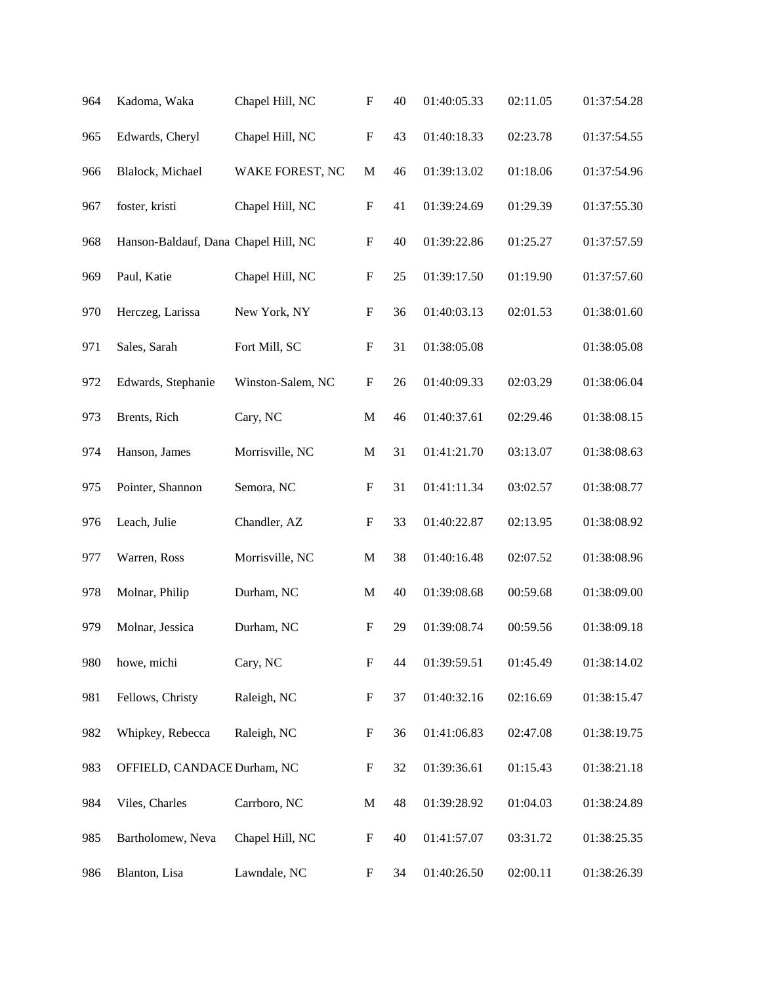| 964 | Kadoma, Waka                         | Chapel Hill, NC   | $\boldsymbol{\mathrm{F}}$ | 40 | 01:40:05.33 | 02:11.05 | 01:37:54.28 |
|-----|--------------------------------------|-------------------|---------------------------|----|-------------|----------|-------------|
| 965 | Edwards, Cheryl                      | Chapel Hill, NC   | ${\bf F}$                 | 43 | 01:40:18.33 | 02:23.78 | 01:37:54.55 |
| 966 | Blalock, Michael                     | WAKE FOREST, NC   | $\mathbf M$               | 46 | 01:39:13.02 | 01:18.06 | 01:37:54.96 |
| 967 | foster, kristi                       | Chapel Hill, NC   | $\boldsymbol{\mathrm{F}}$ | 41 | 01:39:24.69 | 01:29.39 | 01:37:55.30 |
| 968 | Hanson-Baldauf, Dana Chapel Hill, NC |                   | $\boldsymbol{\mathrm{F}}$ | 40 | 01:39:22.86 | 01:25.27 | 01:37:57.59 |
| 969 | Paul, Katie                          | Chapel Hill, NC   | $\boldsymbol{\mathrm{F}}$ | 25 | 01:39:17.50 | 01:19.90 | 01:37:57.60 |
| 970 | Herczeg, Larissa                     | New York, NY      | $\boldsymbol{\mathrm{F}}$ | 36 | 01:40:03.13 | 02:01.53 | 01:38:01.60 |
| 971 | Sales, Sarah                         | Fort Mill, SC     | $\boldsymbol{\mathrm{F}}$ | 31 | 01:38:05.08 |          | 01:38:05.08 |
| 972 | Edwards, Stephanie                   | Winston-Salem, NC | ${\bf F}$                 | 26 | 01:40:09.33 | 02:03.29 | 01:38:06.04 |
| 973 | Brents, Rich                         | Cary, NC          | $\mathbf M$               | 46 | 01:40:37.61 | 02:29.46 | 01:38:08.15 |
| 974 | Hanson, James                        | Morrisville, NC   | $\mathbf M$               | 31 | 01:41:21.70 | 03:13.07 | 01:38:08.63 |
| 975 | Pointer, Shannon                     | Semora, NC        | $\boldsymbol{\mathrm{F}}$ | 31 | 01:41:11.34 | 03:02.57 | 01:38:08.77 |
| 976 | Leach, Julie                         | Chandler, AZ      | $\boldsymbol{\mathrm{F}}$ | 33 | 01:40:22.87 | 02:13.95 | 01:38:08.92 |
| 977 | Warren, Ross                         | Morrisville, NC   | $\mathbf M$               | 38 | 01:40:16.48 | 02:07.52 | 01:38:08.96 |
| 978 | Molnar, Philip                       | Durham, NC        | M                         | 40 | 01:39:08.68 | 00:59.68 | 01:38:09.00 |
| 979 | Molnar, Jessica                      | Durham, NC        | $\boldsymbol{\mathrm{F}}$ | 29 | 01:39:08.74 | 00:59.56 | 01:38:09.18 |
| 980 | howe, michi                          | Cary, NC          | ${\bf F}$                 | 44 | 01:39:59.51 | 01:45.49 | 01:38:14.02 |
| 981 | Fellows, Christy                     | Raleigh, NC       | $\boldsymbol{\mathrm{F}}$ | 37 | 01:40:32.16 | 02:16.69 | 01:38:15.47 |
| 982 | Whipkey, Rebecca                     | Raleigh, NC       | $\boldsymbol{\mathrm{F}}$ | 36 | 01:41:06.83 | 02:47.08 | 01:38:19.75 |
| 983 | OFFIELD, CANDACE Durham, NC          |                   | $\boldsymbol{F}$          | 32 | 01:39:36.61 | 01:15.43 | 01:38:21.18 |
| 984 | Viles, Charles                       | Carrboro, NC      | $\mathbf M$               | 48 | 01:39:28.92 | 01:04.03 | 01:38:24.89 |
| 985 | Bartholomew, Neva                    | Chapel Hill, NC   | $\boldsymbol{\mathrm{F}}$ | 40 | 01:41:57.07 | 03:31.72 | 01:38:25.35 |
| 986 | Blanton, Lisa                        | Lawndale, NC      | $\boldsymbol{F}$          | 34 | 01:40:26.50 | 02:00.11 | 01:38:26.39 |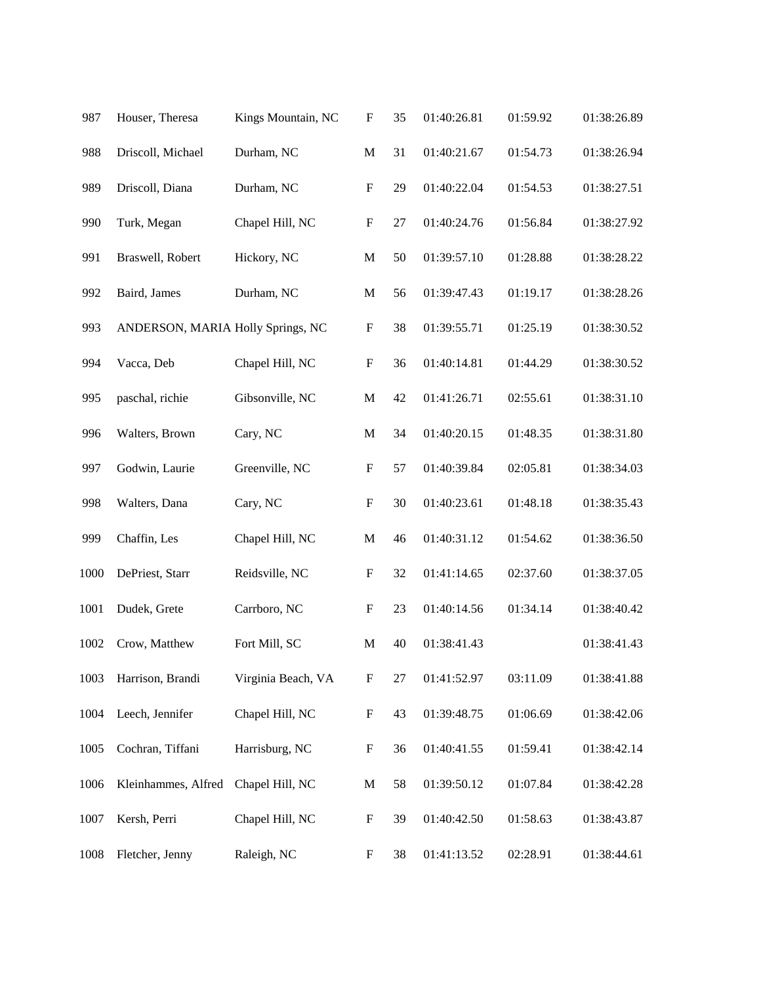| 987  | Houser, Theresa                   | Kings Mountain, NC | $\boldsymbol{\mathrm{F}}$ | 35 | 01:40:26.81 | 01:59.92 | 01:38:26.89 |
|------|-----------------------------------|--------------------|---------------------------|----|-------------|----------|-------------|
| 988  | Driscoll, Michael                 | Durham, NC         | $\mathbf M$               | 31 | 01:40:21.67 | 01:54.73 | 01:38:26.94 |
| 989  | Driscoll, Diana                   | Durham, NC         | $\boldsymbol{\mathrm{F}}$ | 29 | 01:40:22.04 | 01:54.53 | 01:38:27.51 |
| 990  | Turk, Megan                       | Chapel Hill, NC    | ${\bf F}$                 | 27 | 01:40:24.76 | 01:56.84 | 01:38:27.92 |
| 991  | Braswell, Robert                  | Hickory, NC        | $\mathbf M$               | 50 | 01:39:57.10 | 01:28.88 | 01:38:28.22 |
| 992  | Baird, James                      | Durham, NC         | $\mathbf M$               | 56 | 01:39:47.43 | 01:19.17 | 01:38:28.26 |
| 993  | ANDERSON, MARIA Holly Springs, NC |                    | ${\bf F}$                 | 38 | 01:39:55.71 | 01:25.19 | 01:38:30.52 |
| 994  | Vacca, Deb                        | Chapel Hill, NC    | ${\bf F}$                 | 36 | 01:40:14.81 | 01:44.29 | 01:38:30.52 |
| 995  | paschal, richie                   | Gibsonville, NC    | $\mathbf M$               | 42 | 01:41:26.71 | 02:55.61 | 01:38:31.10 |
| 996  | Walters, Brown                    | Cary, NC           | $\mathbf M$               | 34 | 01:40:20.15 | 01:48.35 | 01:38:31.80 |
| 997  | Godwin, Laurie                    | Greenville, NC     | $\boldsymbol{\mathrm{F}}$ | 57 | 01:40:39.84 | 02:05.81 | 01:38:34.03 |
| 998  | Walters, Dana                     | Cary, NC           | ${\bf F}$                 | 30 | 01:40:23.61 | 01:48.18 | 01:38:35.43 |
| 999  | Chaffin, Les                      | Chapel Hill, NC    | $\mathbf M$               | 46 | 01:40:31.12 | 01:54.62 | 01:38:36.50 |
| 1000 | DePriest, Starr                   | Reidsville, NC     | $\boldsymbol{\mathrm{F}}$ | 32 | 01:41:14.65 | 02:37.60 | 01:38:37.05 |
| 1001 | Dudek, Grete                      | Carrboro, NC       | ${\bf F}$                 | 23 | 01:40:14.56 | 01:34.14 | 01:38:40.42 |
| 1002 | Crow, Matthew                     | Fort Mill, SC      | $\mathbf M$               | 40 | 01:38:41.43 |          | 01:38:41.43 |
| 1003 | Harrison, Brandi                  | Virginia Beach, VA | F                         | 27 | 01:41:52.97 | 03:11.09 | 01:38:41.88 |
| 1004 | Leech, Jennifer                   | Chapel Hill, NC    | ${\bf F}$                 | 43 | 01:39:48.75 | 01:06.69 | 01:38:42.06 |
| 1005 | Cochran, Tiffani                  | Harrisburg, NC     | ${\bf F}$                 | 36 | 01:40:41.55 | 01:59.41 | 01:38:42.14 |
| 1006 | Kleinhammes, Alfred               | Chapel Hill, NC    | $\mathbf M$               | 58 | 01:39:50.12 | 01:07.84 | 01:38:42.28 |
| 1007 | Kersh, Perri                      | Chapel Hill, NC    | $\boldsymbol{\mathrm{F}}$ | 39 | 01:40:42.50 | 01:58.63 | 01:38:43.87 |
| 1008 | Fletcher, Jenny                   | Raleigh, NC        | F                         | 38 | 01:41:13.52 | 02:28.91 | 01:38:44.61 |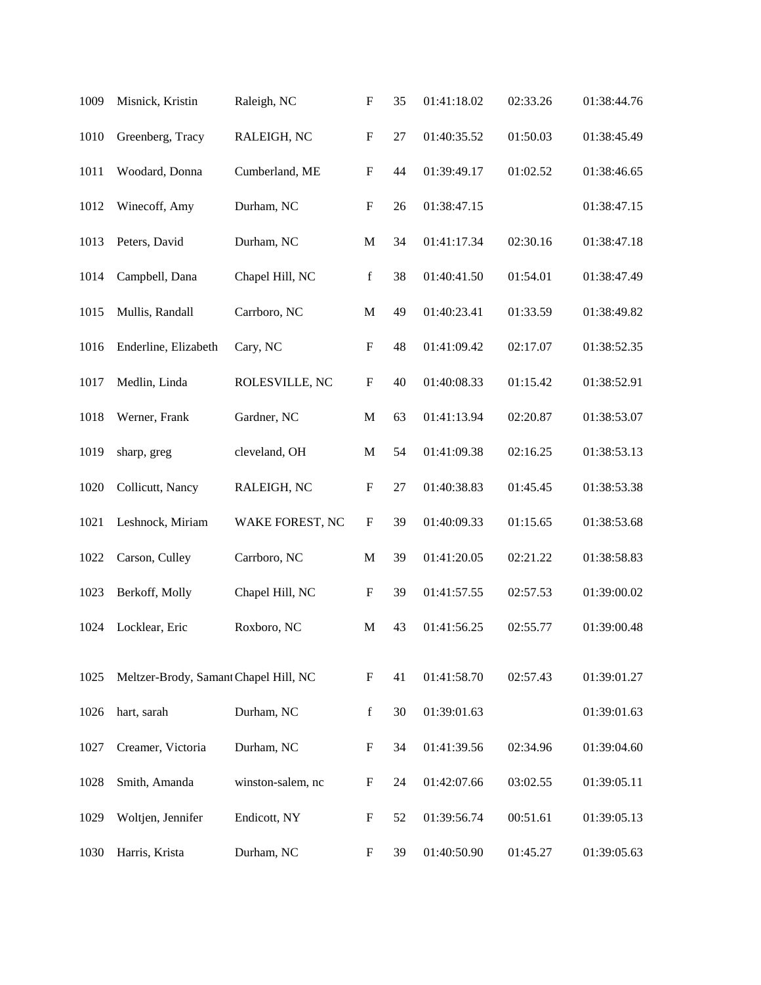| Misnick, Kristin     | Raleigh, NC       | $\boldsymbol{\mathrm{F}}$             | 35 | 01:41:18.02 | 02:33.26    | 01:38:44.76 |
|----------------------|-------------------|---------------------------------------|----|-------------|-------------|-------------|
| Greenberg, Tracy     | RALEIGH, NC       | ${\bf F}$                             | 27 | 01:40:35.52 | 01:50.03    | 01:38:45.49 |
| Woodard, Donna       | Cumberland, ME    | ${\bf F}$                             | 44 | 01:39:49.17 | 01:02.52    | 01:38:46.65 |
| Winecoff, Amy        | Durham, NC        | ${\bf F}$                             | 26 | 01:38:47.15 |             | 01:38:47.15 |
| Peters, David        | Durham, NC        | $\mathbf M$                           | 34 | 01:41:17.34 | 02:30.16    | 01:38:47.18 |
| Campbell, Dana       | Chapel Hill, NC   | $\mathbf f$                           | 38 | 01:40:41.50 | 01:54.01    | 01:38:47.49 |
| Mullis, Randall      | Carrboro, NC      | $\mathbf M$                           | 49 | 01:40:23.41 | 01:33.59    | 01:38:49.82 |
| Enderline, Elizabeth | Cary, NC          | ${\bf F}$                             | 48 | 01:41:09.42 | 02:17.07    | 01:38:52.35 |
| Medlin, Linda        | ROLESVILLE, NC    | ${\bf F}$                             | 40 | 01:40:08.33 | 01:15.42    | 01:38:52.91 |
| Werner, Frank        | Gardner, NC       | $\mathbf M$                           | 63 | 01:41:13.94 | 02:20.87    | 01:38:53.07 |
| sharp, greg          | cleveland, OH     | M                                     | 54 | 01:41:09.38 | 02:16.25    | 01:38:53.13 |
| Collicutt, Nancy     | RALEIGH, NC       | $\boldsymbol{\mathrm{F}}$             | 27 | 01:40:38.83 | 01:45.45    | 01:38:53.38 |
| Leshnock, Miriam     | WAKE FOREST, NC   | $\boldsymbol{\mathrm{F}}$             | 39 | 01:40:09.33 | 01:15.65    | 01:38:53.68 |
| Carson, Culley       | Carrboro, NC      | $\mathbf M$                           | 39 | 01:41:20.05 | 02:21.22    | 01:38:58.83 |
| Berkoff, Molly       | Chapel Hill, NC   | ${\bf F}$                             | 39 | 01:41:57.55 | 02:57.53    | 01:39:00.02 |
| Locklear, Eric       | Roxboro, NC       | M                                     | 43 | 01:41:56.25 | 02:55.77    | 01:39:00.48 |
|                      |                   | F                                     | 41 |             | 02:57.43    | 01:39:01.27 |
| hart, sarah          | Durham, NC        | $\mathbf f$                           | 30 | 01:39:01.63 |             | 01:39:01.63 |
| Creamer, Victoria    | Durham, NC        | F                                     | 34 | 01:41:39.56 | 02:34.96    | 01:39:04.60 |
| Smith, Amanda        | winston-salem, nc | F                                     | 24 | 01:42:07.66 | 03:02.55    | 01:39:05.11 |
| Woltjen, Jennifer    | Endicott, NY      | $\boldsymbol{F}$                      | 52 | 01:39:56.74 | 00:51.61    | 01:39:05.13 |
| Harris, Krista       | Durham, NC        | F                                     | 39 | 01:40:50.90 | 01:45.27    | 01:39:05.63 |
|                      |                   | Meltzer-Brody, Samant Chapel Hill, NC |    |             | 01:41:58.70 |             |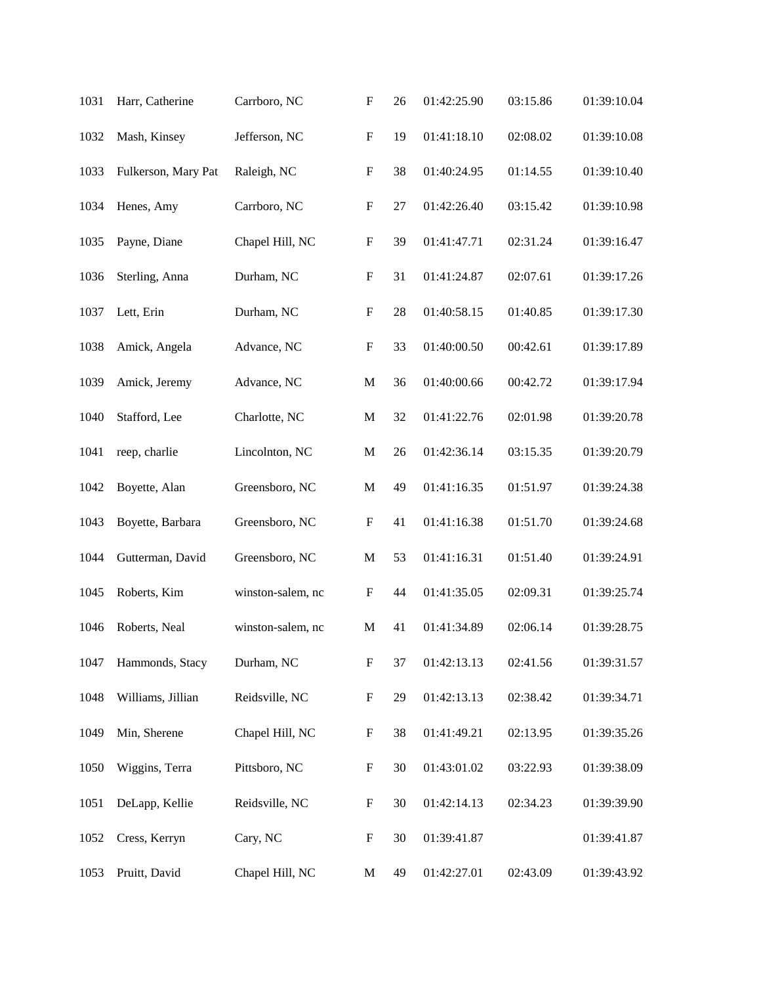| 1031 | Harr, Catherine     | Carrboro, NC      | $\boldsymbol{\mathrm{F}}$ | 26 | 01:42:25.90 | 03:15.86 | 01:39:10.04 |
|------|---------------------|-------------------|---------------------------|----|-------------|----------|-------------|
| 1032 | Mash, Kinsey        | Jefferson, NC     | $\boldsymbol{\mathrm{F}}$ | 19 | 01:41:18.10 | 02:08.02 | 01:39:10.08 |
| 1033 | Fulkerson, Mary Pat | Raleigh, NC       | F                         | 38 | 01:40:24.95 | 01:14.55 | 01:39:10.40 |
| 1034 | Henes, Amy          | Carrboro, NC      | $\boldsymbol{\mathrm{F}}$ | 27 | 01:42:26.40 | 03:15.42 | 01:39:10.98 |
| 1035 | Payne, Diane        | Chapel Hill, NC   | ${\bf F}$                 | 39 | 01:41:47.71 | 02:31.24 | 01:39:16.47 |
| 1036 | Sterling, Anna      | Durham, NC        | $\boldsymbol{\mathrm{F}}$ | 31 | 01:41:24.87 | 02:07.61 | 01:39:17.26 |
| 1037 | Lett, Erin          | Durham, NC        | $\boldsymbol{\mathrm{F}}$ | 28 | 01:40:58.15 | 01:40.85 | 01:39:17.30 |
| 1038 | Amick, Angela       | Advance, NC       | ${\bf F}$                 | 33 | 01:40:00.50 | 00:42.61 | 01:39:17.89 |
| 1039 | Amick, Jeremy       | Advance, NC       | $\mathbf M$               | 36 | 01:40:00.66 | 00:42.72 | 01:39:17.94 |
| 1040 | Stafford, Lee       | Charlotte, NC     | $\mathbf M$               | 32 | 01:41:22.76 | 02:01.98 | 01:39:20.78 |
| 1041 | reep, charlie       | Lincolnton, NC    | $\mathbf M$               | 26 | 01:42:36.14 | 03:15.35 | 01:39:20.79 |
| 1042 | Boyette, Alan       | Greensboro, NC    | $\mathbf M$               | 49 | 01:41:16.35 | 01:51.97 | 01:39:24.38 |
| 1043 | Boyette, Barbara    | Greensboro, NC    | $\boldsymbol{\mathrm{F}}$ | 41 | 01:41:16.38 | 01:51.70 | 01:39:24.68 |
| 1044 | Gutterman, David    | Greensboro, NC    | M                         | 53 | 01:41:16.31 | 01:51.40 | 01:39:24.91 |
| 1045 | Roberts, Kim        | winston-salem, nc | F                         | 44 | 01:41:35.05 | 02:09.31 | 01:39:25.74 |
| 1046 | Roberts, Neal       | winston-salem, nc | M                         | 41 | 01:41:34.89 | 02:06.14 | 01:39:28.75 |
| 1047 | Hammonds, Stacy     | Durham, NC        | $\boldsymbol{\mathrm{F}}$ | 37 | 01:42:13.13 | 02:41.56 | 01:39:31.57 |
| 1048 | Williams, Jillian   | Reidsville, NC    | F                         | 29 | 01:42:13.13 | 02:38.42 | 01:39:34.71 |
| 1049 | Min, Sherene        | Chapel Hill, NC   | F                         | 38 | 01:41:49.21 | 02:13.95 | 01:39:35.26 |
| 1050 | Wiggins, Terra      | Pittsboro, NC     | F                         | 30 | 01:43:01.02 | 03:22.93 | 01:39:38.09 |
| 1051 | DeLapp, Kellie      | Reidsville, NC    | F                         | 30 | 01:42:14.13 | 02:34.23 | 01:39:39.90 |
| 1052 | Cress, Kerryn       | Cary, NC          | $\boldsymbol{\mathrm{F}}$ | 30 | 01:39:41.87 |          | 01:39:41.87 |
| 1053 | Pruitt, David       | Chapel Hill, NC   | M                         | 49 | 01:42:27.01 | 02:43.09 | 01:39:43.92 |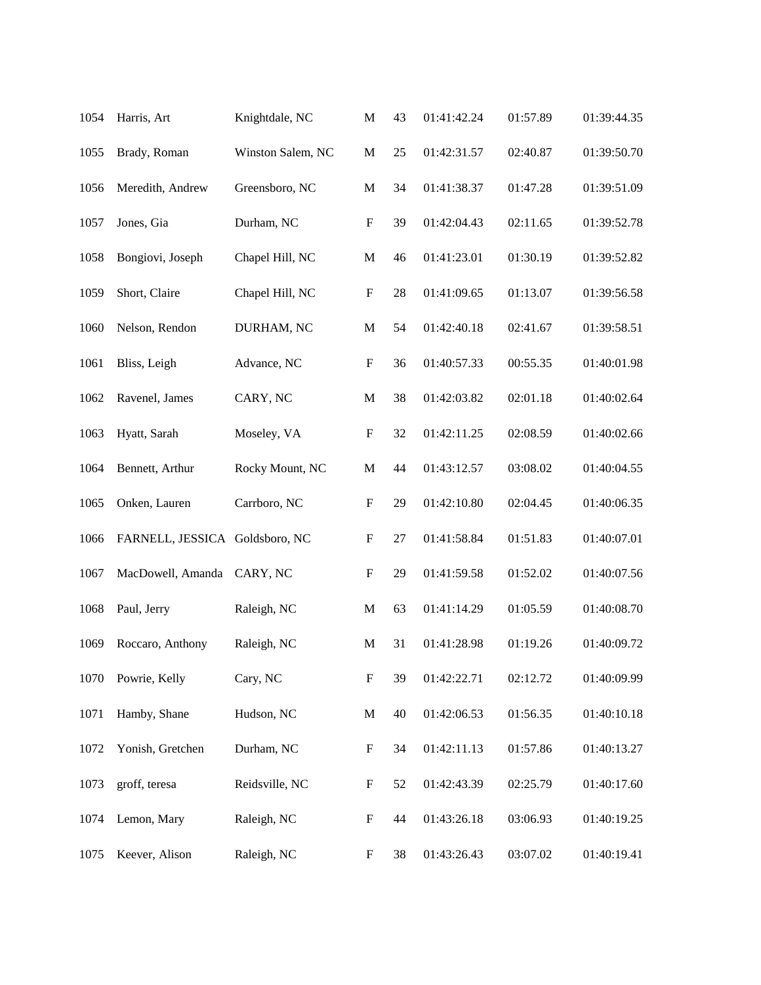| 1054 | Harris, Art                    | Knightdale, NC    | $\mathbf M$               | 43 | 01:41:42.24 | 01:57.89 | 01:39:44.35 |
|------|--------------------------------|-------------------|---------------------------|----|-------------|----------|-------------|
| 1055 | Brady, Roman                   | Winston Salem, NC | M                         | 25 | 01:42:31.57 | 02:40.87 | 01:39:50.70 |
| 1056 | Meredith, Andrew               | Greensboro, NC    | M                         | 34 | 01:41:38.37 | 01:47.28 | 01:39:51.09 |
| 1057 | Jones, Gia                     | Durham, NC        | $\boldsymbol{\mathrm{F}}$ | 39 | 01:42:04.43 | 02:11.65 | 01:39:52.78 |
| 1058 | Bongiovi, Joseph               | Chapel Hill, NC   | M                         | 46 | 01:41:23.01 | 01:30.19 | 01:39:52.82 |
| 1059 | Short, Claire                  | Chapel Hill, NC   | $\boldsymbol{\mathrm{F}}$ | 28 | 01:41:09.65 | 01:13.07 | 01:39:56.58 |
| 1060 | Nelson, Rendon                 | DURHAM, NC        | M                         | 54 | 01:42:40.18 | 02:41.67 | 01:39:58.51 |
| 1061 | Bliss, Leigh                   | Advance, NC       | $\boldsymbol{\mathrm{F}}$ | 36 | 01:40:57.33 | 00:55.35 | 01:40:01.98 |
| 1062 | Ravenel, James                 | CARY, NC          | $\mathbf M$               | 38 | 01:42:03.82 | 02:01.18 | 01:40:02.64 |
| 1063 | Hyatt, Sarah                   | Moseley, VA       | $\boldsymbol{\mathrm{F}}$ | 32 | 01:42:11.25 | 02:08.59 | 01:40:02.66 |
| 1064 | Bennett, Arthur                | Rocky Mount, NC   | $\mathbf M$               | 44 | 01:43:12.57 | 03:08.02 | 01:40:04.55 |
| 1065 | Onken, Lauren                  | Carrboro, NC      | $\boldsymbol{\mathrm{F}}$ | 29 | 01:42:10.80 | 02:04.45 | 01:40:06.35 |
| 1066 | FARNELL, JESSICA Goldsboro, NC |                   | $\boldsymbol{\mathrm{F}}$ | 27 | 01:41:58.84 | 01:51.83 | 01:40:07.01 |
| 1067 | MacDowell, Amanda              | CARY, NC          | F                         | 29 | 01:41:59.58 | 01:52.02 | 01:40:07.56 |
| 1068 | Paul, Jerry                    | Raleigh, NC       | $\mathbf M$               | 63 | 01:41:14.29 | 01:05.59 | 01:40:08.70 |
| 1069 | Roccaro, Anthony               | Raleigh, NC       | $\mathbf M$               | 31 | 01:41:28.98 | 01:19.26 | 01:40:09.72 |
| 1070 | Powrie, Kelly                  | Cary, NC          | $\boldsymbol{\mathrm{F}}$ | 39 | 01:42:22.71 | 02:12.72 | 01:40:09.99 |
| 1071 | Hamby, Shane                   | Hudson, NC        | $\mathbf M$               | 40 | 01:42:06.53 | 01:56.35 | 01:40:10.18 |
| 1072 | Yonish, Gretchen               | Durham, NC        | $\boldsymbol{\mathrm{F}}$ | 34 | 01:42:11.13 | 01:57.86 | 01:40:13.27 |
| 1073 | groff, teresa                  | Reidsville, NC    | F                         | 52 | 01:42:43.39 | 02:25.79 | 01:40:17.60 |
| 1074 | Lemon, Mary                    | Raleigh, NC       | F                         | 44 | 01:43:26.18 | 03:06.93 | 01:40:19.25 |
| 1075 | Keever, Alison                 | Raleigh, NC       | F                         | 38 | 01:43:26.43 | 03:07.02 | 01:40:19.41 |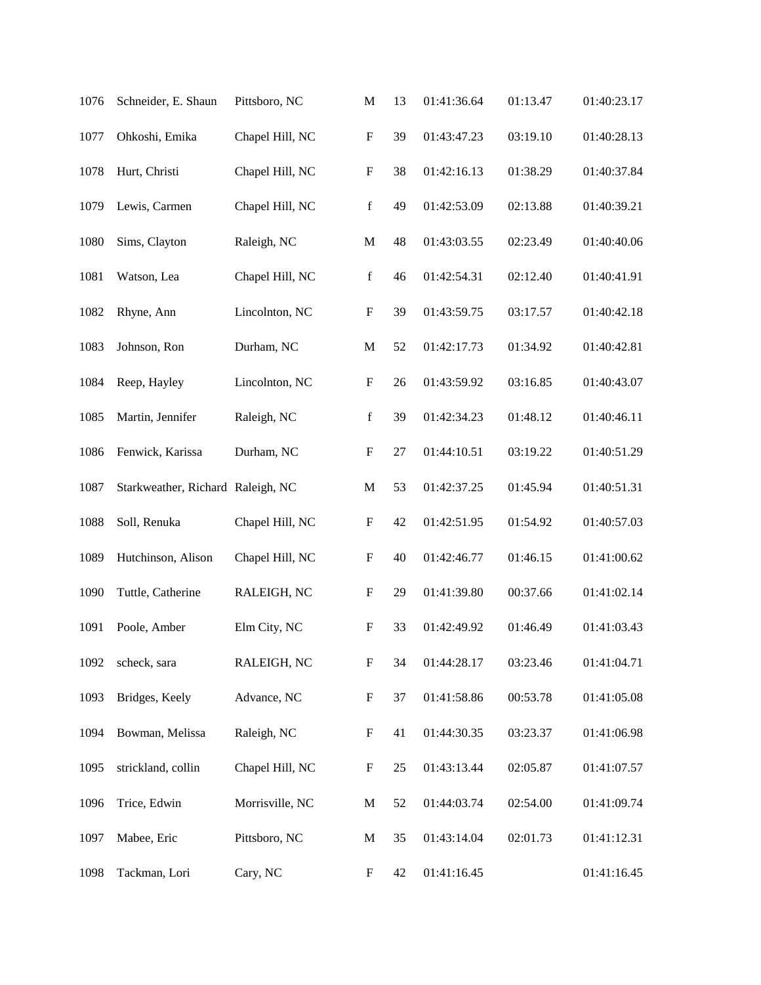| 1076 | Schneider, E. Shaun               | Pittsboro, NC   | M                         | 13 | 01:41:36.64 | 01:13.47 | 01:40:23.17 |
|------|-----------------------------------|-----------------|---------------------------|----|-------------|----------|-------------|
| 1077 | Ohkoshi, Emika                    | Chapel Hill, NC | $\boldsymbol{\mathrm{F}}$ | 39 | 01:43:47.23 | 03:19.10 | 01:40:28.13 |
| 1078 | Hurt, Christi                     | Chapel Hill, NC | $\mathbf F$               | 38 | 01:42:16.13 | 01:38.29 | 01:40:37.84 |
| 1079 | Lewis, Carmen                     | Chapel Hill, NC | $\mathbf f$               | 49 | 01:42:53.09 | 02:13.88 | 01:40:39.21 |
| 1080 | Sims, Clayton                     | Raleigh, NC     | $\mathbf M$               | 48 | 01:43:03.55 | 02:23.49 | 01:40:40.06 |
| 1081 | Watson, Lea                       | Chapel Hill, NC | $\mathbf f$               | 46 | 01:42:54.31 | 02:12.40 | 01:40:41.91 |
| 1082 | Rhyne, Ann                        | Lincolnton, NC  | $\mathbf F$               | 39 | 01:43:59.75 | 03:17.57 | 01:40:42.18 |
| 1083 | Johnson, Ron                      | Durham, NC      | $\mathbf M$               | 52 | 01:42:17.73 | 01:34.92 | 01:40:42.81 |
| 1084 | Reep, Hayley                      | Lincolnton, NC  | $\boldsymbol{\mathrm{F}}$ | 26 | 01:43:59.92 | 03:16.85 | 01:40:43.07 |
| 1085 | Martin, Jennifer                  | Raleigh, NC     | $\mathbf f$               | 39 | 01:42:34.23 | 01:48.12 | 01:40:46.11 |
| 1086 | Fenwick, Karissa                  | Durham, NC      | $\mathbf F$               | 27 | 01:44:10.51 | 03:19.22 | 01:40:51.29 |
| 1087 | Starkweather, Richard Raleigh, NC |                 | $\mathbf M$               | 53 | 01:42:37.25 | 01:45.94 | 01:40:51.31 |
| 1088 | Soll, Renuka                      | Chapel Hill, NC | F                         | 42 | 01:42:51.95 | 01:54.92 | 01:40:57.03 |
| 1089 | Hutchinson, Alison                | Chapel Hill, NC | F                         | 40 | 01:42:46.77 | 01:46.15 | 01:41:00.62 |
| 1090 | Tuttle, Catherine                 | RALEIGH, NC     | $\mathbf F$               | 29 | 01:41:39.80 | 00:37.66 | 01:41:02.14 |
| 1091 | Poole, Amber                      | Elm City, NC    | $\boldsymbol{\mathrm{F}}$ | 33 | 01:42:49.92 | 01:46.49 | 01:41:03.43 |
| 1092 | scheck, sara                      | RALEIGH, NC     | $\boldsymbol{\mathrm{F}}$ | 34 | 01:44:28.17 | 03:23.46 | 01:41:04.71 |
| 1093 | Bridges, Keely                    | Advance, NC     | $\boldsymbol{\mathrm{F}}$ | 37 | 01:41:58.86 | 00:53.78 | 01:41:05.08 |
| 1094 | Bowman, Melissa                   | Raleigh, NC     | $\boldsymbol{\mathrm{F}}$ | 41 | 01:44:30.35 | 03:23.37 | 01:41:06.98 |
| 1095 | strickland, collin                | Chapel Hill, NC | F                         | 25 | 01:43:13.44 | 02:05.87 | 01:41:07.57 |
| 1096 | Trice, Edwin                      | Morrisville, NC | $\mathbf M$               | 52 | 01:44:03.74 | 02:54.00 | 01:41:09.74 |
| 1097 | Mabee, Eric                       | Pittsboro, NC   | M                         | 35 | 01:43:14.04 | 02:01.73 | 01:41:12.31 |
| 1098 | Tackman, Lori                     | Cary, NC        | F                         | 42 | 01:41:16.45 |          | 01:41:16.45 |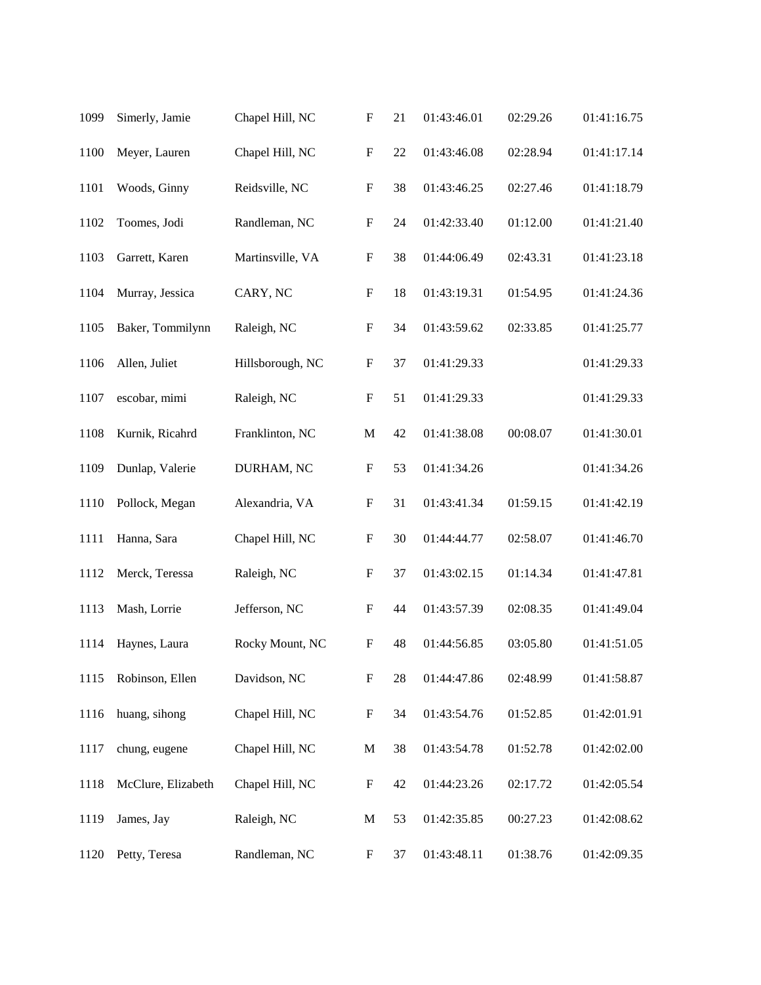| 1099 | Simerly, Jamie     | Chapel Hill, NC  | $\boldsymbol{\mathrm{F}}$ | 21 | 01:43:46.01 | 02:29.26 | 01:41:16.75 |
|------|--------------------|------------------|---------------------------|----|-------------|----------|-------------|
| 1100 | Meyer, Lauren      | Chapel Hill, NC  | $\boldsymbol{\mathrm{F}}$ | 22 | 01:43:46.08 | 02:28.94 | 01:41:17.14 |
| 1101 | Woods, Ginny       | Reidsville, NC   | $\boldsymbol{\mathrm{F}}$ | 38 | 01:43:46.25 | 02:27.46 | 01:41:18.79 |
| 1102 | Toomes, Jodi       | Randleman, NC    | $\boldsymbol{\mathrm{F}}$ | 24 | 01:42:33.40 | 01:12.00 | 01:41:21.40 |
| 1103 | Garrett, Karen     | Martinsville, VA | $\boldsymbol{\mathrm{F}}$ | 38 | 01:44:06.49 | 02:43.31 | 01:41:23.18 |
| 1104 | Murray, Jessica    | CARY, NC         | $\boldsymbol{\mathrm{F}}$ | 18 | 01:43:19.31 | 01:54.95 | 01:41:24.36 |
| 1105 | Baker, Tommilynn   | Raleigh, NC      | $\boldsymbol{\mathrm{F}}$ | 34 | 01:43:59.62 | 02:33.85 | 01:41:25.77 |
| 1106 | Allen, Juliet      | Hillsborough, NC | $\boldsymbol{\mathrm{F}}$ | 37 | 01:41:29.33 |          | 01:41:29.33 |
| 1107 | escobar, mimi      | Raleigh, NC      | $\boldsymbol{\mathrm{F}}$ | 51 | 01:41:29.33 |          | 01:41:29.33 |
| 1108 | Kurnik, Ricahrd    | Franklinton, NC  | $\mathbf M$               | 42 | 01:41:38.08 | 00:08.07 | 01:41:30.01 |
| 1109 | Dunlap, Valerie    | DURHAM, NC       | F                         | 53 | 01:41:34.26 |          | 01:41:34.26 |
| 1110 | Pollock, Megan     | Alexandria, VA   | $\boldsymbol{\mathrm{F}}$ | 31 | 01:43:41.34 | 01:59.15 | 01:41:42.19 |
| 1111 | Hanna, Sara        | Chapel Hill, NC  | $\boldsymbol{\mathrm{F}}$ | 30 | 01:44:44.77 | 02:58.07 | 01:41:46.70 |
| 1112 | Merck, Teressa     | Raleigh, NC      | F                         | 37 | 01:43:02.15 | 01:14.34 | 01:41:47.81 |
| 1113 | Mash, Lorrie       | Jefferson, NC    | F                         | 44 | 01:43:57.39 | 02:08.35 | 01:41:49.04 |
| 1114 | Haynes, Laura      | Rocky Mount, NC  | F                         | 48 | 01:44:56.85 | 03:05.80 | 01:41:51.05 |
| 1115 | Robinson, Ellen    | Davidson, NC     | $\boldsymbol{\mathrm{F}}$ | 28 | 01:44:47.86 | 02:48.99 | 01:41:58.87 |
| 1116 | huang, sihong      | Chapel Hill, NC  | F                         | 34 | 01:43:54.76 | 01:52.85 | 01:42:01.91 |
| 1117 | chung, eugene      | Chapel Hill, NC  | M                         | 38 | 01:43:54.78 | 01:52.78 | 01:42:02.00 |
| 1118 | McClure, Elizabeth | Chapel Hill, NC  | $\boldsymbol{\mathrm{F}}$ | 42 | 01:44:23.26 | 02:17.72 | 01:42:05.54 |
| 1119 | James, Jay         | Raleigh, NC      | M                         | 53 | 01:42:35.85 | 00:27.23 | 01:42:08.62 |
| 1120 | Petty, Teresa      | Randleman, NC    | F                         | 37 | 01:43:48.11 | 01:38.76 | 01:42:09.35 |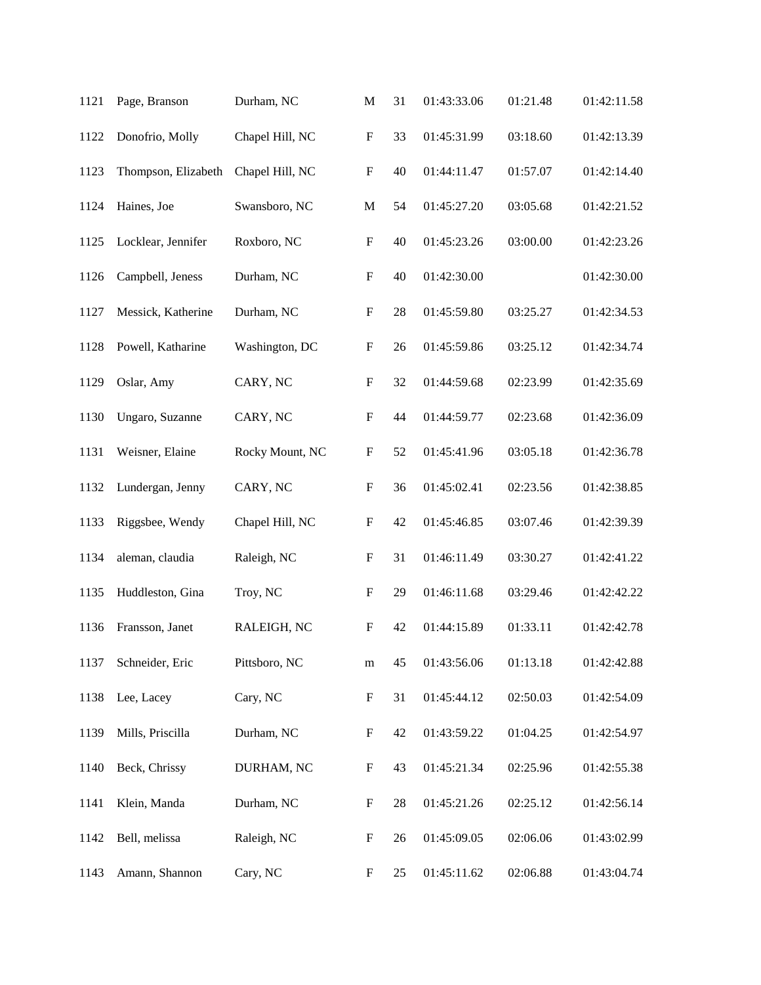| 1121 | Page, Branson       | Durham, NC      | M                         | 31 | 01:43:33.06 | 01:21.48 | 01:42:11.58 |
|------|---------------------|-----------------|---------------------------|----|-------------|----------|-------------|
| 1122 | Donofrio, Molly     | Chapel Hill, NC | ${\bf F}$                 | 33 | 01:45:31.99 | 03:18.60 | 01:42:13.39 |
| 1123 | Thompson, Elizabeth | Chapel Hill, NC | ${\bf F}$                 | 40 | 01:44:11.47 | 01:57.07 | 01:42:14.40 |
| 1124 | Haines, Joe         | Swansboro, NC   | $\mathbf M$               | 54 | 01:45:27.20 | 03:05.68 | 01:42:21.52 |
| 1125 | Locklear, Jennifer  | Roxboro, NC     | $\mathbf F$               | 40 | 01:45:23.26 | 03:00.00 | 01:42:23.26 |
| 1126 | Campbell, Jeness    | Durham, NC      | $\boldsymbol{\mathrm{F}}$ | 40 | 01:42:30.00 |          | 01:42:30.00 |
| 1127 | Messick, Katherine  | Durham, NC      | $\mathbf F$               | 28 | 01:45:59.80 | 03:25.27 | 01:42:34.53 |
| 1128 | Powell, Katharine   | Washington, DC  | $\mathbf F$               | 26 | 01:45:59.86 | 03:25.12 | 01:42:34.74 |
| 1129 | Oslar, Amy          | CARY, NC        | $\boldsymbol{\mathrm{F}}$ | 32 | 01:44:59.68 | 02:23.99 | 01:42:35.69 |
| 1130 | Ungaro, Suzanne     | CARY, NC        | $\mathbf F$               | 44 | 01:44:59.77 | 02:23.68 | 01:42:36.09 |
| 1131 | Weisner, Elaine     | Rocky Mount, NC | $\mathbf F$               | 52 | 01:45:41.96 | 03:05.18 | 01:42:36.78 |
| 1132 | Lundergan, Jenny    | CARY, NC        | $\boldsymbol{\mathrm{F}}$ | 36 | 01:45:02.41 | 02:23.56 | 01:42:38.85 |
| 1133 | Riggsbee, Wendy     | Chapel Hill, NC | $\mathbf F$               | 42 | 01:45:46.85 | 03:07.46 | 01:42:39.39 |
| 1134 | aleman, claudia     | Raleigh, NC     | F                         | 31 | 01:46:11.49 | 03:30.27 | 01:42:41.22 |
| 1135 | Huddleston, Gina    | Troy, NC        | ${\bf F}$                 | 29 | 01:46:11.68 | 03:29.46 | 01:42:42.22 |
| 1136 | Fransson, Janet     | RALEIGH, NC     | $\boldsymbol{\mathrm{F}}$ | 42 | 01:44:15.89 | 01:33.11 | 01:42:42.78 |
| 1137 | Schneider, Eric     | Pittsboro, NC   | m                         | 45 | 01:43:56.06 | 01:13.18 | 01:42:42.88 |
| 1138 | Lee, Lacey          | Cary, NC        | $\boldsymbol{\mathrm{F}}$ | 31 | 01:45:44.12 | 02:50.03 | 01:42:54.09 |
| 1139 | Mills, Priscilla    | Durham, NC      | $\boldsymbol{\mathrm{F}}$ | 42 | 01:43:59.22 | 01:04.25 | 01:42:54.97 |
| 1140 | Beck, Chrissy       | DURHAM, NC      | F                         | 43 | 01:45:21.34 | 02:25.96 | 01:42:55.38 |
| 1141 | Klein, Manda        | Durham, NC      | F                         | 28 | 01:45:21.26 | 02:25.12 | 01:42:56.14 |
| 1142 | Bell, melissa       | Raleigh, NC     | ${\bf F}$                 | 26 | 01:45:09.05 | 02:06.06 | 01:43:02.99 |
| 1143 | Amann, Shannon      | Cary, NC        | F                         | 25 | 01:45:11.62 | 02:06.88 | 01:43:04.74 |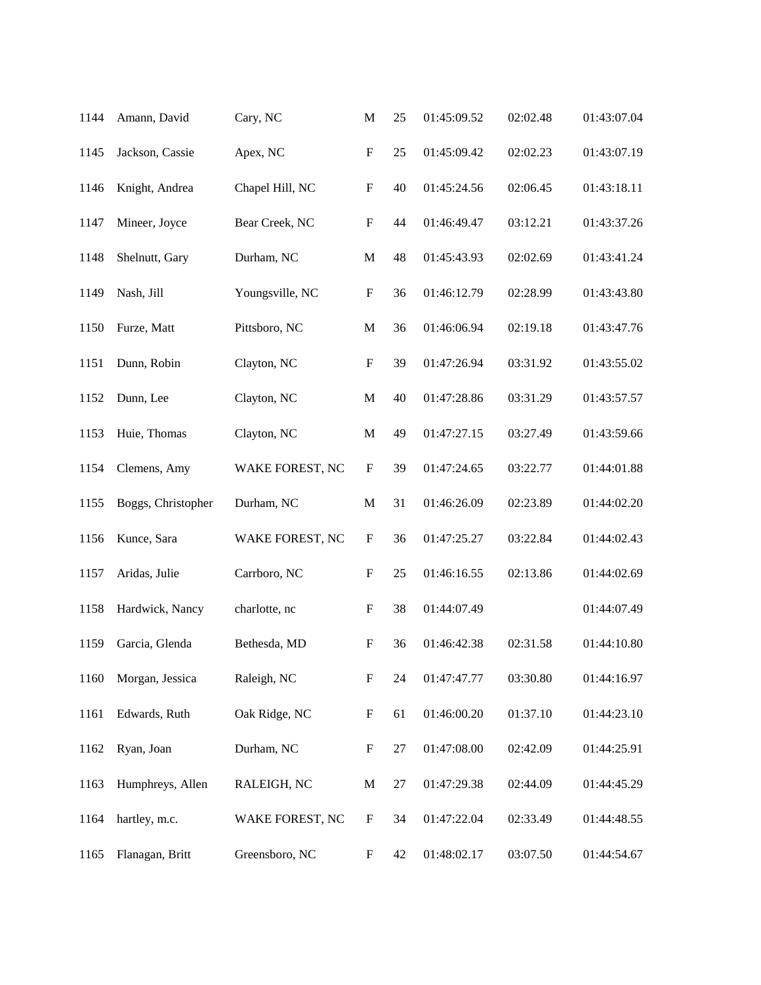| 1144 | Amann, David       | Cary, NC        | M                         | 25 | 01:45:09.52 | 02:02.48 | 01:43:07.04 |
|------|--------------------|-----------------|---------------------------|----|-------------|----------|-------------|
| 1145 | Jackson, Cassie    | Apex, NC        | $\boldsymbol{\mathrm{F}}$ | 25 | 01:45:09.42 | 02:02.23 | 01:43:07.19 |
| 1146 | Knight, Andrea     | Chapel Hill, NC | $\boldsymbol{\mathrm{F}}$ | 40 | 01:45:24.56 | 02:06.45 | 01:43:18.11 |
| 1147 | Mineer, Joyce      | Bear Creek, NC  | F                         | 44 | 01:46:49.47 | 03:12.21 | 01:43:37.26 |
| 1148 | Shelnutt, Gary     | Durham, NC      | $\mathbf M$               | 48 | 01:45:43.93 | 02:02.69 | 01:43:41.24 |
| 1149 | Nash, Jill         | Youngsville, NC | $\boldsymbol{\mathrm{F}}$ | 36 | 01:46:12.79 | 02:28.99 | 01:43:43.80 |
| 1150 | Furze, Matt        | Pittsboro, NC   | $\mathbf M$               | 36 | 01:46:06.94 | 02:19.18 | 01:43:47.76 |
| 1151 | Dunn, Robin        | Clayton, NC     | $\boldsymbol{\mathrm{F}}$ | 39 | 01:47:26.94 | 03:31.92 | 01:43:55.02 |
| 1152 | Dunn, Lee          | Clayton, NC     | $\mathbf M$               | 40 | 01:47:28.86 | 03:31.29 | 01:43:57.57 |
| 1153 | Huie, Thomas       | Clayton, NC     | $\mathbf M$               | 49 | 01:47:27.15 | 03:27.49 | 01:43:59.66 |
| 1154 | Clemens, Amy       | WAKE FOREST, NC | $\boldsymbol{\mathrm{F}}$ | 39 | 01:47:24.65 | 03:22.77 | 01:44:01.88 |
| 1155 | Boggs, Christopher | Durham, NC      | $\mathbf M$               | 31 | 01:46:26.09 | 02:23.89 | 01:44:02.20 |
| 1156 | Kunce, Sara        | WAKE FOREST, NC | $\boldsymbol{F}$          | 36 | 01:47:25.27 | 03:22.84 | 01:44:02.43 |
| 1157 | Aridas, Julie      | Carrboro, NC    | $\boldsymbol{F}$          | 25 | 01:46:16.55 | 02:13.86 | 01:44:02.69 |
| 1158 | Hardwick, Nancy    | charlotte, nc   | ${\bf F}$                 | 38 | 01:44:07.49 |          | 01:44:07.49 |
| 1159 | Garcia, Glenda     | Bethesda, MD    | F                         | 36 | 01:46:42.38 | 02:31.58 | 01:44:10.80 |
| 1160 | Morgan, Jessica    | Raleigh, NC     | $\boldsymbol{\mathrm{F}}$ | 24 | 01:47:47.77 | 03:30.80 | 01:44:16.97 |
| 1161 | Edwards, Ruth      | Oak Ridge, NC   | $\boldsymbol{\mathrm{F}}$ | 61 | 01:46:00.20 | 01:37.10 | 01:44:23.10 |
| 1162 | Ryan, Joan         | Durham, NC      | $\boldsymbol{\mathrm{F}}$ | 27 | 01:47:08.00 | 02:42.09 | 01:44:25.91 |
| 1163 | Humphreys, Allen   | RALEIGH, NC     | M                         | 27 | 01:47:29.38 | 02:44.09 | 01:44:45.29 |
| 1164 | hartley, m.c.      | WAKE FOREST, NC | $\boldsymbol{F}$          | 34 | 01:47:22.04 | 02:33.49 | 01:44:48.55 |
| 1165 | Flanagan, Britt    | Greensboro, NC  | $\boldsymbol{\mathrm{F}}$ | 42 | 01:48:02.17 | 03:07.50 | 01:44:54.67 |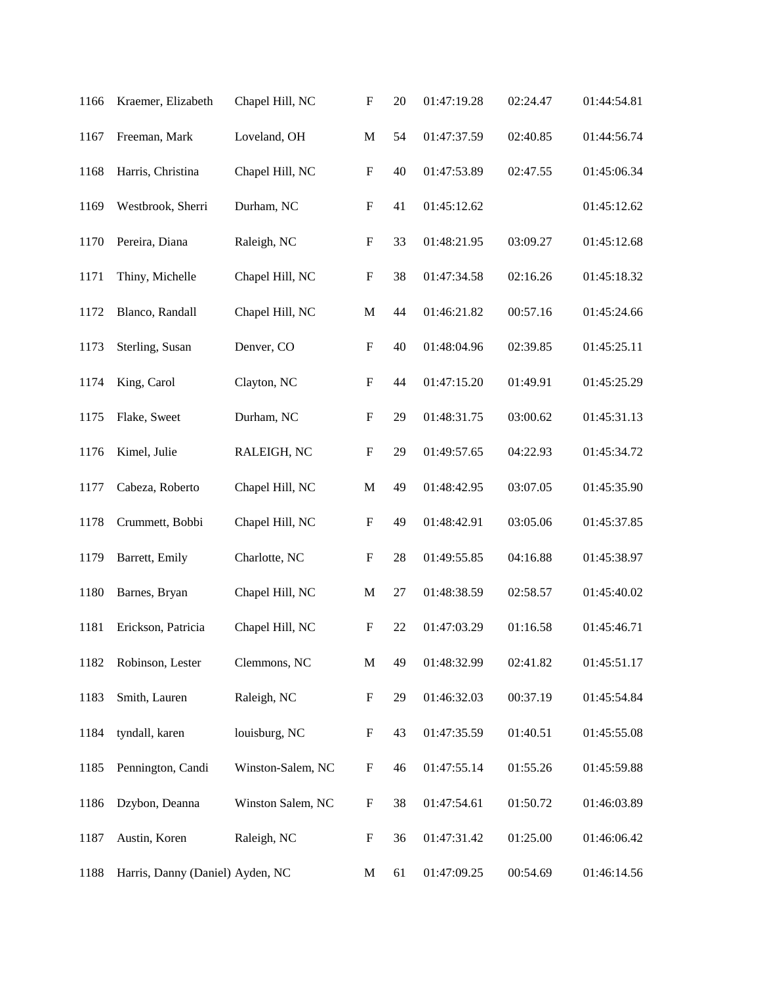| 1166 | Kraemer, Elizabeth               | Chapel Hill, NC   | $\boldsymbol{\mathrm{F}}$ | 20 | 01:47:19.28 | 02:24.47 | 01:44:54.81 |
|------|----------------------------------|-------------------|---------------------------|----|-------------|----------|-------------|
| 1167 | Freeman, Mark                    | Loveland, OH      | $\mathbf M$               | 54 | 01:47:37.59 | 02:40.85 | 01:44:56.74 |
| 1168 | Harris, Christina                | Chapel Hill, NC   | $\boldsymbol{\mathrm{F}}$ | 40 | 01:47:53.89 | 02:47.55 | 01:45:06.34 |
| 1169 | Westbrook, Sherri                | Durham, NC        | $\boldsymbol{\mathrm{F}}$ | 41 | 01:45:12.62 |          | 01:45:12.62 |
| 1170 | Pereira, Diana                   | Raleigh, NC       | $\boldsymbol{\mathrm{F}}$ | 33 | 01:48:21.95 | 03:09.27 | 01:45:12.68 |
| 1171 | Thiny, Michelle                  | Chapel Hill, NC   | $\boldsymbol{\mathrm{F}}$ | 38 | 01:47:34.58 | 02:16.26 | 01:45:18.32 |
| 1172 | Blanco, Randall                  | Chapel Hill, NC   | $\mathbf M$               | 44 | 01:46:21.82 | 00:57.16 | 01:45:24.66 |
| 1173 | Sterling, Susan                  | Denver, CO        | ${\bf F}$                 | 40 | 01:48:04.96 | 02:39.85 | 01:45:25.11 |
| 1174 | King, Carol                      | Clayton, NC       | $\boldsymbol{\mathrm{F}}$ | 44 | 01:47:15.20 | 01:49.91 | 01:45:25.29 |
| 1175 | Flake, Sweet                     | Durham, NC        | $\boldsymbol{\mathrm{F}}$ | 29 | 01:48:31.75 | 03:00.62 | 01:45:31.13 |
| 1176 | Kimel, Julie                     | RALEIGH, NC       | ${\bf F}$                 | 29 | 01:49:57.65 | 04:22.93 | 01:45:34.72 |
| 1177 | Cabeza, Roberto                  | Chapel Hill, NC   | $\mathbf M$               | 49 | 01:48:42.95 | 03:07.05 | 01:45:35.90 |
| 1178 | Crummett, Bobbi                  | Chapel Hill, NC   | ${\bf F}$                 | 49 | 01:48:42.91 | 03:05.06 | 01:45:37.85 |
| 1179 | Barrett, Emily                   | Charlotte, NC     | F                         | 28 | 01:49:55.85 | 04:16.88 | 01:45:38.97 |
| 1180 | Barnes, Bryan                    | Chapel Hill, NC   | M                         | 27 | 01:48:38.59 | 02:58.57 | 01:45:40.02 |
| 1181 | Erickson, Patricia               | Chapel Hill, NC   | F                         | 22 | 01:47:03.29 | 01:16.58 | 01:45:46.71 |
| 1182 | Robinson, Lester                 | Clemmons, NC      | $\mathbf M$               | 49 | 01:48:32.99 | 02:41.82 | 01:45:51.17 |
| 1183 | Smith, Lauren                    | Raleigh, NC       | F                         | 29 | 01:46:32.03 | 00:37.19 | 01:45:54.84 |
| 1184 | tyndall, karen                   | louisburg, NC     | F                         | 43 | 01:47:35.59 | 01:40.51 | 01:45:55.08 |
| 1185 | Pennington, Candi                | Winston-Salem, NC | F                         | 46 | 01:47:55.14 | 01:55.26 | 01:45:59.88 |
| 1186 | Dzybon, Deanna                   | Winston Salem, NC | $\boldsymbol{\mathrm{F}}$ | 38 | 01:47:54.61 | 01:50.72 | 01:46:03.89 |
| 1187 | Austin, Koren                    | Raleigh, NC       | F                         | 36 | 01:47:31.42 | 01:25.00 | 01:46:06.42 |
| 1188 | Harris, Danny (Daniel) Ayden, NC |                   | M                         | 61 | 01:47:09.25 | 00:54.69 | 01:46:14.56 |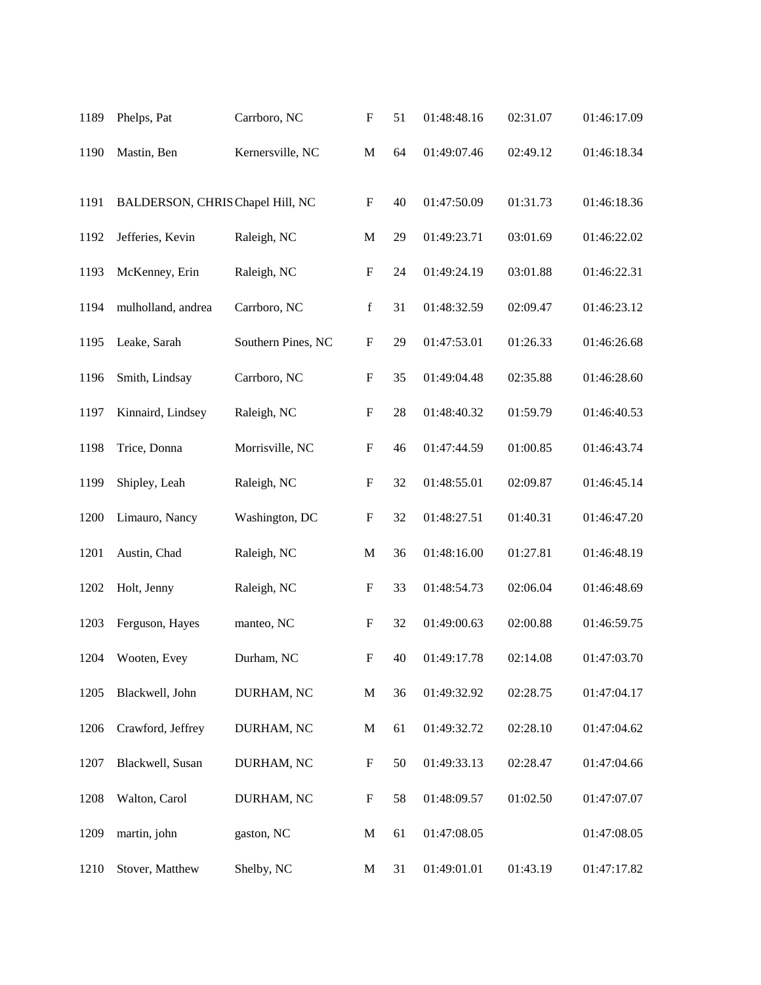| 1189 | Phelps, Pat                      | Carrboro, NC       | $\boldsymbol{\mathrm{F}}$ | 51 | 01:48:48.16 | 02:31.07 | 01:46:17.09 |
|------|----------------------------------|--------------------|---------------------------|----|-------------|----------|-------------|
| 1190 | Mastin, Ben                      | Kernersville, NC   | M                         | 64 | 01:49:07.46 | 02:49.12 | 01:46:18.34 |
| 1191 | BALDERSON, CHRIS Chapel Hill, NC |                    | $\boldsymbol{\mathrm{F}}$ | 40 | 01:47:50.09 | 01:31.73 | 01:46:18.36 |
| 1192 | Jefferies, Kevin                 | Raleigh, NC        | $\mathbf M$               | 29 | 01:49:23.71 | 03:01.69 | 01:46:22.02 |
| 1193 | McKenney, Erin                   | Raleigh, NC        | $\mathbf F$               | 24 | 01:49:24.19 | 03:01.88 | 01:46:22.31 |
| 1194 | mulholland, andrea               | Carrboro, NC       | $\mathbf f$               | 31 | 01:48:32.59 | 02:09.47 | 01:46:23.12 |
| 1195 | Leake, Sarah                     | Southern Pines, NC | F                         | 29 | 01:47:53.01 | 01:26.33 | 01:46:26.68 |
| 1196 | Smith, Lindsay                   | Carrboro, NC       | F                         | 35 | 01:49:04.48 | 02:35.88 | 01:46:28.60 |
| 1197 | Kinnaird, Lindsey                | Raleigh, NC        | ${\bf F}$                 | 28 | 01:48:40.32 | 01:59.79 | 01:46:40.53 |
| 1198 | Trice, Donna                     | Morrisville, NC    | ${\bf F}$                 | 46 | 01:47:44.59 | 01:00.85 | 01:46:43.74 |
| 1199 | Shipley, Leah                    | Raleigh, NC        | $\boldsymbol{\mathrm{F}}$ | 32 | 01:48:55.01 | 02:09.87 | 01:46:45.14 |
| 1200 | Limauro, Nancy                   | Washington, DC     | ${\bf F}$                 | 32 | 01:48:27.51 | 01:40.31 | 01:46:47.20 |
| 1201 | Austin, Chad                     | Raleigh, NC        | $\mathbf M$               | 36 | 01:48:16.00 | 01:27.81 | 01:46:48.19 |
| 1202 | Holt, Jenny                      | Raleigh, NC        | $\boldsymbol{F}$          | 33 | 01:48:54.73 | 02:06.04 | 01:46:48.69 |
| 1203 | Ferguson, Hayes                  | manteo, NC         | F                         | 32 | 01:49:00.63 | 02:00.88 | 01:46:59.75 |
| 1204 | Wooten, Evey                     | Durham, NC         | $\boldsymbol{\mathrm{F}}$ | 40 | 01:49:17.78 | 02:14.08 | 01:47:03.70 |
| 1205 | Blackwell, John                  | DURHAM, NC         | $\mathbf M$               | 36 | 01:49:32.92 | 02:28.75 | 01:47:04.17 |
| 1206 | Crawford, Jeffrey                | DURHAM, NC         | M                         | 61 | 01:49:32.72 | 02:28.10 | 01:47:04.62 |
| 1207 | Blackwell, Susan                 | DURHAM, NC         | F                         | 50 | 01:49:33.13 | 02:28.47 | 01:47:04.66 |
| 1208 | Walton, Carol                    | DURHAM, NC         | F                         | 58 | 01:48:09.57 | 01:02.50 | 01:47:07.07 |
| 1209 | martin, john                     | gaston, NC         | $\mathbf{M}$              | 61 | 01:47:08.05 |          | 01:47:08.05 |
| 1210 | Stover, Matthew                  | Shelby, NC         | M                         | 31 | 01:49:01.01 | 01:43.19 | 01:47:17.82 |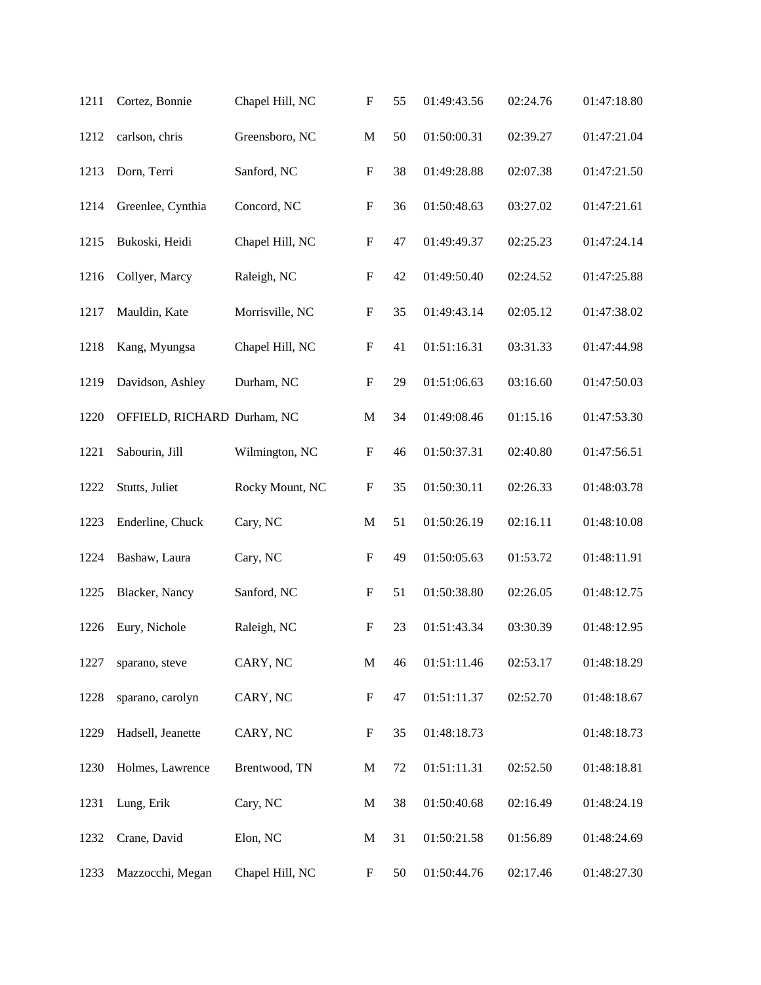| 1211 | Cortez, Bonnie              | Chapel Hill, NC | $\boldsymbol{\mathrm{F}}$ | 55 | 01:49:43.56 | 02:24.76 | 01:47:18.80 |
|------|-----------------------------|-----------------|---------------------------|----|-------------|----------|-------------|
| 1212 | carlson, chris              | Greensboro, NC  | $\mathbf M$               | 50 | 01:50:00.31 | 02:39.27 | 01:47:21.04 |
| 1213 | Dorn, Terri                 | Sanford, NC     | $\boldsymbol{F}$          | 38 | 01:49:28.88 | 02:07.38 | 01:47:21.50 |
| 1214 | Greenlee, Cynthia           | Concord, NC     | $\boldsymbol{\mathrm{F}}$ | 36 | 01:50:48.63 | 03:27.02 | 01:47:21.61 |
| 1215 | Bukoski, Heidi              | Chapel Hill, NC | ${\bf F}$                 | 47 | 01:49:49.37 | 02:25.23 | 01:47:24.14 |
| 1216 | Collyer, Marcy              | Raleigh, NC     | $\boldsymbol{\mathrm{F}}$ | 42 | 01:49:50.40 | 02:24.52 | 01:47:25.88 |
| 1217 | Mauldin, Kate               | Morrisville, NC | ${\bf F}$                 | 35 | 01:49:43.14 | 02:05.12 | 01:47:38.02 |
| 1218 | Kang, Myungsa               | Chapel Hill, NC | ${\bf F}$                 | 41 | 01:51:16.31 | 03:31.33 | 01:47:44.98 |
| 1219 | Davidson, Ashley            | Durham, NC      | ${\bf F}$                 | 29 | 01:51:06.63 | 03:16.60 | 01:47:50.03 |
| 1220 | OFFIELD, RICHARD Durham, NC |                 | $\mathbf M$               | 34 | 01:49:08.46 | 01:15.16 | 01:47:53.30 |
| 1221 | Sabourin, Jill              | Wilmington, NC  | $\boldsymbol{\mathrm{F}}$ | 46 | 01:50:37.31 | 02:40.80 | 01:47:56.51 |
| 1222 | Stutts, Juliet              | Rocky Mount, NC | $\boldsymbol{\mathrm{F}}$ | 35 | 01:50:30.11 | 02:26.33 | 01:48:03.78 |
| 1223 | Enderline, Chuck            | Cary, NC        | $\mathbf M$               | 51 | 01:50:26.19 | 02:16.11 | 01:48:10.08 |
| 1224 | Bashaw, Laura               | Cary, NC        | F                         | 49 | 01:50:05.63 | 01:53.72 | 01:48:11.91 |
| 1225 | Blacker, Nancy              | Sanford, NC     | $\boldsymbol{\mathrm{F}}$ | 51 | 01:50:38.80 | 02:26.05 | 01:48:12.75 |
| 1226 | Eury, Nichole               | Raleigh, NC     | $\mathbf F$               | 23 | 01:51:43.34 | 03:30.39 | 01:48:12.95 |
| 1227 | sparano, steve              | CARY, NC        | $\mathbf M$               | 46 | 01:51:11.46 | 02:53.17 | 01:48:18.29 |
| 1228 | sparano, carolyn            | CARY, NC        | ${\bf F}$                 | 47 | 01:51:11.37 | 02:52.70 | 01:48:18.67 |
| 1229 | Hadsell, Jeanette           | CARY, NC        | ${\bf F}$                 | 35 | 01:48:18.73 |          | 01:48:18.73 |
| 1230 | Holmes, Lawrence            | Brentwood, TN   | $\mathbf M$               | 72 | 01:51:11.31 | 02:52.50 | 01:48:18.81 |
| 1231 | Lung, Erik                  | Cary, NC        | M                         | 38 | 01:50:40.68 | 02:16.49 | 01:48:24.19 |
| 1232 | Crane, David                | Elon, NC        | M                         | 31 | 01:50:21.58 | 01:56.89 | 01:48:24.69 |
| 1233 | Mazzocchi, Megan            | Chapel Hill, NC | F                         | 50 | 01:50:44.76 | 02:17.46 | 01:48:27.30 |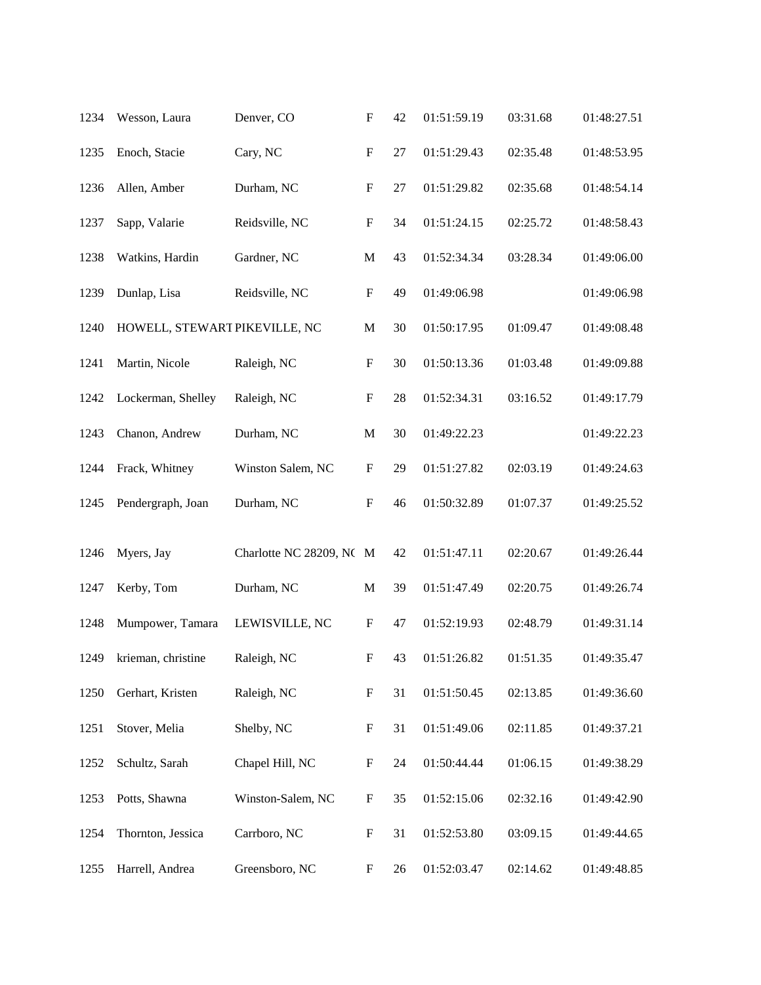| 1234 | Wesson, Laura                 | Denver, CO               | $\boldsymbol{\mathrm{F}}$ | 42 | 01:51:59.19 | 03:31.68 | 01:48:27.51 |
|------|-------------------------------|--------------------------|---------------------------|----|-------------|----------|-------------|
| 1235 | Enoch, Stacie                 | Cary, NC                 | $\boldsymbol{\mathrm{F}}$ | 27 | 01:51:29.43 | 02:35.48 | 01:48:53.95 |
| 1236 | Allen, Amber                  | Durham, NC               | $\boldsymbol{\mathrm{F}}$ | 27 | 01:51:29.82 | 02:35.68 | 01:48:54.14 |
| 1237 | Sapp, Valarie                 | Reidsville, NC           | $\mathbf F$               | 34 | 01:51:24.15 | 02:25.72 | 01:48:58.43 |
| 1238 | Watkins, Hardin               | Gardner, NC              | $\mathbf M$               | 43 | 01:52:34.34 | 03:28.34 | 01:49:06.00 |
| 1239 | Dunlap, Lisa                  | Reidsville, NC           | $\boldsymbol{\mathrm{F}}$ | 49 | 01:49:06.98 |          | 01:49:06.98 |
| 1240 | HOWELL, STEWART PIKEVILLE, NC |                          | M                         | 30 | 01:50:17.95 | 01:09.47 | 01:49:08.48 |
| 1241 | Martin, Nicole                | Raleigh, NC              | $\mathbf F$               | 30 | 01:50:13.36 | 01:03.48 | 01:49:09.88 |
| 1242 | Lockerman, Shelley            | Raleigh, NC              | $\boldsymbol{\mathrm{F}}$ | 28 | 01:52:34.31 | 03:16.52 | 01:49:17.79 |
| 1243 | Chanon, Andrew                | Durham, NC               | $\mathbf M$               | 30 | 01:49:22.23 |          | 01:49:22.23 |
| 1244 | Frack, Whitney                | Winston Salem, NC        | $\mathbf F$               | 29 | 01:51:27.82 | 02:03.19 | 01:49:24.63 |
| 1245 | Pendergraph, Joan             | Durham, NC               | $\boldsymbol{\mathrm{F}}$ | 46 | 01:50:32.89 | 01:07.37 | 01:49:25.52 |
| 1246 | Myers, Jay                    | Charlotte NC 28209, NC M |                           | 42 | 01:51:47.11 | 02:20.67 | 01:49:26.44 |
| 1247 | Kerby, Tom                    | Durham, NC               | $\mathbf M$               | 39 | 01:51:47.49 | 02:20.75 | 01:49:26.74 |
| 1248 | Mumpower, Tamara              | LEWISVILLE, NC           | F                         | 47 | 01:52:19.93 | 02:48.79 | 01:49:31.14 |
| 1249 | krieman, christine            | Raleigh, NC              | F                         | 43 | 01:51:26.82 | 01:51.35 | 01:49:35.47 |
| 1250 | Gerhart, Kristen              | Raleigh, NC              | F                         | 31 | 01:51:50.45 | 02:13.85 | 01:49:36.60 |
| 1251 | Stover, Melia                 | Shelby, NC               | F                         | 31 | 01:51:49.06 | 02:11.85 | 01:49:37.21 |
| 1252 | Schultz, Sarah                | Chapel Hill, NC          | F                         | 24 | 01:50:44.44 | 01:06.15 | 01:49:38.29 |
| 1253 | Potts, Shawna                 | Winston-Salem, NC        | ${\bf F}$                 | 35 | 01:52:15.06 | 02:32.16 | 01:49:42.90 |
| 1254 | Thornton, Jessica             | Carrboro, NC             | F                         | 31 | 01:52:53.80 | 03:09.15 | 01:49:44.65 |
| 1255 | Harrell, Andrea               | Greensboro, NC           | F                         | 26 | 01:52:03.47 | 02:14.62 | 01:49:48.85 |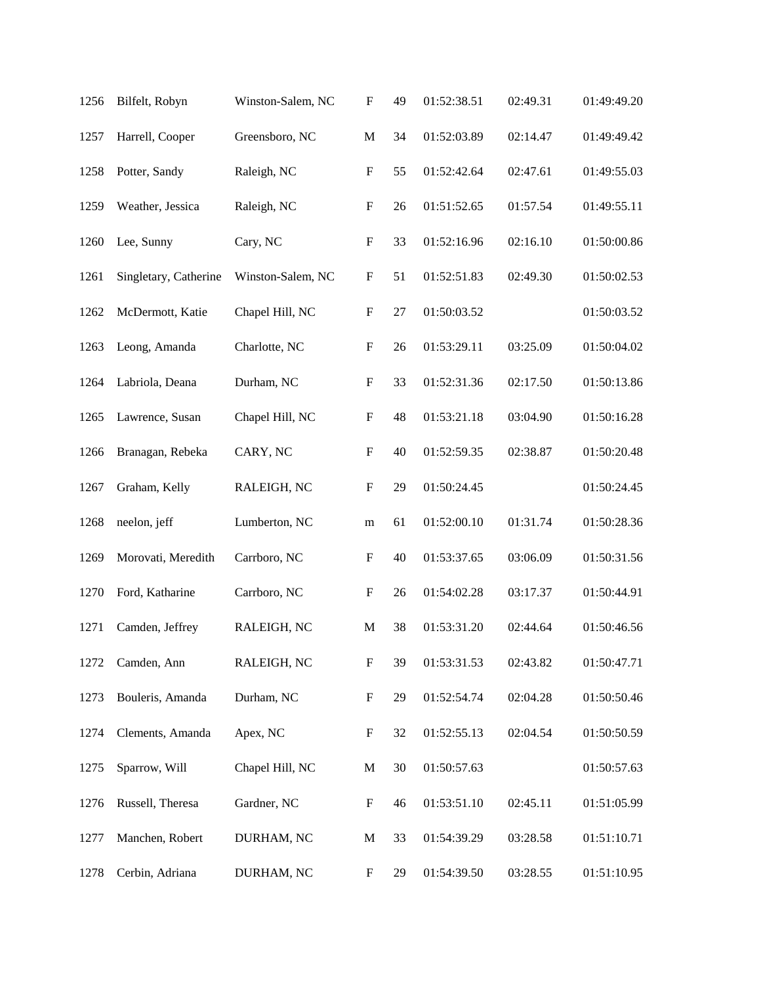| 1256 | Bilfelt, Robyn        | Winston-Salem, NC | $\boldsymbol{\mathrm{F}}$ | 49 | 01:52:38.51 | 02:49.31 | 01:49:49.20 |
|------|-----------------------|-------------------|---------------------------|----|-------------|----------|-------------|
| 1257 | Harrell, Cooper       | Greensboro, NC    | M                         | 34 | 01:52:03.89 | 02:14.47 | 01:49:49.42 |
| 1258 | Potter, Sandy         | Raleigh, NC       | ${\bf F}$                 | 55 | 01:52:42.64 | 02:47.61 | 01:49:55.03 |
| 1259 | Weather, Jessica      | Raleigh, NC       | $\boldsymbol{\mathrm{F}}$ | 26 | 01:51:52.65 | 01:57.54 | 01:49:55.11 |
| 1260 | Lee, Sunny            | Cary, NC          | $\mathbf F$               | 33 | 01:52:16.96 | 02:16.10 | 01:50:00.86 |
| 1261 | Singletary, Catherine | Winston-Salem, NC | $\mathbf F$               | 51 | 01:52:51.83 | 02:49.30 | 01:50:02.53 |
| 1262 | McDermott, Katie      | Chapel Hill, NC   | $\mathbf F$               | 27 | 01:50:03.52 |          | 01:50:03.52 |
| 1263 | Leong, Amanda         | Charlotte, NC     | $\mathbf F$               | 26 | 01:53:29.11 | 03:25.09 | 01:50:04.02 |
| 1264 | Labriola, Deana       | Durham, NC        | $\boldsymbol{\mathrm{F}}$ | 33 | 01:52:31.36 | 02:17.50 | 01:50:13.86 |
| 1265 | Lawrence, Susan       | Chapel Hill, NC   | $\mathbf F$               | 48 | 01:53:21.18 | 03:04.90 | 01:50:16.28 |
| 1266 | Branagan, Rebeka      | CARY, NC          | $\mathbf F$               | 40 | 01:52:59.35 | 02:38.87 | 01:50:20.48 |
| 1267 | Graham, Kelly         | RALEIGH, NC       | $\boldsymbol{\mathrm{F}}$ | 29 | 01:50:24.45 |          | 01:50:24.45 |
| 1268 | neelon, jeff          | Lumberton, NC     | m                         | 61 | 01:52:00.10 | 01:31.74 | 01:50:28.36 |
| 1269 | Morovati, Meredith    | Carrboro, NC      | F                         | 40 | 01:53:37.65 | 03:06.09 | 01:50:31.56 |
| 1270 | Ford, Katharine       | Carrboro, NC      | ${\bf F}$                 | 26 | 01:54:02.28 | 03:17.37 | 01:50:44.91 |
| 1271 | Camden, Jeffrey       | RALEIGH, NC       | M                         | 38 | 01:53:31.20 | 02:44.64 | 01:50:46.56 |
| 1272 | Camden, Ann           | RALEIGH, NC       | $\boldsymbol{\mathrm{F}}$ | 39 | 01:53:31.53 | 02:43.82 | 01:50:47.71 |
| 1273 | Bouleris, Amanda      | Durham, NC        | $\boldsymbol{\mathrm{F}}$ | 29 | 01:52:54.74 | 02:04.28 | 01:50:50.46 |
| 1274 | Clements, Amanda      | Apex, NC          | F                         | 32 | 01:52:55.13 | 02:04.54 | 01:50:50.59 |
| 1275 | Sparrow, Will         | Chapel Hill, NC   | M                         | 30 | 01:50:57.63 |          | 01:50:57.63 |
| 1276 | Russell, Theresa      | Gardner, NC       | F                         | 46 | 01:53:51.10 | 02:45.11 | 01:51:05.99 |
| 1277 | Manchen, Robert       | DURHAM, NC        | M                         | 33 | 01:54:39.29 | 03:28.58 | 01:51:10.71 |
| 1278 | Cerbin, Adriana       | DURHAM, NC        | F                         | 29 | 01:54:39.50 | 03:28.55 | 01:51:10.95 |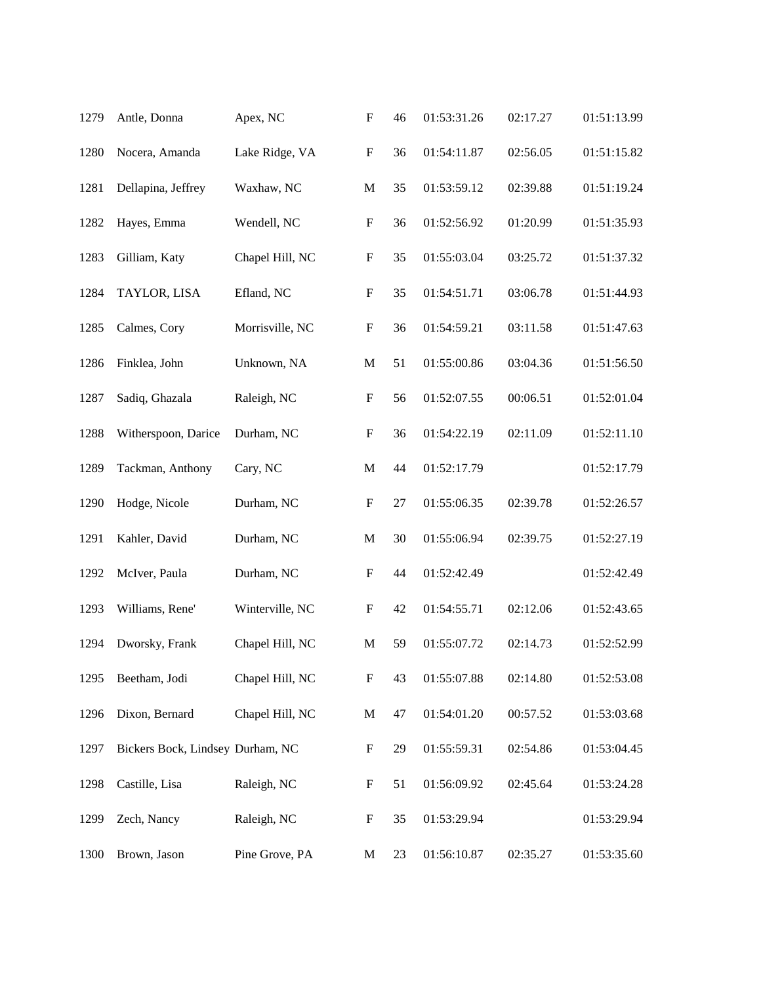| 1279 | Antle, Donna                     | Apex, NC        | $\boldsymbol{\mathrm{F}}$ | 46 | 01:53:31.26 | 02:17.27 | 01:51:13.99 |
|------|----------------------------------|-----------------|---------------------------|----|-------------|----------|-------------|
| 1280 | Nocera, Amanda                   | Lake Ridge, VA  | ${\bf F}$                 | 36 | 01:54:11.87 | 02:56.05 | 01:51:15.82 |
| 1281 | Dellapina, Jeffrey               | Waxhaw, NC      | $\mathbf M$               | 35 | 01:53:59.12 | 02:39.88 | 01:51:19.24 |
| 1282 | Hayes, Emma                      | Wendell, NC     | $\boldsymbol{\mathrm{F}}$ | 36 | 01:52:56.92 | 01:20.99 | 01:51:35.93 |
| 1283 | Gilliam, Katy                    | Chapel Hill, NC | $\boldsymbol{\mathrm{F}}$ | 35 | 01:55:03.04 | 03:25.72 | 01:51:37.32 |
| 1284 | TAYLOR, LISA                     | Efland, NC      | $\boldsymbol{\mathrm{F}}$ | 35 | 01:54:51.71 | 03:06.78 | 01:51:44.93 |
| 1285 | Calmes, Cory                     | Morrisville, NC | $\boldsymbol{\mathrm{F}}$ | 36 | 01:54:59.21 | 03:11.58 | 01:51:47.63 |
| 1286 | Finklea, John                    | Unknown, NA     | $\mathbf M$               | 51 | 01:55:00.86 | 03:04.36 | 01:51:56.50 |
| 1287 | Sadiq, Ghazala                   | Raleigh, NC     | $\boldsymbol{\mathrm{F}}$ | 56 | 01:52:07.55 | 00:06.51 | 01:52:01.04 |
| 1288 | Witherspoon, Darice              | Durham, NC      | $\boldsymbol{\mathrm{F}}$ | 36 | 01:54:22.19 | 02:11.09 | 01:52:11.10 |
| 1289 | Tackman, Anthony                 | Cary, NC        | M                         | 44 | 01:52:17.79 |          | 01:52:17.79 |
| 1290 | Hodge, Nicole                    | Durham, NC      | $\boldsymbol{\mathrm{F}}$ | 27 | 01:55:06.35 | 02:39.78 | 01:52:26.57 |
| 1291 | Kahler, David                    | Durham, NC      | $\mathbf M$               | 30 | 01:55:06.94 | 02:39.75 | 01:52:27.19 |
| 1292 | McIver, Paula                    | Durham, NC      | F                         | 44 | 01:52:42.49 |          | 01:52:42.49 |
| 1293 | Williams, Rene'                  | Winterville, NC | F                         | 42 | 01:54:55.71 | 02:12.06 | 01:52:43.65 |
| 1294 | Dworsky, Frank                   | Chapel Hill, NC | M                         | 59 | 01:55:07.72 | 02:14.73 | 01:52:52.99 |
| 1295 | Beetham, Jodi                    | Chapel Hill, NC | $\boldsymbol{\mathrm{F}}$ | 43 | 01:55:07.88 | 02:14.80 | 01:52:53.08 |
| 1296 | Dixon, Bernard                   | Chapel Hill, NC | $\mathbf M$               | 47 | 01:54:01.20 | 00:57.52 | 01:53:03.68 |
| 1297 | Bickers Bock, Lindsey Durham, NC |                 | F                         | 29 | 01:55:59.31 | 02:54.86 | 01:53:04.45 |
| 1298 | Castille, Lisa                   | Raleigh, NC     | F                         | 51 | 01:56:09.92 | 02:45.64 | 01:53:24.28 |
| 1299 | Zech, Nancy                      | Raleigh, NC     | F                         | 35 | 01:53:29.94 |          | 01:53:29.94 |
| 1300 | Brown, Jason                     | Pine Grove, PA  | M                         | 23 | 01:56:10.87 | 02:35.27 | 01:53:35.60 |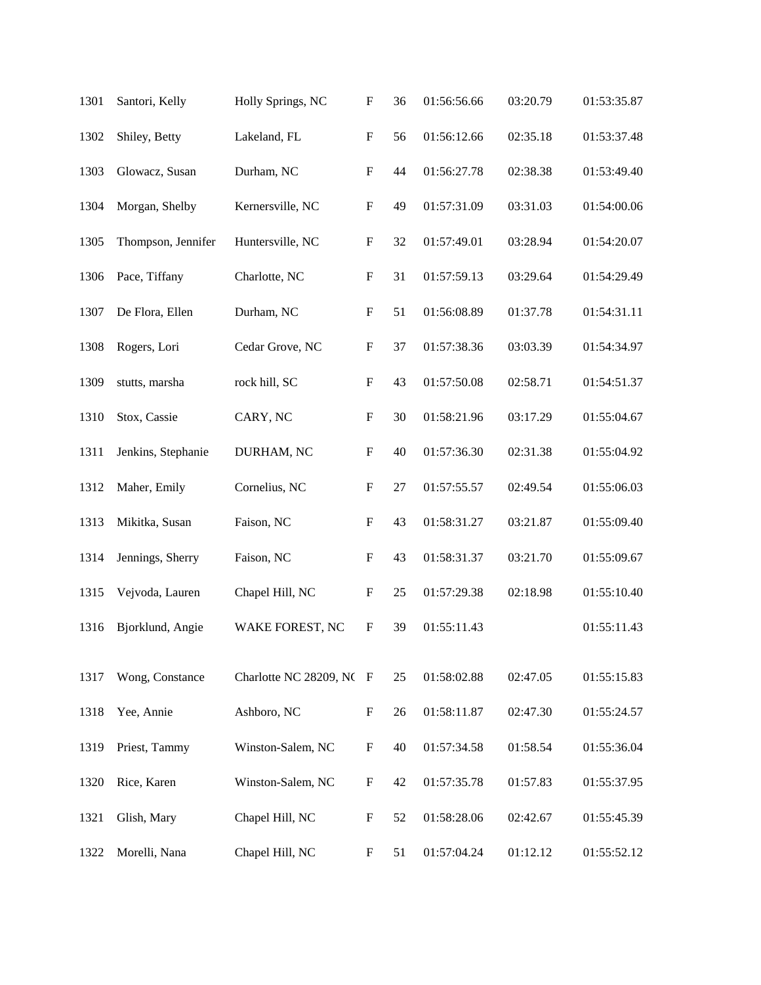| 1301 | Santori, Kelly     | Holly Springs, NC        | $\boldsymbol{\mathrm{F}}$ | 36 | 01:56:56.66 | 03:20.79 | 01:53:35.87 |
|------|--------------------|--------------------------|---------------------------|----|-------------|----------|-------------|
| 1302 | Shiley, Betty      | Lakeland, FL             | $\boldsymbol{\mathrm{F}}$ | 56 | 01:56:12.66 | 02:35.18 | 01:53:37.48 |
| 1303 | Glowacz, Susan     | Durham, NC               | F                         | 44 | 01:56:27.78 | 02:38.38 | 01:53:49.40 |
| 1304 | Morgan, Shelby     | Kernersville, NC         | $\boldsymbol{\mathrm{F}}$ | 49 | 01:57:31.09 | 03:31.03 | 01:54:00.06 |
| 1305 | Thompson, Jennifer | Huntersville, NC         | $\boldsymbol{\mathrm{F}}$ | 32 | 01:57:49.01 | 03:28.94 | 01:54:20.07 |
| 1306 | Pace, Tiffany      | Charlotte, NC            | $\boldsymbol{\mathrm{F}}$ | 31 | 01:57:59.13 | 03:29.64 | 01:54:29.49 |
| 1307 | De Flora, Ellen    | Durham, NC               | $\boldsymbol{\mathrm{F}}$ | 51 | 01:56:08.89 | 01:37.78 | 01:54:31.11 |
| 1308 | Rogers, Lori       | Cedar Grove, NC          | $\boldsymbol{\mathrm{F}}$ | 37 | 01:57:38.36 | 03:03.39 | 01:54:34.97 |
| 1309 | stutts, marsha     | rock hill, SC            | $\boldsymbol{\mathrm{F}}$ | 43 | 01:57:50.08 | 02:58.71 | 01:54:51.37 |
| 1310 | Stox, Cassie       | CARY, NC                 | $\boldsymbol{\mathrm{F}}$ | 30 | 01:58:21.96 | 03:17.29 | 01:55:04.67 |
| 1311 | Jenkins, Stephanie | DURHAM, NC               | $\boldsymbol{\mathrm{F}}$ | 40 | 01:57:36.30 | 02:31.38 | 01:55:04.92 |
| 1312 | Maher, Emily       | Cornelius, NC            | $\boldsymbol{\mathrm{F}}$ | 27 | 01:57:55.57 | 02:49.54 | 01:55:06.03 |
| 1313 | Mikitka, Susan     | Faison, NC               | $\boldsymbol{\mathrm{F}}$ | 43 | 01:58:31.27 | 03:21.87 | 01:55:09.40 |
| 1314 | Jennings, Sherry   | Faison, NC               | F                         | 43 | 01:58:31.37 | 03:21.70 | 01:55:09.67 |
| 1315 | Vejvoda, Lauren    | Chapel Hill, NC          | $\boldsymbol{\mathrm{F}}$ | 25 | 01:57:29.38 | 02:18.98 | 01:55:10.40 |
| 1316 | Bjorklund, Angie   | WAKE FOREST, NC          | $\boldsymbol{\mathrm{F}}$ | 39 | 01:55:11.43 |          | 01:55:11.43 |
| 1317 | Wong, Constance    | Charlotte NC 28209, NC F |                           | 25 | 01:58:02.88 | 02:47.05 | 01:55:15.83 |
| 1318 | Yee, Annie         | Ashboro, NC              | F                         | 26 | 01:58:11.87 | 02:47.30 | 01:55:24.57 |
| 1319 | Priest, Tammy      | Winston-Salem, NC        | $\boldsymbol{\mathrm{F}}$ | 40 | 01:57:34.58 | 01:58.54 | 01:55:36.04 |
| 1320 | Rice, Karen        | Winston-Salem, NC        | F                         | 42 | 01:57:35.78 | 01:57.83 | 01:55:37.95 |
| 1321 | Glish, Mary        | Chapel Hill, NC          | F                         | 52 | 01:58:28.06 | 02:42.67 | 01:55:45.39 |
| 1322 | Morelli, Nana      | Chapel Hill, NC          | F                         | 51 | 01:57:04.24 | 01:12.12 | 01:55:52.12 |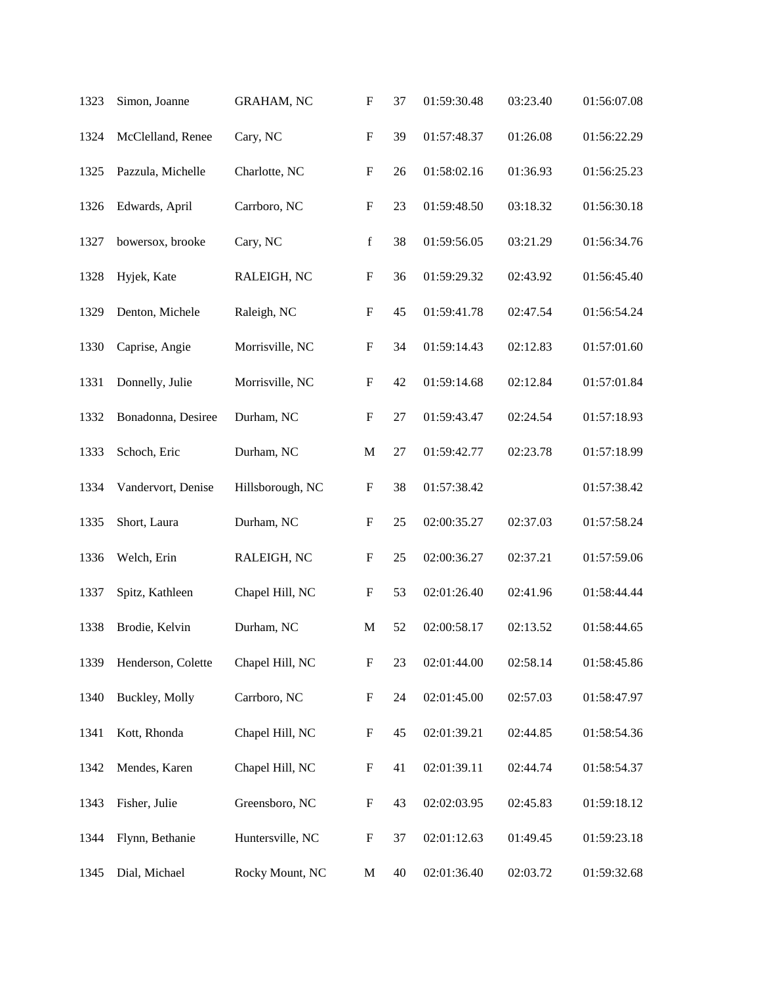| 1323 | Simon, Joanne      | <b>GRAHAM, NC</b> | $\boldsymbol{\mathrm{F}}$ | 37 | 01:59:30.48 | 03:23.40 | 01:56:07.08 |
|------|--------------------|-------------------|---------------------------|----|-------------|----------|-------------|
| 1324 | McClelland, Renee  | Cary, NC          | $\mathbf F$               | 39 | 01:57:48.37 | 01:26.08 | 01:56:22.29 |
| 1325 | Pazzula, Michelle  | Charlotte, NC     | $\boldsymbol{\mathrm{F}}$ | 26 | 01:58:02.16 | 01:36.93 | 01:56:25.23 |
| 1326 | Edwards, April     | Carrboro, NC      | $\boldsymbol{\mathrm{F}}$ | 23 | 01:59:48.50 | 03:18.32 | 01:56:30.18 |
| 1327 | bowersox, brooke   | Cary, NC          | $\mathbf f$               | 38 | 01:59:56.05 | 03:21.29 | 01:56:34.76 |
| 1328 | Hyjek, Kate        | RALEIGH, NC       | $\boldsymbol{\mathrm{F}}$ | 36 | 01:59:29.32 | 02:43.92 | 01:56:45.40 |
| 1329 | Denton, Michele    | Raleigh, NC       | $\mathbf F$               | 45 | 01:59:41.78 | 02:47.54 | 01:56:54.24 |
| 1330 | Caprise, Angie     | Morrisville, NC   | $\mathbf F$               | 34 | 01:59:14.43 | 02:12.83 | 01:57:01.60 |
| 1331 | Donnelly, Julie    | Morrisville, NC   | $\boldsymbol{\mathrm{F}}$ | 42 | 01:59:14.68 | 02:12.84 | 01:57:01.84 |
| 1332 | Bonadonna, Desiree | Durham, NC        | $\mathbf F$               | 27 | 01:59:43.47 | 02:24.54 | 01:57:18.93 |
| 1333 | Schoch, Eric       | Durham, NC        | $\mathbf M$               | 27 | 01:59:42.77 | 02:23.78 | 01:57:18.99 |
| 1334 | Vandervort, Denise | Hillsborough, NC  | $\mathbf F$               | 38 | 01:57:38.42 |          | 01:57:38.42 |
| 1335 | Short, Laura       | Durham, NC        | $\mathbf F$               | 25 | 02:00:35.27 | 02:37.03 | 01:57:58.24 |
| 1336 | Welch, Erin        | RALEIGH, NC       | F                         | 25 | 02:00:36.27 | 02:37.21 | 01:57:59.06 |
| 1337 | Spitz, Kathleen    | Chapel Hill, NC   | $\mathbf F$               | 53 | 02:01:26.40 | 02:41.96 | 01:58:44.44 |
| 1338 | Brodie, Kelvin     | Durham, NC        | M                         | 52 | 02:00:58.17 | 02:13.52 | 01:58:44.65 |
| 1339 | Henderson, Colette | Chapel Hill, NC   | $\boldsymbol{\mathrm{F}}$ | 23 | 02:01:44.00 | 02:58.14 | 01:58:45.86 |
| 1340 | Buckley, Molly     | Carrboro, NC      | $\mathbf F$               | 24 | 02:01:45.00 | 02:57.03 | 01:58:47.97 |
| 1341 | Kott, Rhonda       | Chapel Hill, NC   | $\boldsymbol{\mathrm{F}}$ | 45 | 02:01:39.21 | 02:44.85 | 01:58:54.36 |
| 1342 | Mendes, Karen      | Chapel Hill, NC   | F                         | 41 | 02:01:39.11 | 02:44.74 | 01:58:54.37 |
| 1343 | Fisher, Julie      | Greensboro, NC    | F                         | 43 | 02:02:03.95 | 02:45.83 | 01:59:18.12 |
| 1344 | Flynn, Bethanie    | Huntersville, NC  | $\boldsymbol{\mathrm{F}}$ | 37 | 02:01:12.63 | 01:49.45 | 01:59:23.18 |
| 1345 | Dial, Michael      | Rocky Mount, NC   | M                         | 40 | 02:01:36.40 | 02:03.72 | 01:59:32.68 |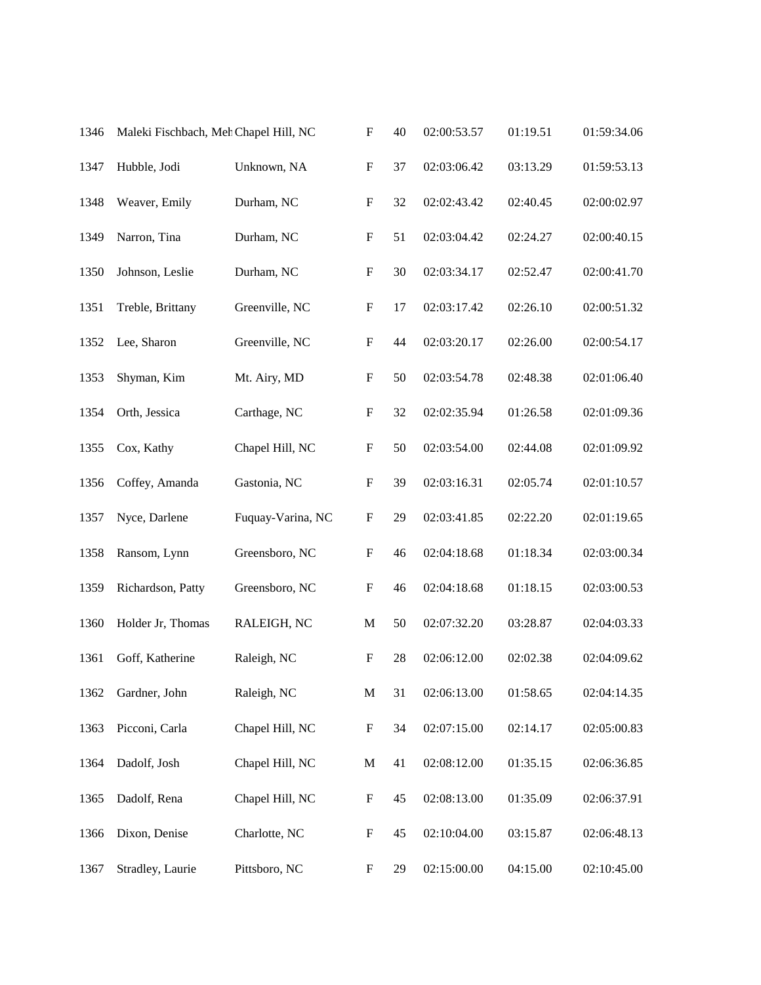| 1346 | Maleki Fischbach, Meh Chapel Hill, NC |                   |                           | 40 | 02:00:53.57 | 01:19.51 | 01:59:34.06 |
|------|---------------------------------------|-------------------|---------------------------|----|-------------|----------|-------------|
| 1347 | Hubble, Jodi                          | Unknown, NA       | $\boldsymbol{\mathrm{F}}$ | 37 | 02:03:06.42 | 03:13.29 | 01:59:53.13 |
| 1348 | Weaver, Emily                         | Durham, NC        | $\boldsymbol{\mathrm{F}}$ | 32 | 02:02:43.42 | 02:40.45 | 02:00:02.97 |
| 1349 | Narron, Tina                          | Durham, NC        | $\boldsymbol{\mathrm{F}}$ | 51 | 02:03:04.42 | 02:24.27 | 02:00:40.15 |
| 1350 | Johnson, Leslie                       | Durham, NC        | $\boldsymbol{\mathrm{F}}$ | 30 | 02:03:34.17 | 02:52.47 | 02:00:41.70 |
| 1351 | Treble, Brittany                      | Greenville, NC    | $\boldsymbol{\mathrm{F}}$ | 17 | 02:03:17.42 | 02:26.10 | 02:00:51.32 |
| 1352 | Lee, Sharon                           | Greenville, NC    | $\boldsymbol{\mathrm{F}}$ | 44 | 02:03:20.17 | 02:26.00 | 02:00:54.17 |
| 1353 | Shyman, Kim                           | Mt. Airy, MD      | $\boldsymbol{\mathrm{F}}$ | 50 | 02:03:54.78 | 02:48.38 | 02:01:06.40 |
| 1354 | Orth, Jessica                         | Carthage, NC      | $\boldsymbol{\mathrm{F}}$ | 32 | 02:02:35.94 | 01:26.58 | 02:01:09.36 |
| 1355 | Cox, Kathy                            | Chapel Hill, NC   | $\boldsymbol{\mathrm{F}}$ | 50 | 02:03:54.00 | 02:44.08 | 02:01:09.92 |
| 1356 | Coffey, Amanda                        | Gastonia, NC      | $\boldsymbol{\mathrm{F}}$ | 39 | 02:03:16.31 | 02:05.74 | 02:01:10.57 |
| 1357 | Nyce, Darlene                         | Fuquay-Varina, NC | $\boldsymbol{\mathrm{F}}$ | 29 | 02:03:41.85 | 02:22.20 | 02:01:19.65 |
| 1358 | Ransom, Lynn                          | Greensboro, NC    | $\boldsymbol{F}$          | 46 | 02:04:18.68 | 01:18.34 | 02:03:00.34 |
| 1359 | Richardson, Patty                     | Greensboro, NC    | $\boldsymbol{\mathrm{F}}$ | 46 | 02:04:18.68 | 01:18.15 | 02:03:00.53 |
| 1360 | Holder Jr, Thomas                     | RALEIGH, NC       | $\mathbf M$               | 50 | 02:07:32.20 | 03:28.87 | 02:04:03.33 |
| 1361 | Goff, Katherine                       | Raleigh, NC       | $\boldsymbol{\mathrm{F}}$ | 28 | 02:06:12.00 | 02:02.38 | 02:04:09.62 |
| 1362 | Gardner, John                         | Raleigh, NC       | M                         | 31 | 02:06:13.00 | 01:58.65 | 02:04:14.35 |
| 1363 | Picconi, Carla                        | Chapel Hill, NC   | $\boldsymbol{\mathrm{F}}$ | 34 | 02:07:15.00 | 02:14.17 | 02:05:00.83 |
| 1364 | Dadolf, Josh                          | Chapel Hill, NC   | M                         | 41 | 02:08:12.00 | 01:35.15 | 02:06:36.85 |
| 1365 | Dadolf, Rena                          | Chapel Hill, NC   | $\boldsymbol{\mathrm{F}}$ | 45 | 02:08:13.00 | 01:35.09 | 02:06:37.91 |
| 1366 | Dixon, Denise                         | Charlotte, NC     | $\boldsymbol{\mathrm{F}}$ | 45 | 02:10:04.00 | 03:15.87 | 02:06:48.13 |
| 1367 | Stradley, Laurie                      | Pittsboro, NC     | $\boldsymbol{\mathrm{F}}$ | 29 | 02:15:00.00 | 04:15.00 | 02:10:45.00 |